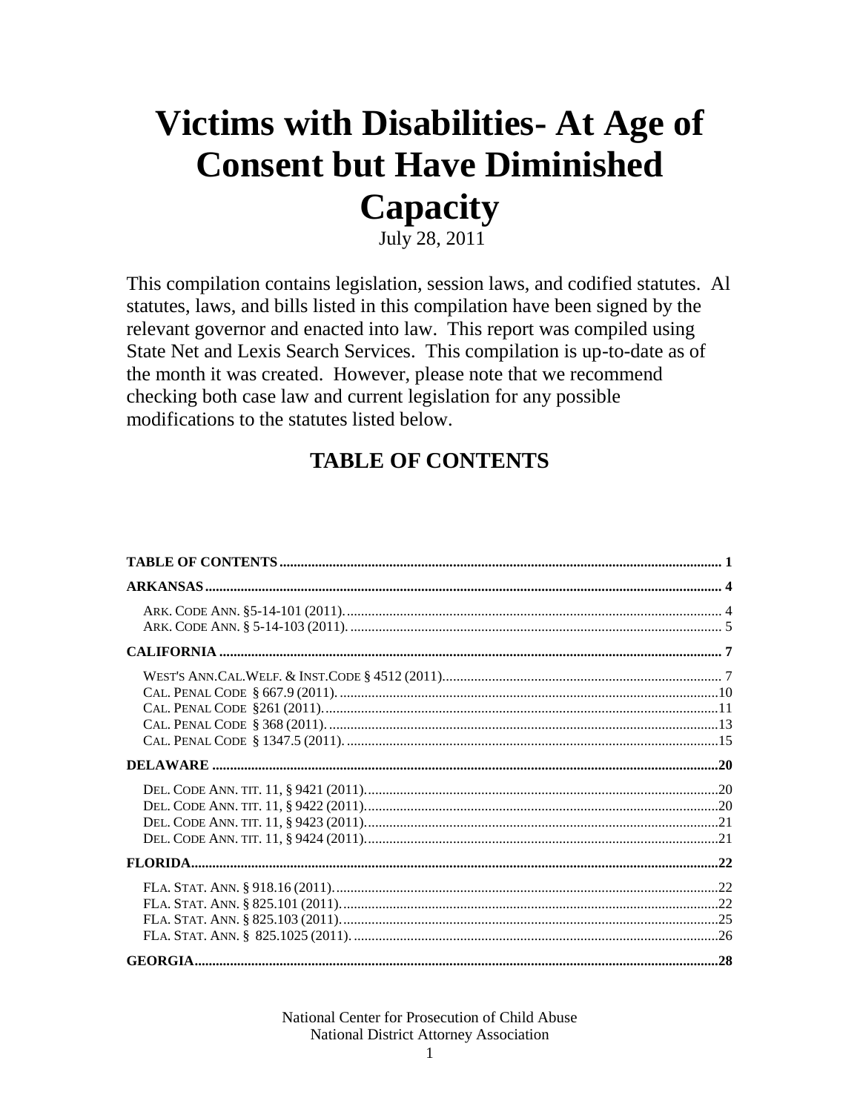# **Victims with Disabilities- At Age of Consent but Have Diminished Capacity**

July 28, 2011

This compilation contains legislation, session laws, and codified statutes. Al statutes, laws, and bills listed in this compilation have been signed by the relevant governor and enacted into law. This report was compiled using State Net and Lexis Search Services. This compilation is up-to-date as of the month it was created. However, please note that we recommend checking both case law and current legislation for any possible modifications to the statutes listed below.

## **TABLE OF CONTENTS**

<span id="page-0-0"></span>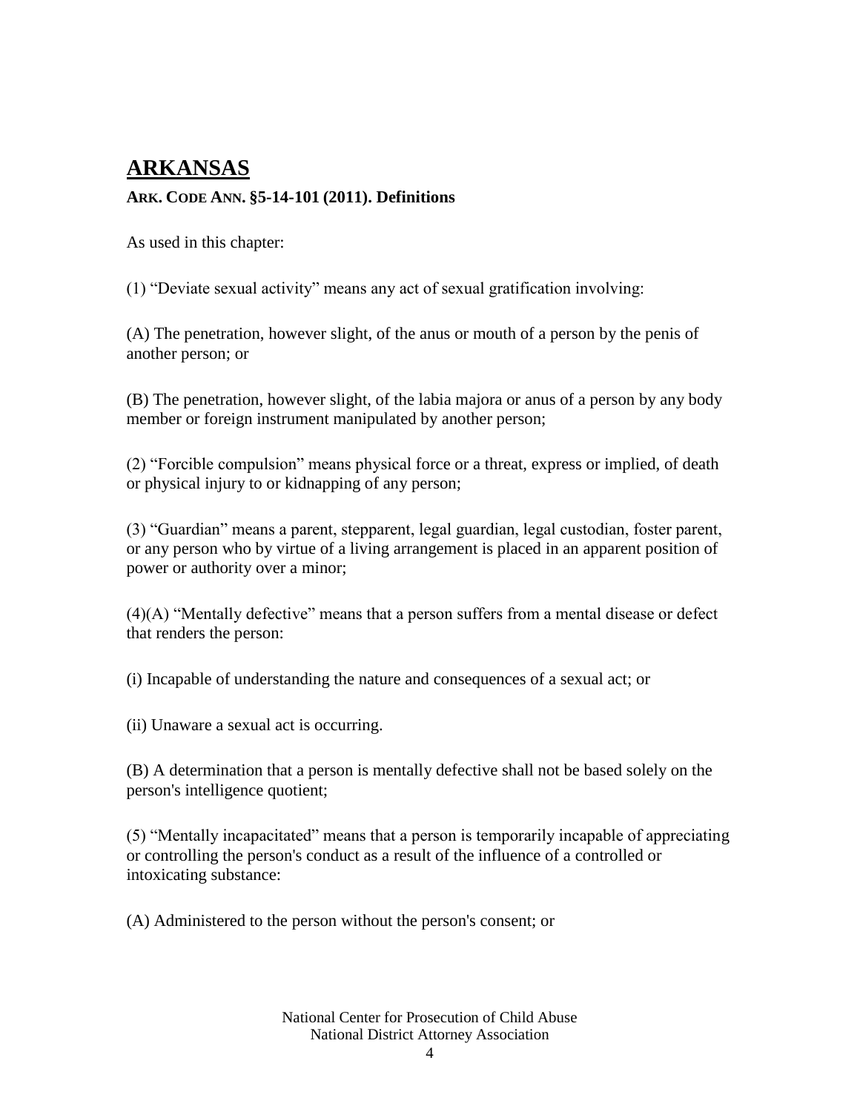# <span id="page-3-0"></span>**ARKANSAS**

#### <span id="page-3-1"></span>**ARK. CODE ANN. §5-14-101 (2011). Definitions**

As used in this chapter:

(1) "Deviate sexual activity" means any act of sexual gratification involving:

(A) The penetration, however slight, of the anus or mouth of a person by the penis of another person; or

(B) The penetration, however slight, of the labia majora or anus of a person by any body member or foreign instrument manipulated by another person;

(2) "Forcible compulsion" means physical force or a threat, express or implied, of death or physical injury to or kidnapping of any person;

(3) "Guardian" means a parent, stepparent, legal guardian, legal custodian, foster parent, or any person who by virtue of a living arrangement is placed in an apparent position of power or authority over a minor;

(4)(A) "Mentally defective" means that a person suffers from a mental disease or defect that renders the person:

(i) Incapable of understanding the nature and consequences of a sexual act; or

(ii) Unaware a sexual act is occurring.

(B) A determination that a person is mentally defective shall not be based solely on the person's intelligence quotient;

(5) "Mentally incapacitated" means that a person is temporarily incapable of appreciating or controlling the person's conduct as a result of the influence of a controlled or intoxicating substance:

(A) Administered to the person without the person's consent; or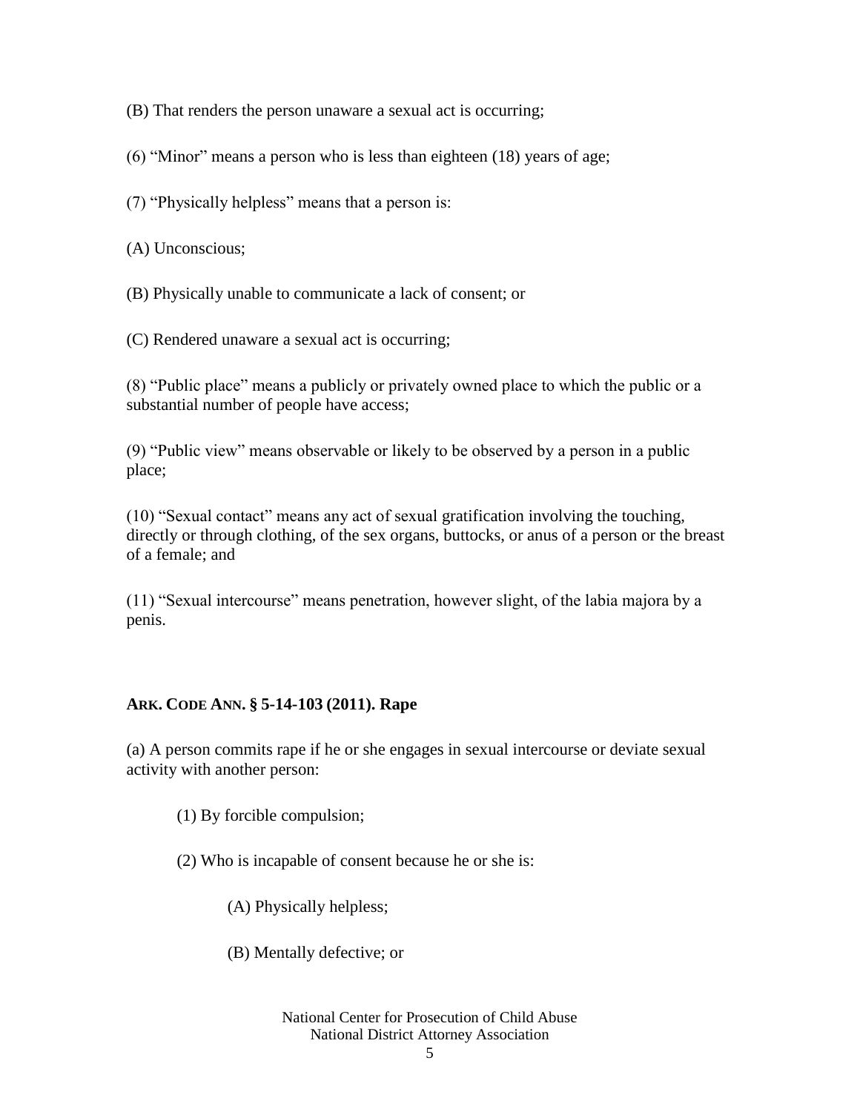(B) That renders the person unaware a sexual act is occurring;

(6) "Minor" means a person who is less than eighteen (18) years of age;

(7) "Physically helpless" means that a person is:

(A) Unconscious;

(B) Physically unable to communicate a lack of consent; or

(C) Rendered unaware a sexual act is occurring;

(8) "Public place" means a publicly or privately owned place to which the public or a substantial number of people have access;

(9) "Public view" means observable or likely to be observed by a person in a public place;

(10) "Sexual contact" means any act of sexual gratification involving the touching, directly or through clothing, of the sex organs, buttocks, or anus of a person or the breast of a female; and

(11) "Sexual intercourse" means penetration, however slight, of the labia majora by a penis.

#### <span id="page-4-0"></span>**ARK. CODE ANN. § 5-14-103 (2011). Rape**

(a) A person commits rape if he or she engages in sexual intercourse or deviate sexual activity with another person:

(1) By forcible compulsion;

(2) Who is incapable of consent because he or she is:

(A) Physically helpless;

(B) Mentally defective; or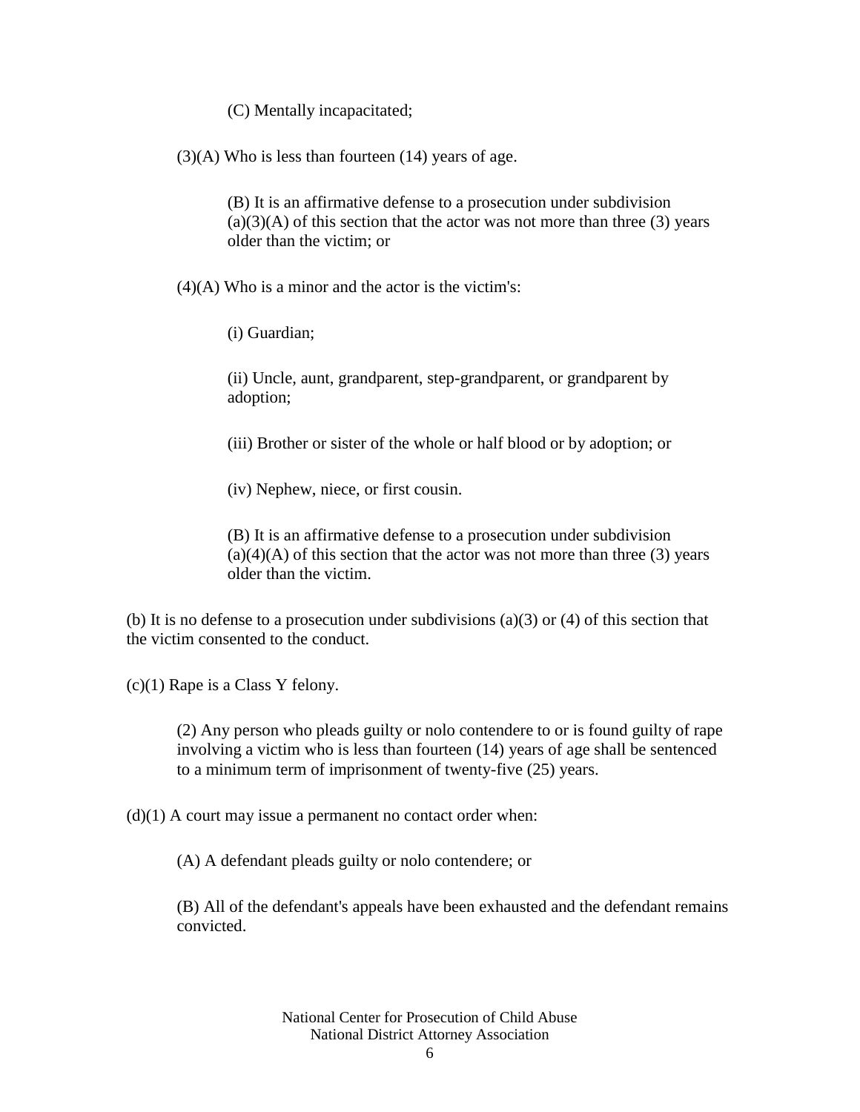(C) Mentally incapacitated;

 $(3)(A)$  Who is less than fourteen  $(14)$  years of age.

(B) It is an affirmative defense to a prosecution under subdivision  $(a)(3)(A)$  of this section that the actor was not more than three (3) years older than the victim; or

 $(4)(A)$  Who is a minor and the actor is the victim's:

(i) Guardian;

(ii) Uncle, aunt, grandparent, step-grandparent, or grandparent by adoption;

(iii) Brother or sister of the whole or half blood or by adoption; or

(iv) Nephew, niece, or first cousin.

(B) It is an affirmative defense to a prosecution under subdivision  $(a)(4)(A)$  of this section that the actor was not more than three (3) years older than the victim.

(b) It is no defense to a prosecution under subdivisions (a)(3) or (4) of this section that the victim consented to the conduct.

(c)(1) Rape is a Class Y felony.

(2) Any person who pleads guilty or nolo contendere to or is found guilty of rape involving a victim who is less than fourteen (14) years of age shall be sentenced to a minimum term of imprisonment of twenty-five (25) years.

 $(d)(1)$  A court may issue a permanent no contact order when:

(A) A defendant pleads guilty or nolo contendere; or

(B) All of the defendant's appeals have been exhausted and the defendant remains convicted.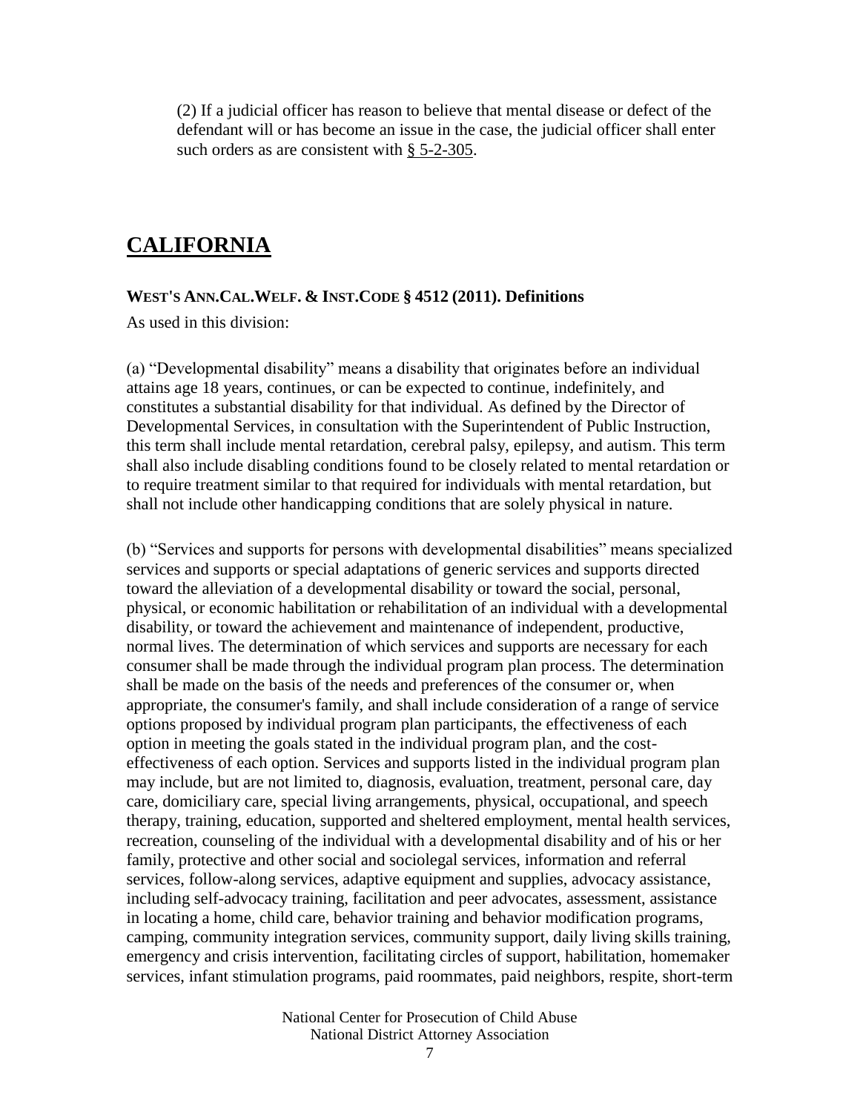(2) If a judicial officer has reason to believe that mental disease or defect of the defendant will or has become an issue in the case, the judicial officer shall enter such orders as are consistent with § 5-2-305.

# <span id="page-6-0"></span>**CALIFORNIA**

#### <span id="page-6-1"></span>**WEST'S ANN.CAL.WELF. & INST.CODE § 4512 (2011). Definitions**

As used in this division:

(a) "Developmental disability" means a disability that originates before an individual attains age 18 years, continues, or can be expected to continue, indefinitely, and constitutes a substantial disability for that individual. As defined by the Director of Developmental Services, in consultation with the Superintendent of Public Instruction, this term shall include mental retardation, cerebral palsy, epilepsy, and autism. This term shall also include disabling conditions found to be closely related to mental retardation or to require treatment similar to that required for individuals with mental retardation, but shall not include other handicapping conditions that are solely physical in nature.

(b) "Services and supports for persons with developmental disabilities" means specialized services and supports or special adaptations of generic services and supports directed toward the alleviation of a developmental disability or toward the social, personal, physical, or economic habilitation or rehabilitation of an individual with a developmental disability, or toward the achievement and maintenance of independent, productive, normal lives. The determination of which services and supports are necessary for each consumer shall be made through the individual program plan process. The determination shall be made on the basis of the needs and preferences of the consumer or, when appropriate, the consumer's family, and shall include consideration of a range of service options proposed by individual program plan participants, the effectiveness of each option in meeting the goals stated in the individual program plan, and the costeffectiveness of each option. Services and supports listed in the individual program plan may include, but are not limited to, diagnosis, evaluation, treatment, personal care, day care, domiciliary care, special living arrangements, physical, occupational, and speech therapy, training, education, supported and sheltered employment, mental health services, recreation, counseling of the individual with a developmental disability and of his or her family, protective and other social and sociolegal services, information and referral services, follow-along services, adaptive equipment and supplies, advocacy assistance, including self-advocacy training, facilitation and peer advocates, assessment, assistance in locating a home, child care, behavior training and behavior modification programs, camping, community integration services, community support, daily living skills training, emergency and crisis intervention, facilitating circles of support, habilitation, homemaker services, infant stimulation programs, paid roommates, paid neighbors, respite, short-term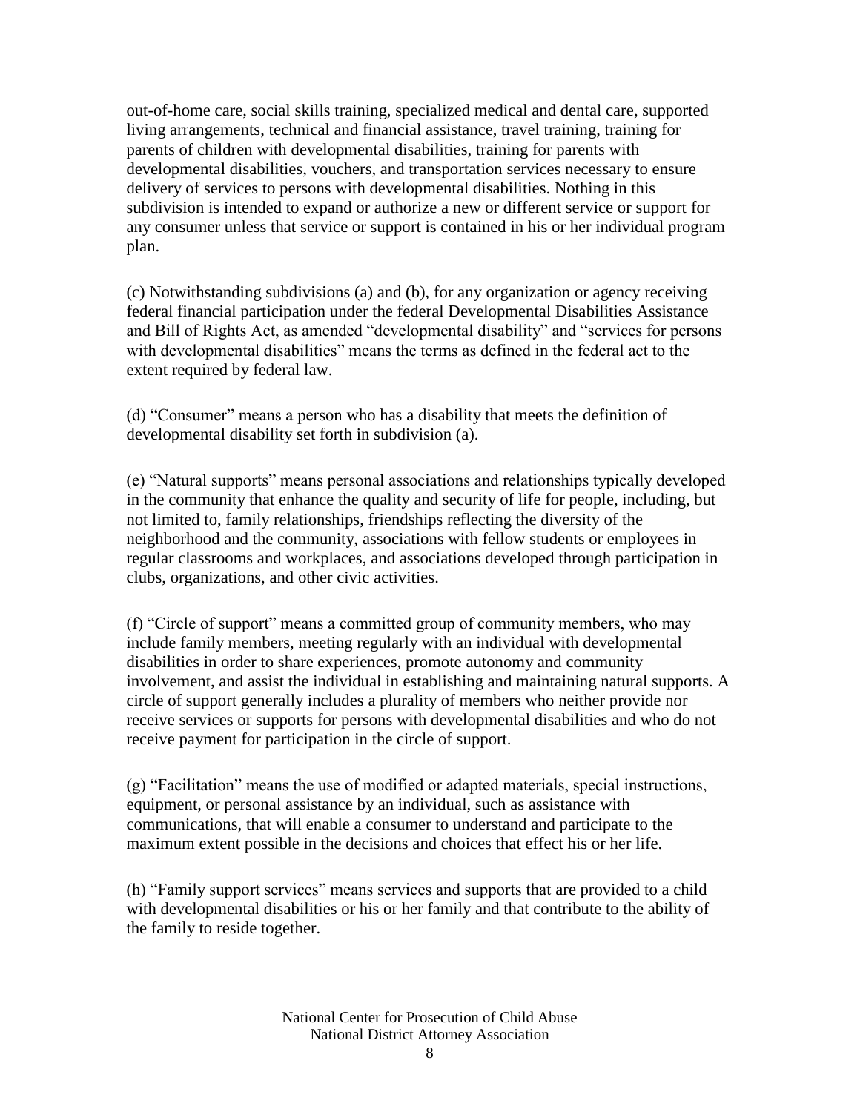out-of-home care, social skills training, specialized medical and dental care, supported living arrangements, technical and financial assistance, travel training, training for parents of children with developmental disabilities, training for parents with developmental disabilities, vouchers, and transportation services necessary to ensure delivery of services to persons with developmental disabilities. Nothing in this subdivision is intended to expand or authorize a new or different service or support for any consumer unless that service or support is contained in his or her individual program plan.

(c) Notwithstanding subdivisions (a) and (b), for any organization or agency receiving federal financial participation under the federal Developmental Disabilities Assistance and Bill of Rights Act, as amended "developmental disability" and "services for persons with developmental disabilities" means the terms as defined in the federal act to the extent required by federal law.

(d) "Consumer" means a person who has a disability that meets the definition of developmental disability set forth in subdivision (a).

(e) "Natural supports" means personal associations and relationships typically developed in the community that enhance the quality and security of life for people, including, but not limited to, family relationships, friendships reflecting the diversity of the neighborhood and the community, associations with fellow students or employees in regular classrooms and workplaces, and associations developed through participation in clubs, organizations, and other civic activities.

(f) "Circle of support" means a committed group of community members, who may include family members, meeting regularly with an individual with developmental disabilities in order to share experiences, promote autonomy and community involvement, and assist the individual in establishing and maintaining natural supports. A circle of support generally includes a plurality of members who neither provide nor receive services or supports for persons with developmental disabilities and who do not receive payment for participation in the circle of support.

(g) "Facilitation" means the use of modified or adapted materials, special instructions, equipment, or personal assistance by an individual, such as assistance with communications, that will enable a consumer to understand and participate to the maximum extent possible in the decisions and choices that effect his or her life.

(h) "Family support services" means services and supports that are provided to a child with developmental disabilities or his or her family and that contribute to the ability of the family to reside together.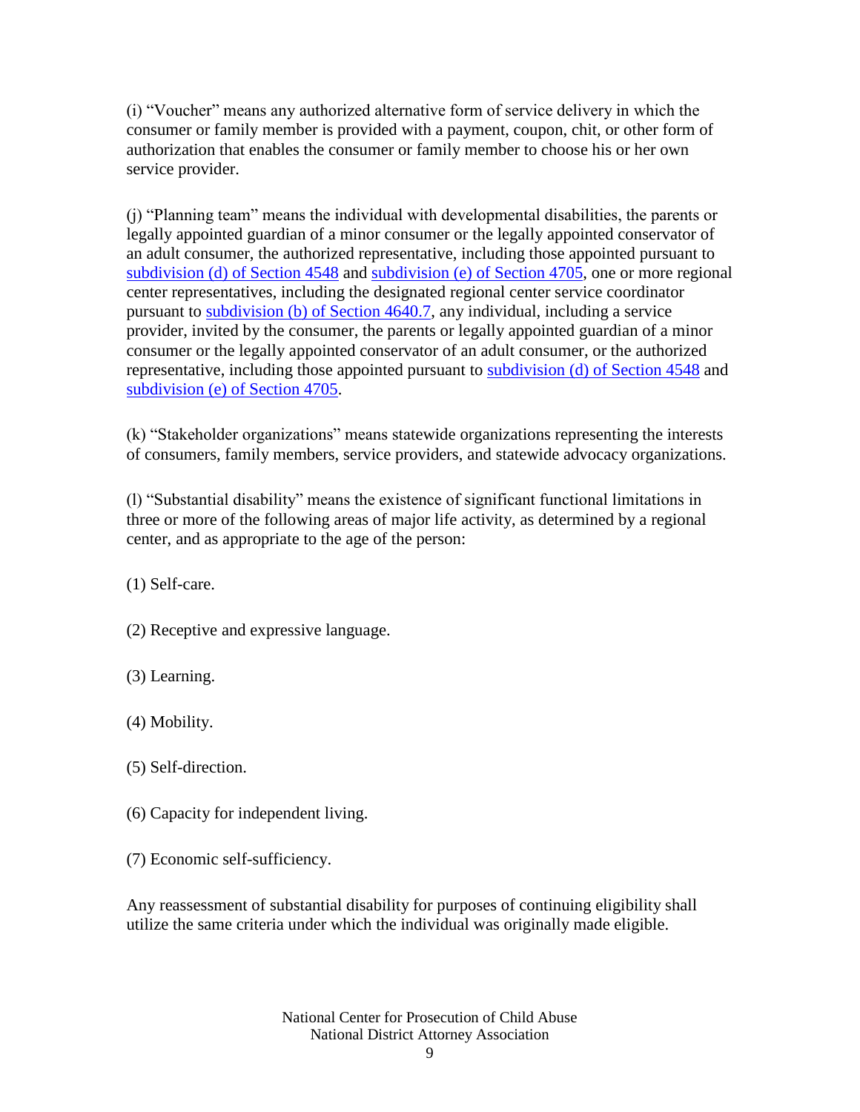(i) "Voucher" means any authorized alternative form of service delivery in which the consumer or family member is provided with a payment, coupon, chit, or other form of authorization that enables the consumer or family member to choose his or her own service provider.

(j) "Planning team" means the individual with developmental disabilities, the parents or legally appointed guardian of a minor consumer or the legally appointed conservator of an adult consumer, the authorized representative, including those appointed pursuant to subdivision (d) of Section 4548 and subdivision (e) of Section 4705, one or more regional center representatives, including the designated regional center service coordinator pursuant to subdivision (b) of Section 4640.7, any individual, including a service provider, invited by the consumer, the parents or legally appointed guardian of a minor consumer or the legally appointed conservator of an adult consumer, or the authorized representative, including those appointed pursuant to subdivision (d) of Section 4548 and subdivision (e) of Section 4705.

(k) "Stakeholder organizations" means statewide organizations representing the interests of consumers, family members, service providers, and statewide advocacy organizations.

(l) "Substantial disability" means the existence of significant functional limitations in three or more of the following areas of major life activity, as determined by a regional center, and as appropriate to the age of the person:

(1) Self-care.

(2) Receptive and expressive language.

(3) Learning.

(4) Mobility.

(5) Self-direction.

(6) Capacity for independent living.

(7) Economic self-sufficiency.

Any reassessment of substantial disability for purposes of continuing eligibility shall utilize the same criteria under which the individual was originally made eligible.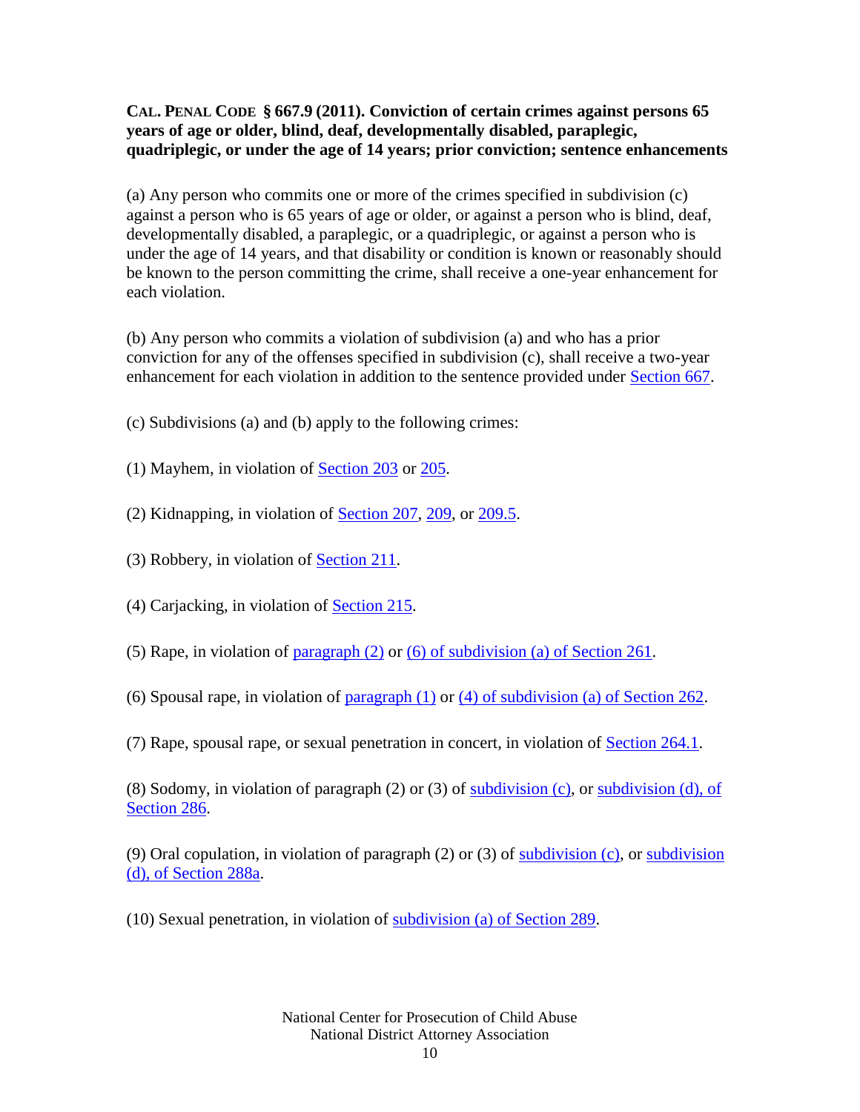#### <span id="page-9-0"></span>**CAL. PENAL CODE § 667.9 (2011). Conviction of certain crimes against persons 65 years of age or older, blind, deaf, developmentally disabled, paraplegic, quadriplegic, or under the age of 14 years; prior conviction; sentence enhancements**

(a) Any person who commits one or more of the crimes specified in subdivision (c) against a person who is 65 years of age or older, or against a person who is blind, deaf, developmentally disabled, a paraplegic, or a quadriplegic, or against a person who is under the age of 14 years, and that disability or condition is known or reasonably should be known to the person committing the crime, shall receive a one-year enhancement for each violation.

(b) Any person who commits a violation of subdivision (a) and who has a prior conviction for any of the offenses specified in subdivision (c), shall receive a two-year enhancement for each violation in addition to the sentence provided under Section 667.

- (c) Subdivisions (a) and (b) apply to the following crimes:
- (1) Mayhem, in violation of Section 203 or 205.
- (2) Kidnapping, in violation of Section 207, 209, or 209.5.
- (3) Robbery, in violation of Section 211.
- (4) Carjacking, in violation of Section 215.
- (5) Rape, in violation of paragraph (2) or (6) of subdivision (a) of Section 261.
- (6) Spousal rape, in violation of paragraph (1) or (4) of subdivision (a) of Section 262.
- (7) Rape, spousal rape, or sexual penetration in concert, in violation of Section 264.1.

(8) Sodomy, in violation of paragraph (2) or (3) of subdivision (c), or subdivision (d), of Section 286.

(9) Oral copulation, in violation of paragraph  $(2)$  or  $(3)$  of subdivision  $(c)$ , or subdivision (d), of Section 288a.

(10) Sexual penetration, in violation of subdivision (a) of Section 289.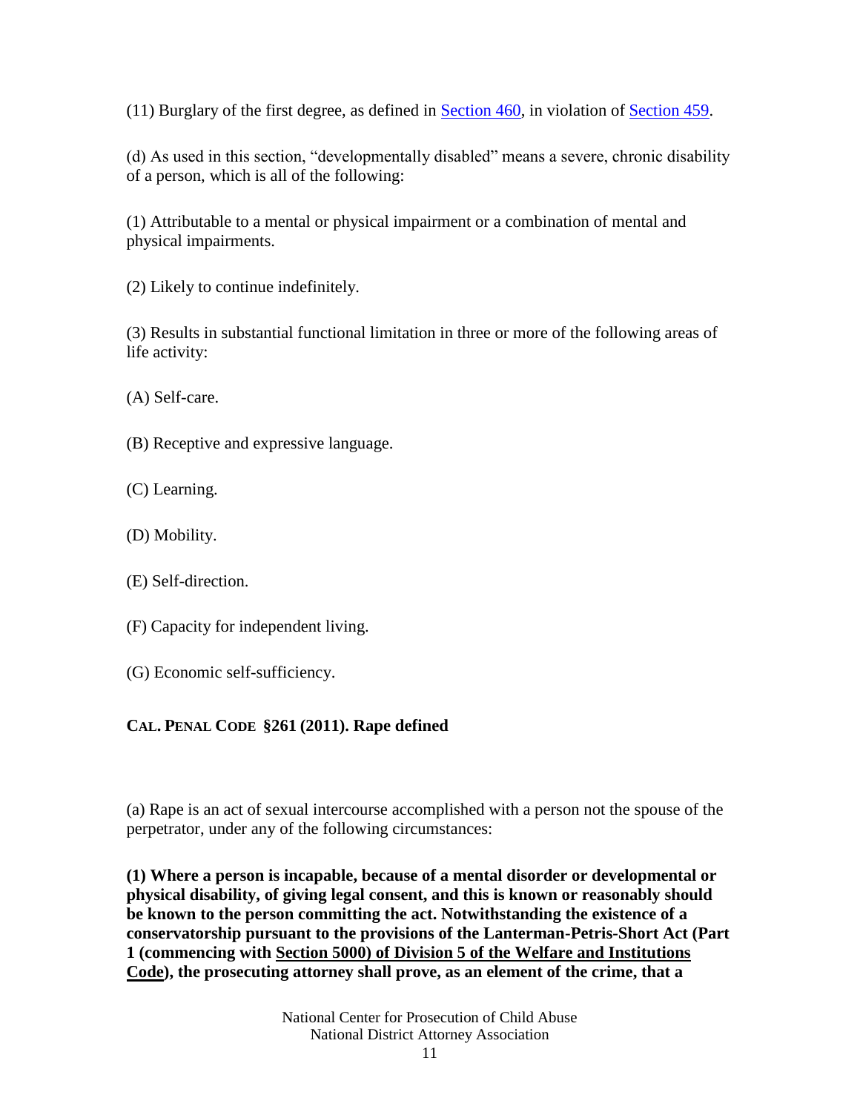(11) Burglary of the first degree, as defined in Section 460, in violation of Section 459.

(d) As used in this section, "developmentally disabled" means a severe, chronic disability of a person, which is all of the following:

(1) Attributable to a mental or physical impairment or a combination of mental and physical impairments.

(2) Likely to continue indefinitely.

(3) Results in substantial functional limitation in three or more of the following areas of life activity:

(A) Self-care.

- (B) Receptive and expressive language.
- (C) Learning.
- (D) Mobility.
- (E) Self-direction.
- (F) Capacity for independent living.
- (G) Economic self-sufficiency.

#### <span id="page-10-0"></span>**CAL. PENAL CODE §261 (2011). Rape defined**

(a) Rape is an act of sexual intercourse accomplished with a person not the spouse of the perpetrator, under any of the following circumstances:

**(1) Where a person is incapable, because of a mental disorder or developmental or physical disability, of giving legal consent, and this is known or reasonably should be known to the person committing the act. Notwithstanding the existence of a conservatorship pursuant to the provisions of the Lanterman-Petris-Short Act (Part 1 (commencing with Section 5000) of Division 5 of the Welfare and Institutions Code), the prosecuting attorney shall prove, as an element of the crime, that a**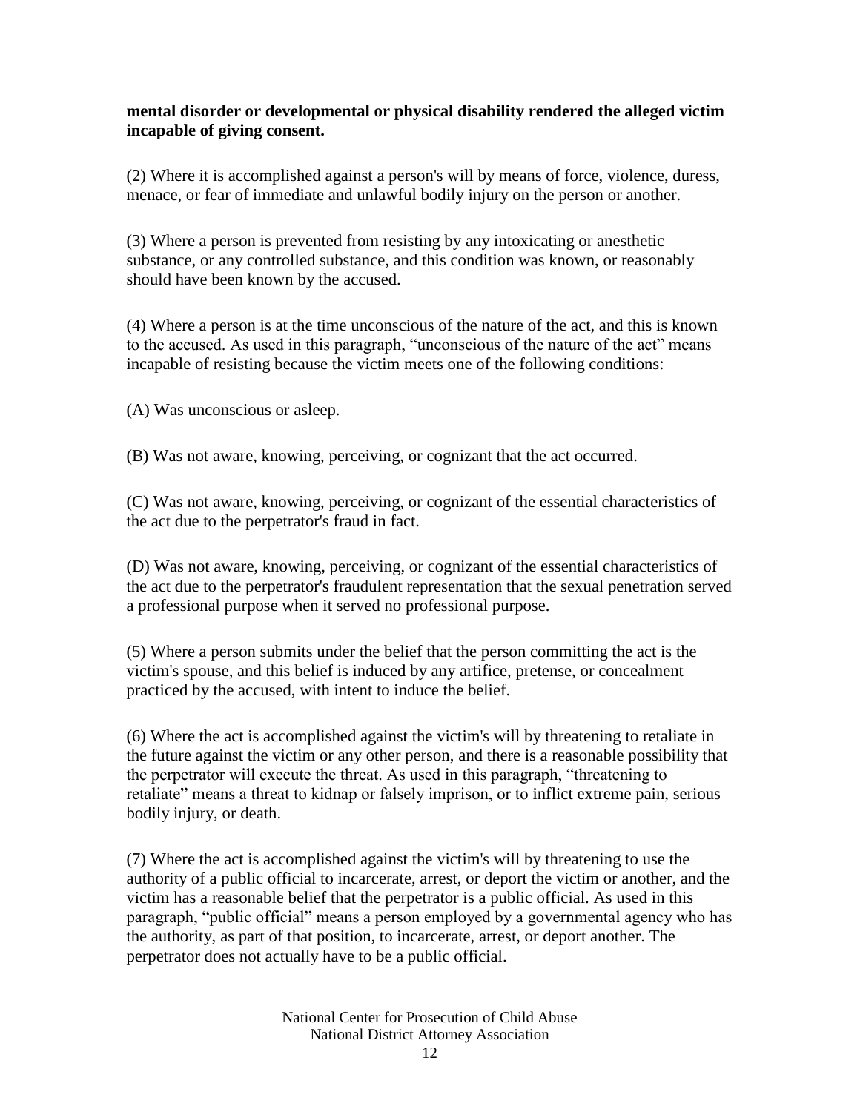#### **mental disorder or developmental or physical disability rendered the alleged victim incapable of giving consent.**

(2) Where it is accomplished against a person's will by means of force, violence, duress, menace, or fear of immediate and unlawful bodily injury on the person or another.

(3) Where a person is prevented from resisting by any intoxicating or anesthetic substance, or any controlled substance, and this condition was known, or reasonably should have been known by the accused.

(4) Where a person is at the time unconscious of the nature of the act, and this is known to the accused. As used in this paragraph, "unconscious of the nature of the act" means incapable of resisting because the victim meets one of the following conditions:

(A) Was unconscious or asleep.

(B) Was not aware, knowing, perceiving, or cognizant that the act occurred.

(C) Was not aware, knowing, perceiving, or cognizant of the essential characteristics of the act due to the perpetrator's fraud in fact.

(D) Was not aware, knowing, perceiving, or cognizant of the essential characteristics of the act due to the perpetrator's fraudulent representation that the sexual penetration served a professional purpose when it served no professional purpose.

(5) Where a person submits under the belief that the person committing the act is the victim's spouse, and this belief is induced by any artifice, pretense, or concealment practiced by the accused, with intent to induce the belief.

(6) Where the act is accomplished against the victim's will by threatening to retaliate in the future against the victim or any other person, and there is a reasonable possibility that the perpetrator will execute the threat. As used in this paragraph, "threatening to retaliate" means a threat to kidnap or falsely imprison, or to inflict extreme pain, serious bodily injury, or death.

(7) Where the act is accomplished against the victim's will by threatening to use the authority of a public official to incarcerate, arrest, or deport the victim or another, and the victim has a reasonable belief that the perpetrator is a public official. As used in this paragraph, "public official" means a person employed by a governmental agency who has the authority, as part of that position, to incarcerate, arrest, or deport another. The perpetrator does not actually have to be a public official.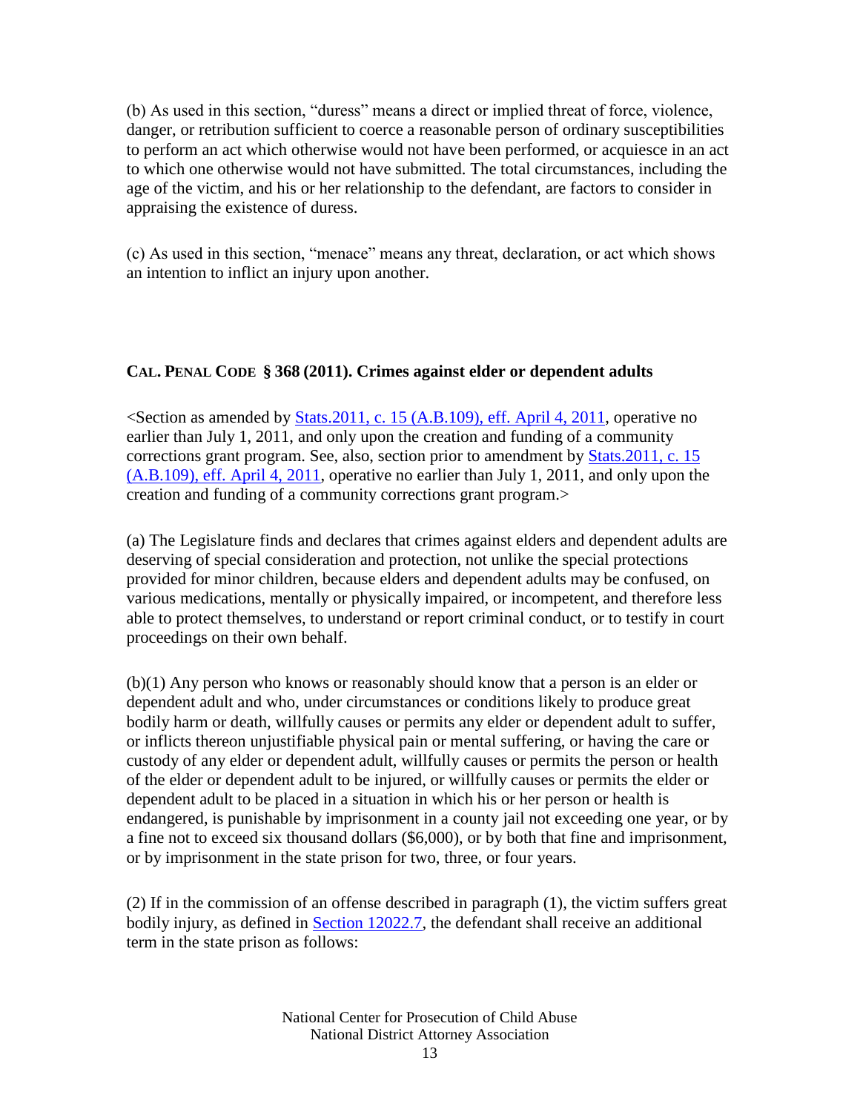(b) As used in this section, "duress" means a direct or implied threat of force, violence, danger, or retribution sufficient to coerce a reasonable person of ordinary susceptibilities to perform an act which otherwise would not have been performed, or acquiesce in an act to which one otherwise would not have submitted. The total circumstances, including the age of the victim, and his or her relationship to the defendant, are factors to consider in appraising the existence of duress.

(c) As used in this section, "menace" means any threat, declaration, or act which shows an intention to inflict an injury upon another.

#### <span id="page-12-0"></span>**CAL. PENAL CODE § 368 (2011). Crimes against elder or dependent adults**

<Section as amended by Stats.2011, c. 15 (A.B.109), eff. April 4, 2011, operative no earlier than July 1, 2011, and only upon the creation and funding of a community corrections grant program. See, also, section prior to amendment by Stats.2011, c. 15 (A.B.109), eff. April 4, 2011, operative no earlier than July 1, 2011, and only upon the creation and funding of a community corrections grant program.>

(a) The Legislature finds and declares that crimes against elders and dependent adults are deserving of special consideration and protection, not unlike the special protections provided for minor children, because elders and dependent adults may be confused, on various medications, mentally or physically impaired, or incompetent, and therefore less able to protect themselves, to understand or report criminal conduct, or to testify in court proceedings on their own behalf.

(b)(1) Any person who knows or reasonably should know that a person is an elder or dependent adult and who, under circumstances or conditions likely to produce great bodily harm or death, willfully causes or permits any elder or dependent adult to suffer, or inflicts thereon unjustifiable physical pain or mental suffering, or having the care or custody of any elder or dependent adult, willfully causes or permits the person or health of the elder or dependent adult to be injured, or willfully causes or permits the elder or dependent adult to be placed in a situation in which his or her person or health is endangered, is punishable by imprisonment in a county jail not exceeding one year, or by a fine not to exceed six thousand dollars (\$6,000), or by both that fine and imprisonment, or by imprisonment in the state prison for two, three, or four years.

(2) If in the commission of an offense described in paragraph (1), the victim suffers great bodily injury, as defined in Section 12022.7, the defendant shall receive an additional term in the state prison as follows: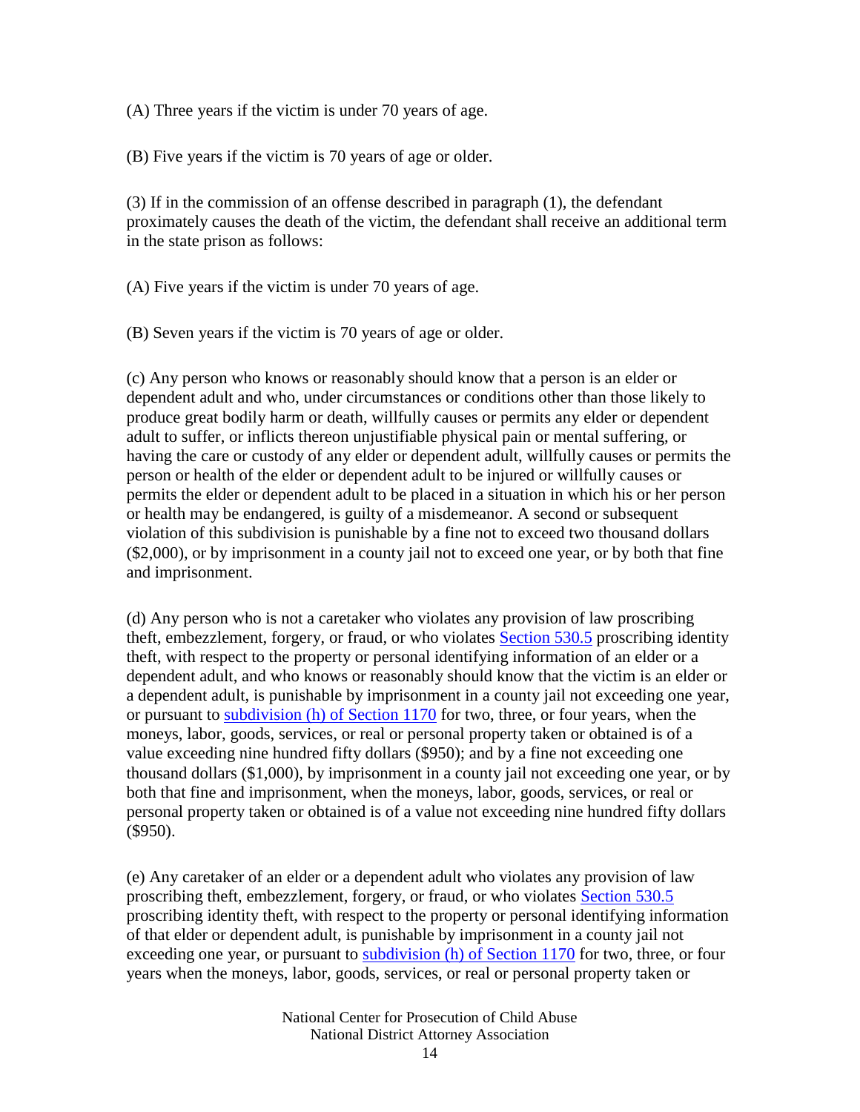(A) Three years if the victim is under 70 years of age.

(B) Five years if the victim is 70 years of age or older.

(3) If in the commission of an offense described in paragraph (1), the defendant proximately causes the death of the victim, the defendant shall receive an additional term in the state prison as follows:

(A) Five years if the victim is under 70 years of age.

(B) Seven years if the victim is 70 years of age or older.

(c) Any person who knows or reasonably should know that a person is an elder or dependent adult and who, under circumstances or conditions other than those likely to produce great bodily harm or death, willfully causes or permits any elder or dependent adult to suffer, or inflicts thereon unjustifiable physical pain or mental suffering, or having the care or custody of any elder or dependent adult, willfully causes or permits the person or health of the elder or dependent adult to be injured or willfully causes or permits the elder or dependent adult to be placed in a situation in which his or her person or health may be endangered, is guilty of a misdemeanor. A second or subsequent violation of this subdivision is punishable by a fine not to exceed two thousand dollars (\$2,000), or by imprisonment in a county jail not to exceed one year, or by both that fine and imprisonment.

(d) Any person who is not a caretaker who violates any provision of law proscribing theft, embezzlement, forgery, or fraud, or who violates Section 530.5 proscribing identity theft, with respect to the property or personal identifying information of an elder or a dependent adult, and who knows or reasonably should know that the victim is an elder or a dependent adult, is punishable by imprisonment in a county jail not exceeding one year, or pursuant to subdivision (h) of Section 1170 for two, three, or four years, when the moneys, labor, goods, services, or real or personal property taken or obtained is of a value exceeding nine hundred fifty dollars (\$950); and by a fine not exceeding one thousand dollars (\$1,000), by imprisonment in a county jail not exceeding one year, or by both that fine and imprisonment, when the moneys, labor, goods, services, or real or personal property taken or obtained is of a value not exceeding nine hundred fifty dollars (\$950).

(e) Any caretaker of an elder or a dependent adult who violates any provision of law proscribing theft, embezzlement, forgery, or fraud, or who violates Section 530.5 proscribing identity theft, with respect to the property or personal identifying information of that elder or dependent adult, is punishable by imprisonment in a county jail not exceeding one year, or pursuant to subdivision (h) of Section 1170 for two, three, or four years when the moneys, labor, goods, services, or real or personal property taken or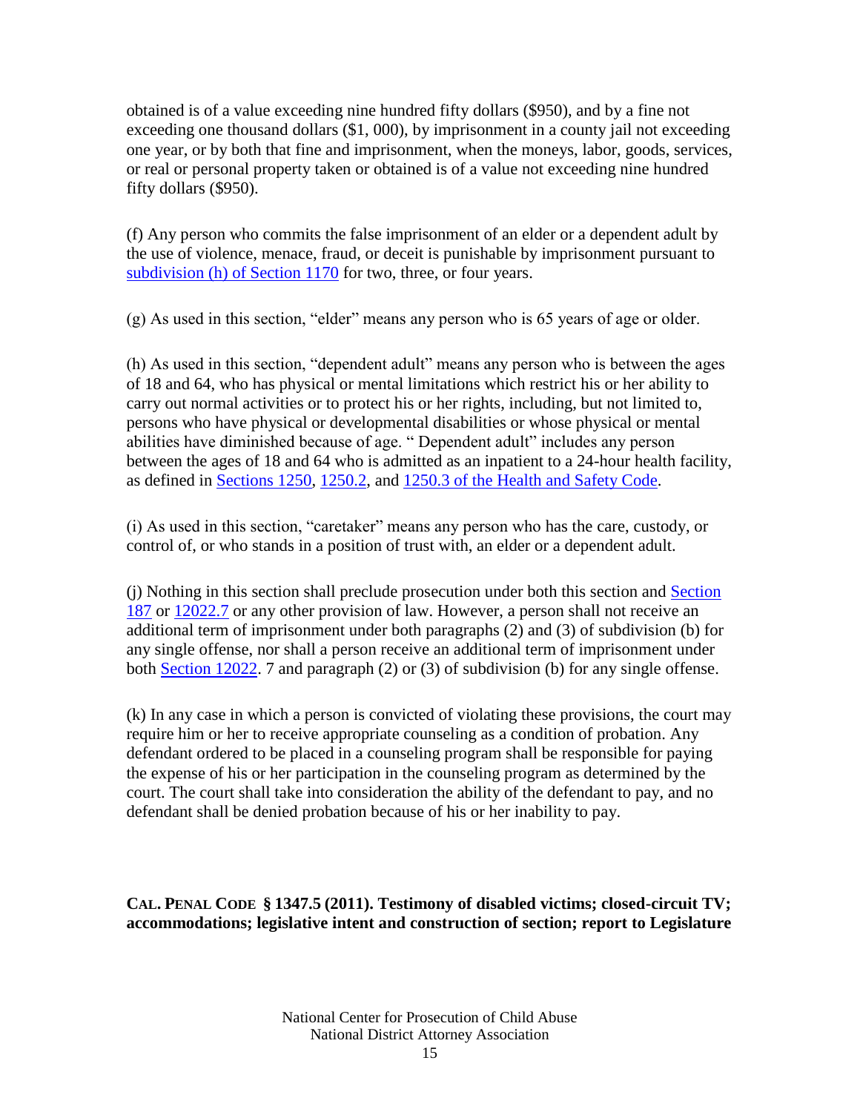obtained is of a value exceeding nine hundred fifty dollars (\$950), and by a fine not exceeding one thousand dollars (\$1, 000), by imprisonment in a county jail not exceeding one year, or by both that fine and imprisonment, when the moneys, labor, goods, services, or real or personal property taken or obtained is of a value not exceeding nine hundred fifty dollars (\$950).

(f) Any person who commits the false imprisonment of an elder or a dependent adult by the use of violence, menace, fraud, or deceit is punishable by imprisonment pursuant to subdivision (h) of Section 1170 for two, three, or four years.

(g) As used in this section, "elder" means any person who is 65 years of age or older.

(h) As used in this section, "dependent adult" means any person who is between the ages of 18 and 64, who has physical or mental limitations which restrict his or her ability to carry out normal activities or to protect his or her rights, including, but not limited to, persons who have physical or developmental disabilities or whose physical or mental abilities have diminished because of age. " Dependent adult" includes any person between the ages of 18 and 64 who is admitted as an inpatient to a 24-hour health facility, as defined in Sections 1250, 1250.2, and 1250.3 of the Health and Safety Code.

(i) As used in this section, "caretaker" means any person who has the care, custody, or control of, or who stands in a position of trust with, an elder or a dependent adult.

(j) Nothing in this section shall preclude prosecution under both this section and Section 187 or 12022.7 or any other provision of law. However, a person shall not receive an additional term of imprisonment under both paragraphs (2) and (3) of subdivision (b) for any single offense, nor shall a person receive an additional term of imprisonment under both Section 12022. 7 and paragraph (2) or (3) of subdivision (b) for any single offense.

(k) In any case in which a person is convicted of violating these provisions, the court may require him or her to receive appropriate counseling as a condition of probation. Any defendant ordered to be placed in a counseling program shall be responsible for paying the expense of his or her participation in the counseling program as determined by the court. The court shall take into consideration the ability of the defendant to pay, and no defendant shall be denied probation because of his or her inability to pay.

#### <span id="page-14-0"></span>**CAL. PENAL CODE § 1347.5 (2011). Testimony of disabled victims; closed-circuit TV; accommodations; legislative intent and construction of section; report to Legislature**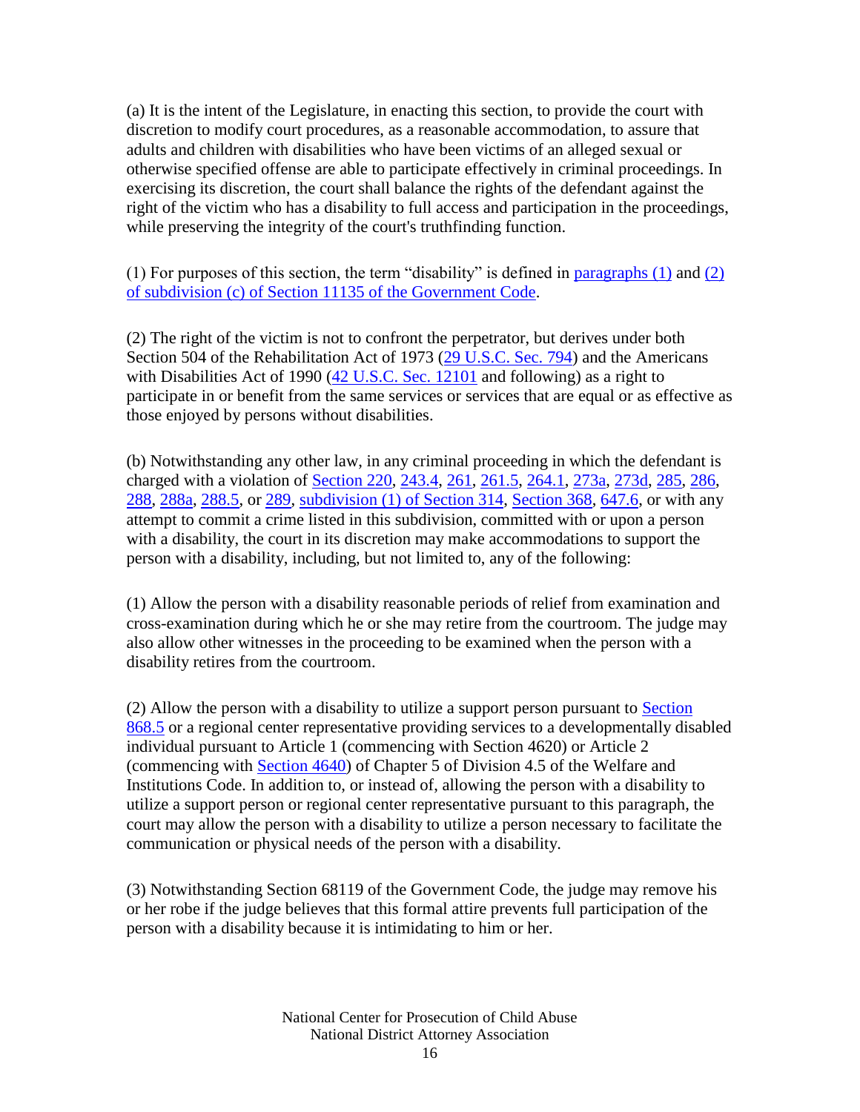(a) It is the intent of the Legislature, in enacting this section, to provide the court with discretion to modify court procedures, as a reasonable accommodation, to assure that adults and children with disabilities who have been victims of an alleged sexual or otherwise specified offense are able to participate effectively in criminal proceedings. In exercising its discretion, the court shall balance the rights of the defendant against the right of the victim who has a disability to full access and participation in the proceedings, while preserving the integrity of the court's truthfinding function.

(1) For purposes of this section, the term "disability" is defined in paragraphs (1) and (2) of subdivision (c) of Section 11135 of the Government Code.

(2) The right of the victim is not to confront the perpetrator, but derives under both Section 504 of the Rehabilitation Act of 1973 (29 U.S.C. Sec. 794) and the Americans with Disabilities Act of 1990 (42 U.S.C. Sec. 12101 and following) as a right to participate in or benefit from the same services or services that are equal or as effective as those enjoyed by persons without disabilities.

(b) Notwithstanding any other law, in any criminal proceeding in which the defendant is charged with a violation of Section 220, 243.4, 261, 261.5, 264.1, 273a, 273d, 285, 286, 288, 288a, 288.5, or 289, subdivision (1) of Section 314, Section 368, 647.6, or with any attempt to commit a crime listed in this subdivision, committed with or upon a person with a disability, the court in its discretion may make accommodations to support the person with a disability, including, but not limited to, any of the following:

(1) Allow the person with a disability reasonable periods of relief from examination and cross-examination during which he or she may retire from the courtroom. The judge may also allow other witnesses in the proceeding to be examined when the person with a disability retires from the courtroom.

(2) Allow the person with a disability to utilize a support person pursuant to Section 868.5 or a regional center representative providing services to a developmentally disabled individual pursuant to Article 1 (commencing with Section 4620) or Article 2 (commencing with Section 4640) of Chapter 5 of Division 4.5 of the Welfare and Institutions Code. In addition to, or instead of, allowing the person with a disability to utilize a support person or regional center representative pursuant to this paragraph, the court may allow the person with a disability to utilize a person necessary to facilitate the communication or physical needs of the person with a disability.

(3) Notwithstanding Section 68119 of the Government Code, the judge may remove his or her robe if the judge believes that this formal attire prevents full participation of the person with a disability because it is intimidating to him or her.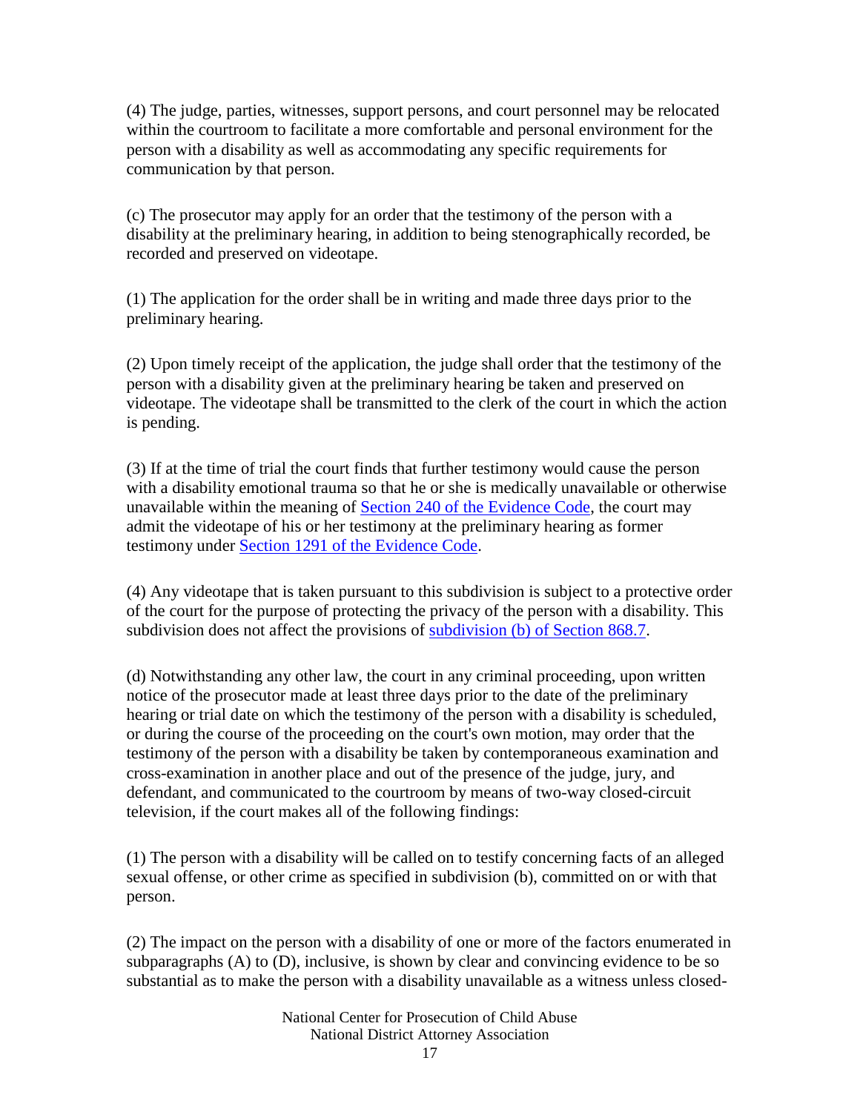(4) The judge, parties, witnesses, support persons, and court personnel may be relocated within the courtroom to facilitate a more comfortable and personal environment for the person with a disability as well as accommodating any specific requirements for communication by that person.

(c) The prosecutor may apply for an order that the testimony of the person with a disability at the preliminary hearing, in addition to being stenographically recorded, be recorded and preserved on videotape.

(1) The application for the order shall be in writing and made three days prior to the preliminary hearing.

(2) Upon timely receipt of the application, the judge shall order that the testimony of the person with a disability given at the preliminary hearing be taken and preserved on videotape. The videotape shall be transmitted to the clerk of the court in which the action is pending.

(3) If at the time of trial the court finds that further testimony would cause the person with a disability emotional trauma so that he or she is medically unavailable or otherwise unavailable within the meaning of Section 240 of the Evidence Code, the court may admit the videotape of his or her testimony at the preliminary hearing as former testimony under Section 1291 of the Evidence Code.

(4) Any videotape that is taken pursuant to this subdivision is subject to a protective order of the court for the purpose of protecting the privacy of the person with a disability. This subdivision does not affect the provisions of subdivision (b) of Section 868.7.

(d) Notwithstanding any other law, the court in any criminal proceeding, upon written notice of the prosecutor made at least three days prior to the date of the preliminary hearing or trial date on which the testimony of the person with a disability is scheduled, or during the course of the proceeding on the court's own motion, may order that the testimony of the person with a disability be taken by contemporaneous examination and cross-examination in another place and out of the presence of the judge, jury, and defendant, and communicated to the courtroom by means of two-way closed-circuit television, if the court makes all of the following findings:

(1) The person with a disability will be called on to testify concerning facts of an alleged sexual offense, or other crime as specified in subdivision (b), committed on or with that person.

(2) The impact on the person with a disability of one or more of the factors enumerated in subparagraphs (A) to (D), inclusive, is shown by clear and convincing evidence to be so substantial as to make the person with a disability unavailable as a witness unless closed-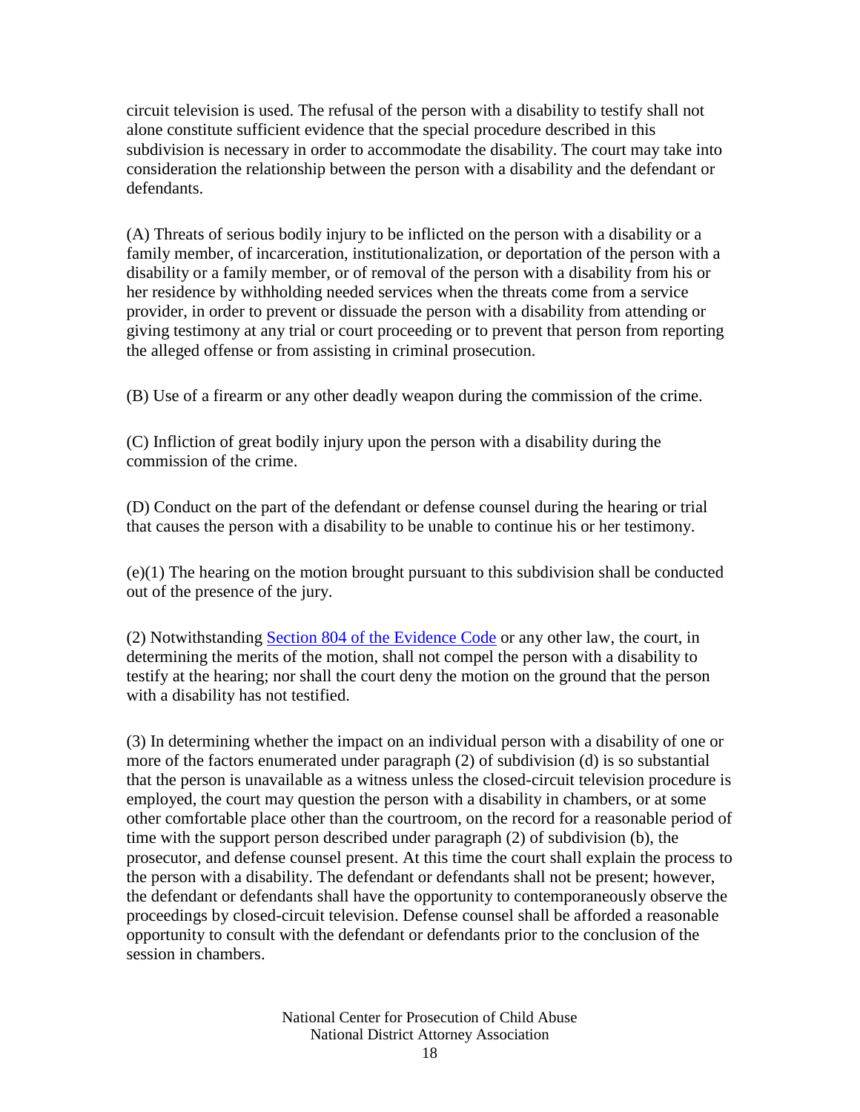circuit television is used. The refusal of the person with a disability to testify shall not alone constitute sufficient evidence that the special procedure described in this subdivision is necessary in order to accommodate the disability. The court may take into consideration the relationship between the person with a disability and the defendant or defendants.

(A) Threats of serious bodily injury to be inflicted on the person with a disability or a family member, of incarceration, institutionalization, or deportation of the person with a disability or a family member, or of removal of the person with a disability from his or her residence by withholding needed services when the threats come from a service provider, in order to prevent or dissuade the person with a disability from attending or giving testimony at any trial or court proceeding or to prevent that person from reporting the alleged offense or from assisting in criminal prosecution.

(B) Use of a firearm or any other deadly weapon during the commission of the crime.

(C) Infliction of great bodily injury upon the person with a disability during the commission of the crime.

(D) Conduct on the part of the defendant or defense counsel during the hearing or trial that causes the person with a disability to be unable to continue his or her testimony.

(e)(1) The hearing on the motion brought pursuant to this subdivision shall be conducted out of the presence of the jury.

(2) Notwithstanding Section 804 of the Evidence Code or any other law, the court, in determining the merits of the motion, shall not compel the person with a disability to testify at the hearing; nor shall the court deny the motion on the ground that the person with a disability has not testified.

(3) In determining whether the impact on an individual person with a disability of one or more of the factors enumerated under paragraph (2) of subdivision (d) is so substantial that the person is unavailable as a witness unless the closed-circuit television procedure is employed, the court may question the person with a disability in chambers, or at some other comfortable place other than the courtroom, on the record for a reasonable period of time with the support person described under paragraph (2) of subdivision (b), the prosecutor, and defense counsel present. At this time the court shall explain the process to the person with a disability. The defendant or defendants shall not be present; however, the defendant or defendants shall have the opportunity to contemporaneously observe the proceedings by closed-circuit television. Defense counsel shall be afforded a reasonable opportunity to consult with the defendant or defendants prior to the conclusion of the session in chambers.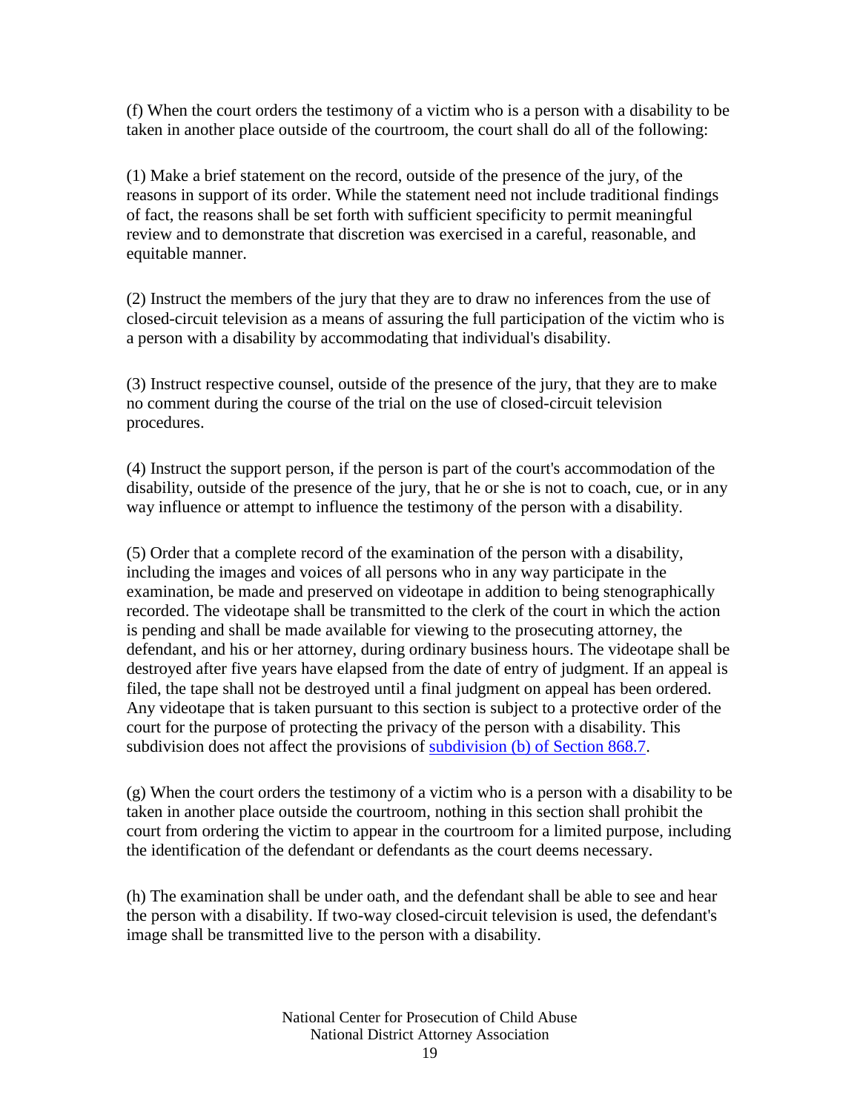(f) When the court orders the testimony of a victim who is a person with a disability to be taken in another place outside of the courtroom, the court shall do all of the following:

(1) Make a brief statement on the record, outside of the presence of the jury, of the reasons in support of its order. While the statement need not include traditional findings of fact, the reasons shall be set forth with sufficient specificity to permit meaningful review and to demonstrate that discretion was exercised in a careful, reasonable, and equitable manner.

(2) Instruct the members of the jury that they are to draw no inferences from the use of closed-circuit television as a means of assuring the full participation of the victim who is a person with a disability by accommodating that individual's disability.

(3) Instruct respective counsel, outside of the presence of the jury, that they are to make no comment during the course of the trial on the use of closed-circuit television procedures.

(4) Instruct the support person, if the person is part of the court's accommodation of the disability, outside of the presence of the jury, that he or she is not to coach, cue, or in any way influence or attempt to influence the testimony of the person with a disability.

(5) Order that a complete record of the examination of the person with a disability, including the images and voices of all persons who in any way participate in the examination, be made and preserved on videotape in addition to being stenographically recorded. The videotape shall be transmitted to the clerk of the court in which the action is pending and shall be made available for viewing to the prosecuting attorney, the defendant, and his or her attorney, during ordinary business hours. The videotape shall be destroyed after five years have elapsed from the date of entry of judgment. If an appeal is filed, the tape shall not be destroyed until a final judgment on appeal has been ordered. Any videotape that is taken pursuant to this section is subject to a protective order of the court for the purpose of protecting the privacy of the person with a disability. This subdivision does not affect the provisions of subdivision (b) of Section 868.7.

(g) When the court orders the testimony of a victim who is a person with a disability to be taken in another place outside the courtroom, nothing in this section shall prohibit the court from ordering the victim to appear in the courtroom for a limited purpose, including the identification of the defendant or defendants as the court deems necessary.

(h) The examination shall be under oath, and the defendant shall be able to see and hear the person with a disability. If two-way closed-circuit television is used, the defendant's image shall be transmitted live to the person with a disability.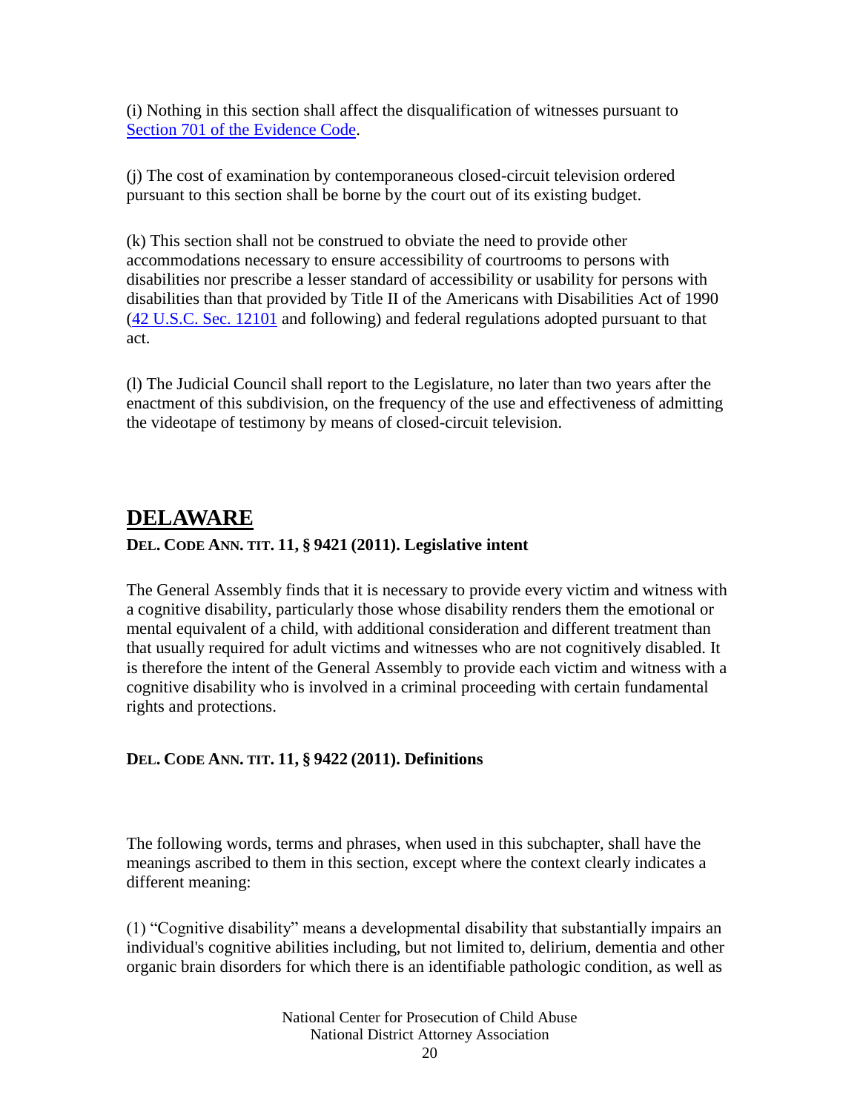(i) Nothing in this section shall affect the disqualification of witnesses pursuant to Section 701 of the Evidence Code.

(j) The cost of examination by contemporaneous closed-circuit television ordered pursuant to this section shall be borne by the court out of its existing budget.

(k) This section shall not be construed to obviate the need to provide other accommodations necessary to ensure accessibility of courtrooms to persons with disabilities nor prescribe a lesser standard of accessibility or usability for persons with disabilities than that provided by Title II of the Americans with Disabilities Act of 1990 (42 U.S.C. Sec. 12101 and following) and federal regulations adopted pursuant to that act.

(l) The Judicial Council shall report to the Legislature, no later than two years after the enactment of this subdivision, on the frequency of the use and effectiveness of admitting the videotape of testimony by means of closed-circuit television.

### <span id="page-19-0"></span>**DELAWARE**

#### <span id="page-19-1"></span>**DEL. CODE ANN. TIT. 11, § 9421 (2011). Legislative intent**

The General Assembly finds that it is necessary to provide every victim and witness with a cognitive disability, particularly those whose disability renders them the emotional or mental equivalent of a child, with additional consideration and different treatment than that usually required for adult victims and witnesses who are not cognitively disabled. It is therefore the intent of the General Assembly to provide each victim and witness with a cognitive disability who is involved in a criminal proceeding with certain fundamental rights and protections.

#### <span id="page-19-2"></span>**DEL. CODE ANN. TIT. 11, § 9422 (2011). Definitions**

The following words, terms and phrases, when used in this subchapter, shall have the meanings ascribed to them in this section, except where the context clearly indicates a different meaning:

(1) "Cognitive disability" means a developmental disability that substantially impairs an individual's cognitive abilities including, but not limited to, delirium, dementia and other organic brain disorders for which there is an identifiable pathologic condition, as well as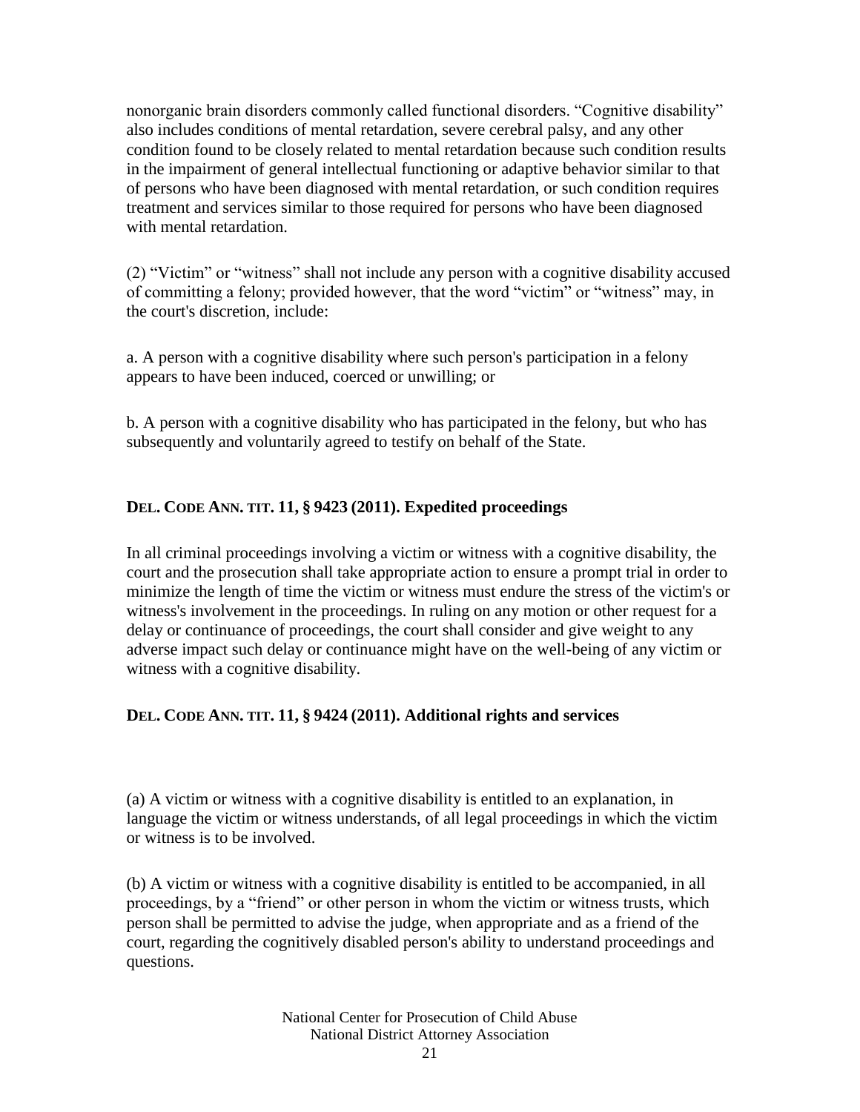nonorganic brain disorders commonly called functional disorders. "Cognitive disability" also includes conditions of mental retardation, severe cerebral palsy, and any other condition found to be closely related to mental retardation because such condition results in the impairment of general intellectual functioning or adaptive behavior similar to that of persons who have been diagnosed with mental retardation, or such condition requires treatment and services similar to those required for persons who have been diagnosed with mental retardation.

(2) "Victim" or "witness" shall not include any person with a cognitive disability accused of committing a felony; provided however, that the word "victim" or "witness" may, in the court's discretion, include:

a. A person with a cognitive disability where such person's participation in a felony appears to have been induced, coerced or unwilling; or

b. A person with a cognitive disability who has participated in the felony, but who has subsequently and voluntarily agreed to testify on behalf of the State.

#### <span id="page-20-0"></span>**DEL. CODE ANN. TIT. 11, § 9423 (2011). Expedited proceedings**

In all criminal proceedings involving a victim or witness with a cognitive disability, the court and the prosecution shall take appropriate action to ensure a prompt trial in order to minimize the length of time the victim or witness must endure the stress of the victim's or witness's involvement in the proceedings. In ruling on any motion or other request for a delay or continuance of proceedings, the court shall consider and give weight to any adverse impact such delay or continuance might have on the well-being of any victim or witness with a cognitive disability.

#### <span id="page-20-1"></span>**DEL. CODE ANN. TIT. 11, § 9424 (2011). Additional rights and services**

(a) A victim or witness with a cognitive disability is entitled to an explanation, in language the victim or witness understands, of all legal proceedings in which the victim or witness is to be involved.

(b) A victim or witness with a cognitive disability is entitled to be accompanied, in all proceedings, by a "friend" or other person in whom the victim or witness trusts, which person shall be permitted to advise the judge, when appropriate and as a friend of the court, regarding the cognitively disabled person's ability to understand proceedings and questions.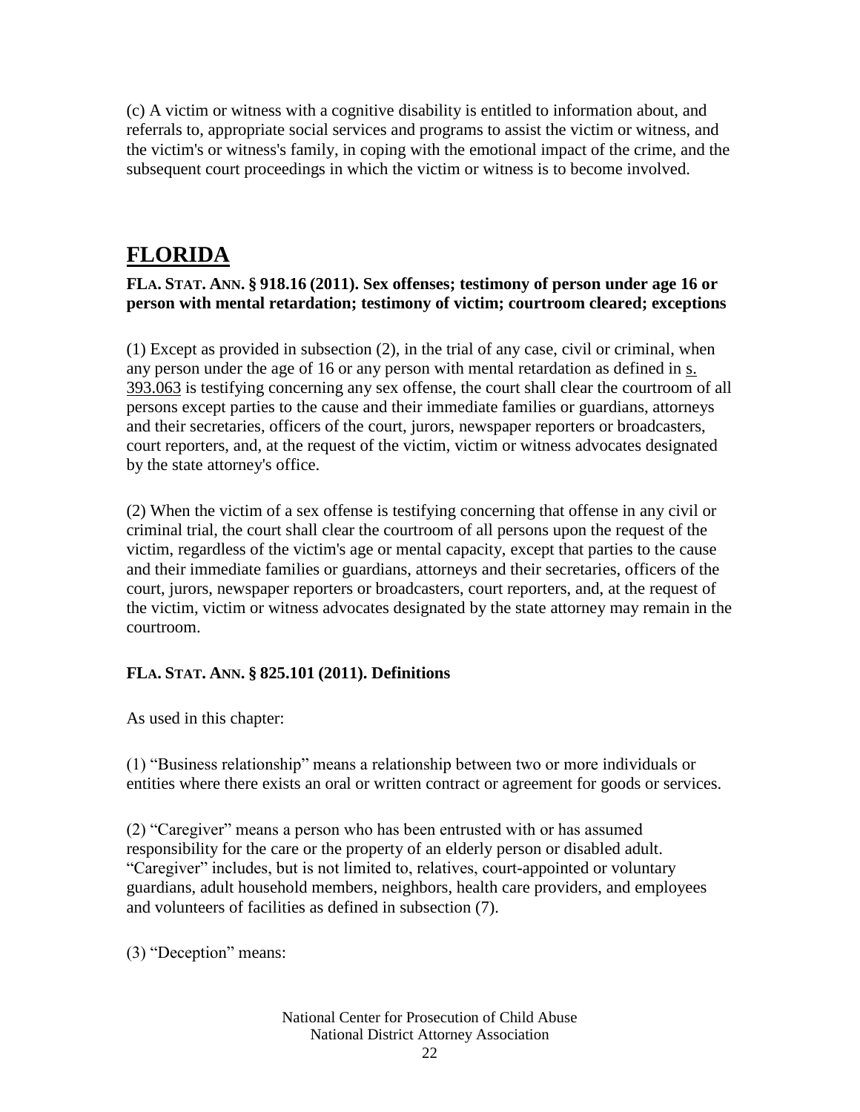(c) A victim or witness with a cognitive disability is entitled to information about, and referrals to, appropriate social services and programs to assist the victim or witness, and the victim's or witness's family, in coping with the emotional impact of the crime, and the subsequent court proceedings in which the victim or witness is to become involved.

# <span id="page-21-0"></span>**FLORIDA**

#### <span id="page-21-1"></span>**FLA. STAT. ANN. § 918.16 (2011). Sex offenses; testimony of person under age 16 or person with mental retardation; testimony of victim; courtroom cleared; exceptions**

(1) Except as provided in subsection (2), in the trial of any case, civil or criminal, when any person under the age of 16 or any person with mental retardation as defined in  $s$ . 393.063 is testifying concerning any sex offense, the court shall clear the courtroom of all persons except parties to the cause and their immediate families or guardians, attorneys and their secretaries, officers of the court, jurors, newspaper reporters or broadcasters, court reporters, and, at the request of the victim, victim or witness advocates designated by the state attorney's office.

(2) When the victim of a sex offense is testifying concerning that offense in any civil or criminal trial, the court shall clear the courtroom of all persons upon the request of the victim, regardless of the victim's age or mental capacity, except that parties to the cause and their immediate families or guardians, attorneys and their secretaries, officers of the court, jurors, newspaper reporters or broadcasters, court reporters, and, at the request of the victim, victim or witness advocates designated by the state attorney may remain in the courtroom.

#### <span id="page-21-2"></span>**FLA. STAT. ANN. § 825.101 (2011). Definitions**

As used in this chapter:

(1) "Business relationship" means a relationship between two or more individuals or entities where there exists an oral or written contract or agreement for goods or services.

(2) "Caregiver" means a person who has been entrusted with or has assumed responsibility for the care or the property of an elderly person or disabled adult. "Caregiver" includes, but is not limited to, relatives, court-appointed or voluntary guardians, adult household members, neighbors, health care providers, and employees and volunteers of facilities as defined in subsection (7).

(3) "Deception" means: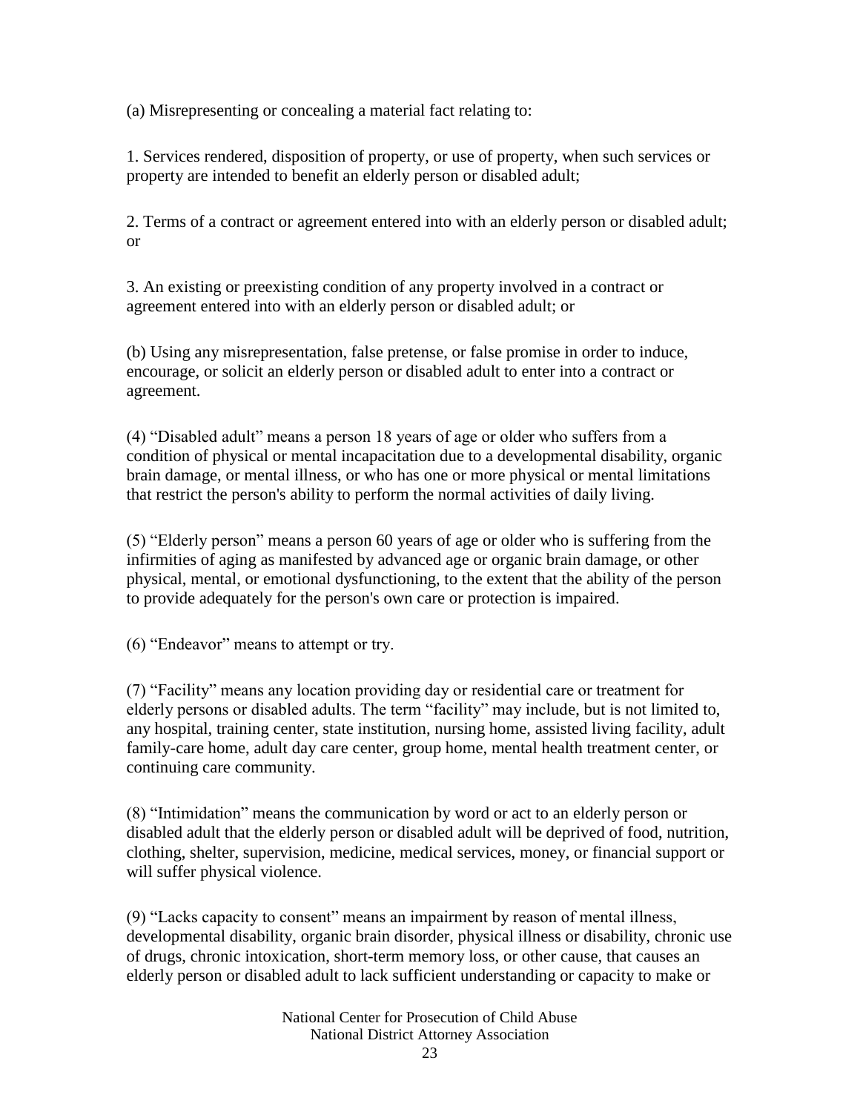(a) Misrepresenting or concealing a material fact relating to:

1. Services rendered, disposition of property, or use of property, when such services or property are intended to benefit an elderly person or disabled adult;

2. Terms of a contract or agreement entered into with an elderly person or disabled adult; or

3. An existing or preexisting condition of any property involved in a contract or agreement entered into with an elderly person or disabled adult; or

(b) Using any misrepresentation, false pretense, or false promise in order to induce, encourage, or solicit an elderly person or disabled adult to enter into a contract or agreement.

(4) "Disabled adult" means a person 18 years of age or older who suffers from a condition of physical or mental incapacitation due to a developmental disability, organic brain damage, or mental illness, or who has one or more physical or mental limitations that restrict the person's ability to perform the normal activities of daily living.

(5) "Elderly person" means a person 60 years of age or older who is suffering from the infirmities of aging as manifested by advanced age or organic brain damage, or other physical, mental, or emotional dysfunctioning, to the extent that the ability of the person to provide adequately for the person's own care or protection is impaired.

(6) "Endeavor" means to attempt or try.

(7) "Facility" means any location providing day or residential care or treatment for elderly persons or disabled adults. The term "facility" may include, but is not limited to, any hospital, training center, state institution, nursing home, assisted living facility, adult family-care home, adult day care center, group home, mental health treatment center, or continuing care community.

(8) "Intimidation" means the communication by word or act to an elderly person or disabled adult that the elderly person or disabled adult will be deprived of food, nutrition, clothing, shelter, supervision, medicine, medical services, money, or financial support or will suffer physical violence.

(9) "Lacks capacity to consent" means an impairment by reason of mental illness, developmental disability, organic brain disorder, physical illness or disability, chronic use of drugs, chronic intoxication, short-term memory loss, or other cause, that causes an elderly person or disabled adult to lack sufficient understanding or capacity to make or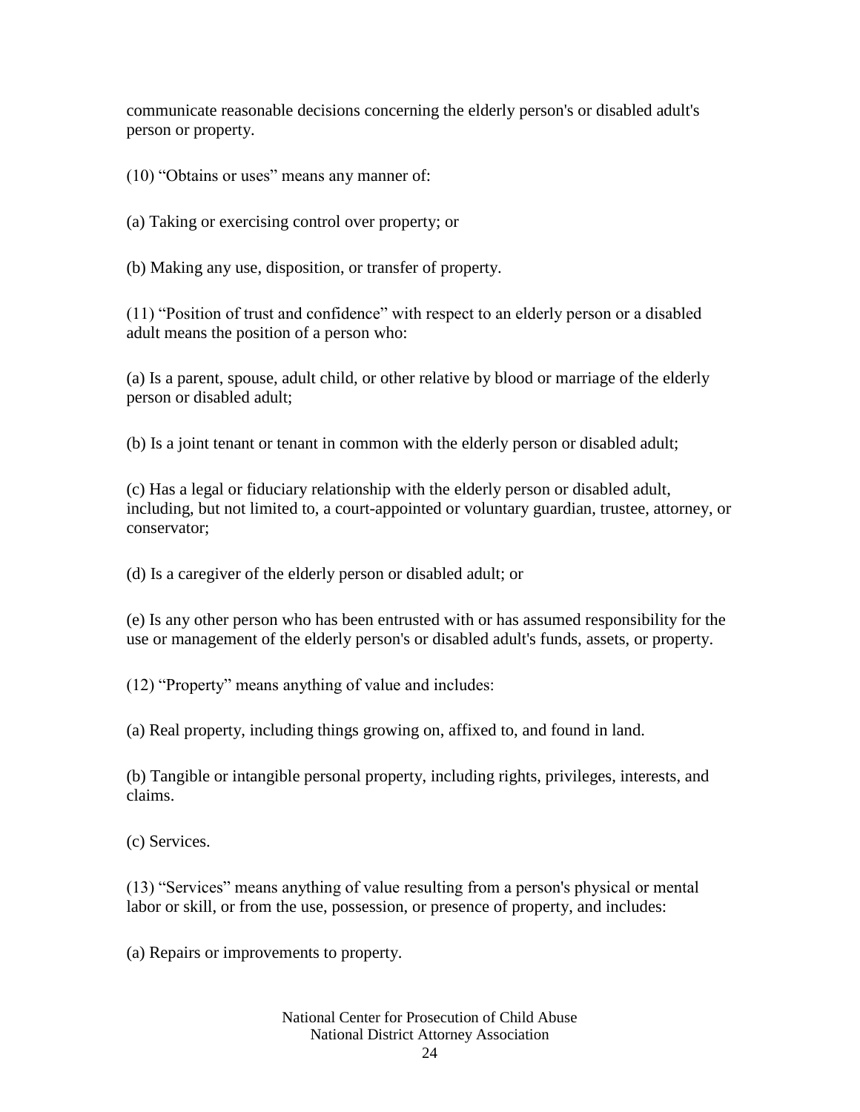communicate reasonable decisions concerning the elderly person's or disabled adult's person or property.

(10) "Obtains or uses" means any manner of:

(a) Taking or exercising control over property; or

(b) Making any use, disposition, or transfer of property.

(11) "Position of trust and confidence" with respect to an elderly person or a disabled adult means the position of a person who:

(a) Is a parent, spouse, adult child, or other relative by blood or marriage of the elderly person or disabled adult;

(b) Is a joint tenant or tenant in common with the elderly person or disabled adult;

(c) Has a legal or fiduciary relationship with the elderly person or disabled adult, including, but not limited to, a court-appointed or voluntary guardian, trustee, attorney, or conservator;

(d) Is a caregiver of the elderly person or disabled adult; or

(e) Is any other person who has been entrusted with or has assumed responsibility for the use or management of the elderly person's or disabled adult's funds, assets, or property.

(12) "Property" means anything of value and includes:

(a) Real property, including things growing on, affixed to, and found in land.

(b) Tangible or intangible personal property, including rights, privileges, interests, and claims.

(c) Services.

(13) "Services" means anything of value resulting from a person's physical or mental labor or skill, or from the use, possession, or presence of property, and includes:

(a) Repairs or improvements to property.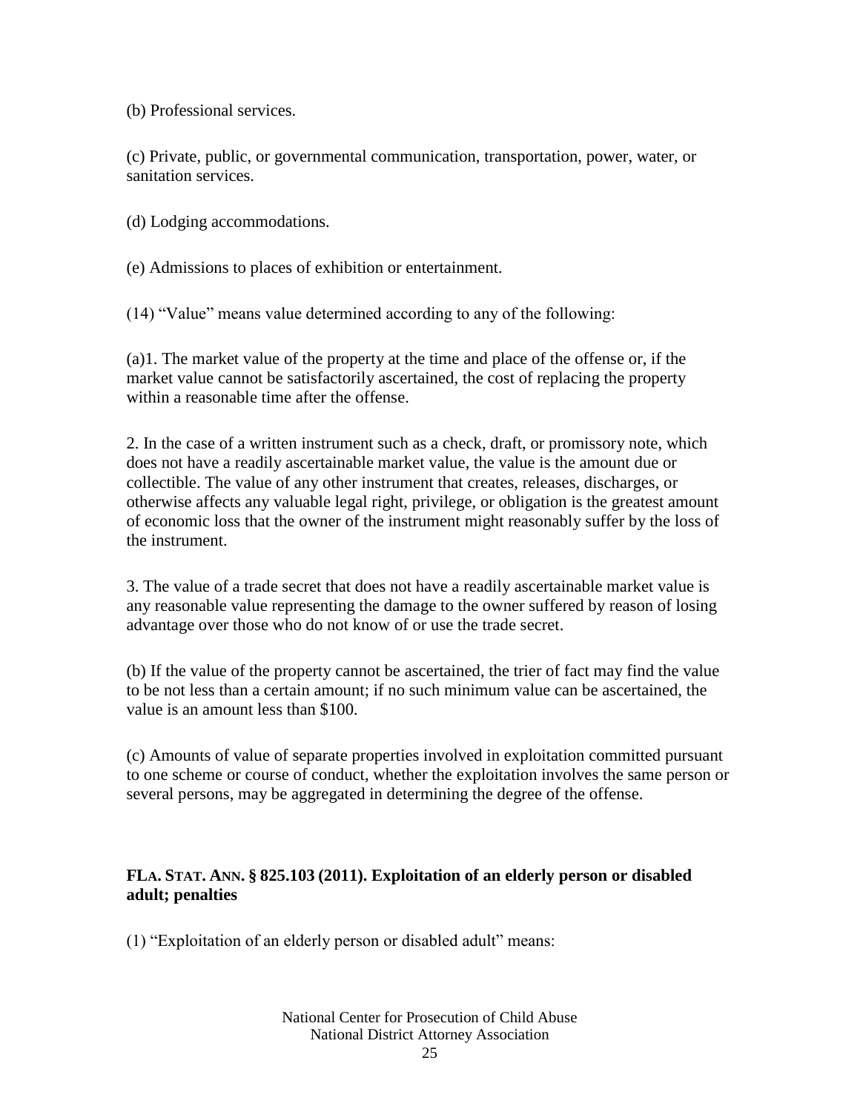(b) Professional services.

(c) Private, public, or governmental communication, transportation, power, water, or sanitation services.

(d) Lodging accommodations.

(e) Admissions to places of exhibition or entertainment.

(14) "Value" means value determined according to any of the following:

(a)1. The market value of the property at the time and place of the offense or, if the market value cannot be satisfactorily ascertained, the cost of replacing the property within a reasonable time after the offense.

2. In the case of a written instrument such as a check, draft, or promissory note, which does not have a readily ascertainable market value, the value is the amount due or collectible. The value of any other instrument that creates, releases, discharges, or otherwise affects any valuable legal right, privilege, or obligation is the greatest amount of economic loss that the owner of the instrument might reasonably suffer by the loss of the instrument.

3. The value of a trade secret that does not have a readily ascertainable market value is any reasonable value representing the damage to the owner suffered by reason of losing advantage over those who do not know of or use the trade secret.

(b) If the value of the property cannot be ascertained, the trier of fact may find the value to be not less than a certain amount; if no such minimum value can be ascertained, the value is an amount less than \$100.

(c) Amounts of value of separate properties involved in exploitation committed pursuant to one scheme or course of conduct, whether the exploitation involves the same person or several persons, may be aggregated in determining the degree of the offense.

#### <span id="page-24-0"></span>**FLA. STAT. ANN. § 825.103 (2011). Exploitation of an elderly person or disabled adult; penalties**

(1) "Exploitation of an elderly person or disabled adult" means: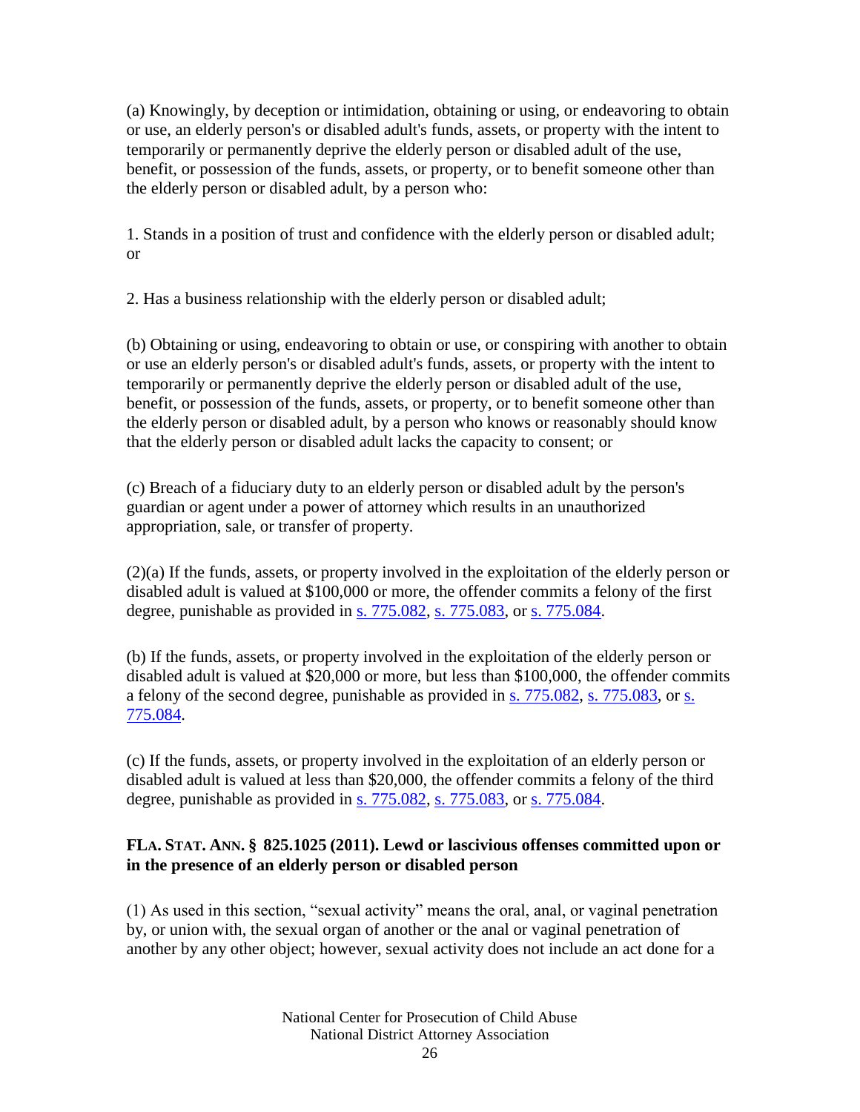(a) Knowingly, by deception or intimidation, obtaining or using, or endeavoring to obtain or use, an elderly person's or disabled adult's funds, assets, or property with the intent to temporarily or permanently deprive the elderly person or disabled adult of the use, benefit, or possession of the funds, assets, or property, or to benefit someone other than the elderly person or disabled adult, by a person who:

1. Stands in a position of trust and confidence with the elderly person or disabled adult; or

2. Has a business relationship with the elderly person or disabled adult;

(b) Obtaining or using, endeavoring to obtain or use, or conspiring with another to obtain or use an elderly person's or disabled adult's funds, assets, or property with the intent to temporarily or permanently deprive the elderly person or disabled adult of the use, benefit, or possession of the funds, assets, or property, or to benefit someone other than the elderly person or disabled adult, by a person who knows or reasonably should know that the elderly person or disabled adult lacks the capacity to consent; or

(c) Breach of a fiduciary duty to an elderly person or disabled adult by the person's guardian or agent under a power of attorney which results in an unauthorized appropriation, sale, or transfer of property.

(2)(a) If the funds, assets, or property involved in the exploitation of the elderly person or disabled adult is valued at \$100,000 or more, the offender commits a felony of the first degree, punishable as provided in s. 775.082, s. 775.083, or s. 775.084.

(b) If the funds, assets, or property involved in the exploitation of the elderly person or disabled adult is valued at \$20,000 or more, but less than \$100,000, the offender commits a felony of the second degree, punishable as provided in s. 775.082, s. 775.083, or s. 775.084.

(c) If the funds, assets, or property involved in the exploitation of an elderly person or disabled adult is valued at less than \$20,000, the offender commits a felony of the third degree, punishable as provided in s. 775.082, s. 775.083, or s. 775.084.

#### <span id="page-25-0"></span>**FLA. STAT. ANN. § 825.1025 (2011). Lewd or lascivious offenses committed upon or in the presence of an elderly person or disabled person**

(1) As used in this section, "sexual activity" means the oral, anal, or vaginal penetration by, or union with, the sexual organ of another or the anal or vaginal penetration of another by any other object; however, sexual activity does not include an act done for a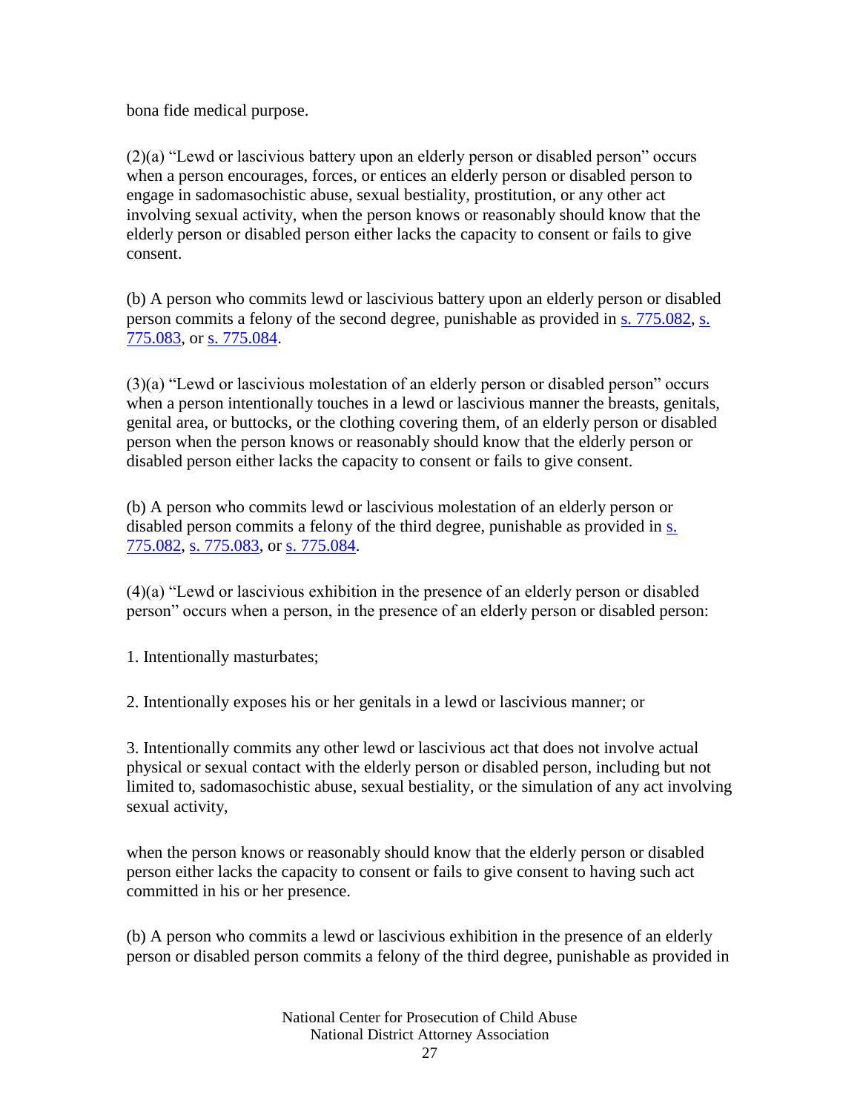bona fide medical purpose.

(2)(a) "Lewd or lascivious battery upon an elderly person or disabled person" occurs when a person encourages, forces, or entices an elderly person or disabled person to engage in sadomasochistic abuse, sexual bestiality, prostitution, or any other act involving sexual activity, when the person knows or reasonably should know that the elderly person or disabled person either lacks the capacity to consent or fails to give consent.

(b) A person who commits lewd or lascivious battery upon an elderly person or disabled person commits a felony of the second degree, punishable as provided in s. 775.082, s. 775.083, or s. 775.084.

(3)(a) "Lewd or lascivious molestation of an elderly person or disabled person" occurs when a person intentionally touches in a lewd or lascivious manner the breasts, genitals, genital area, or buttocks, or the clothing covering them, of an elderly person or disabled person when the person knows or reasonably should know that the elderly person or disabled person either lacks the capacity to consent or fails to give consent.

(b) A person who commits lewd or lascivious molestation of an elderly person or disabled person commits a felony of the third degree, punishable as provided in s. 775.082, s. 775.083, or s. 775.084.

(4)(a) "Lewd or lascivious exhibition in the presence of an elderly person or disabled person" occurs when a person, in the presence of an elderly person or disabled person:

1. Intentionally masturbates;

2. Intentionally exposes his or her genitals in a lewd or lascivious manner; or

3. Intentionally commits any other lewd or lascivious act that does not involve actual physical or sexual contact with the elderly person or disabled person, including but not limited to, sadomasochistic abuse, sexual bestiality, or the simulation of any act involving sexual activity,

when the person knows or reasonably should know that the elderly person or disabled person either lacks the capacity to consent or fails to give consent to having such act committed in his or her presence.

(b) A person who commits a lewd or lascivious exhibition in the presence of an elderly person or disabled person commits a felony of the third degree, punishable as provided in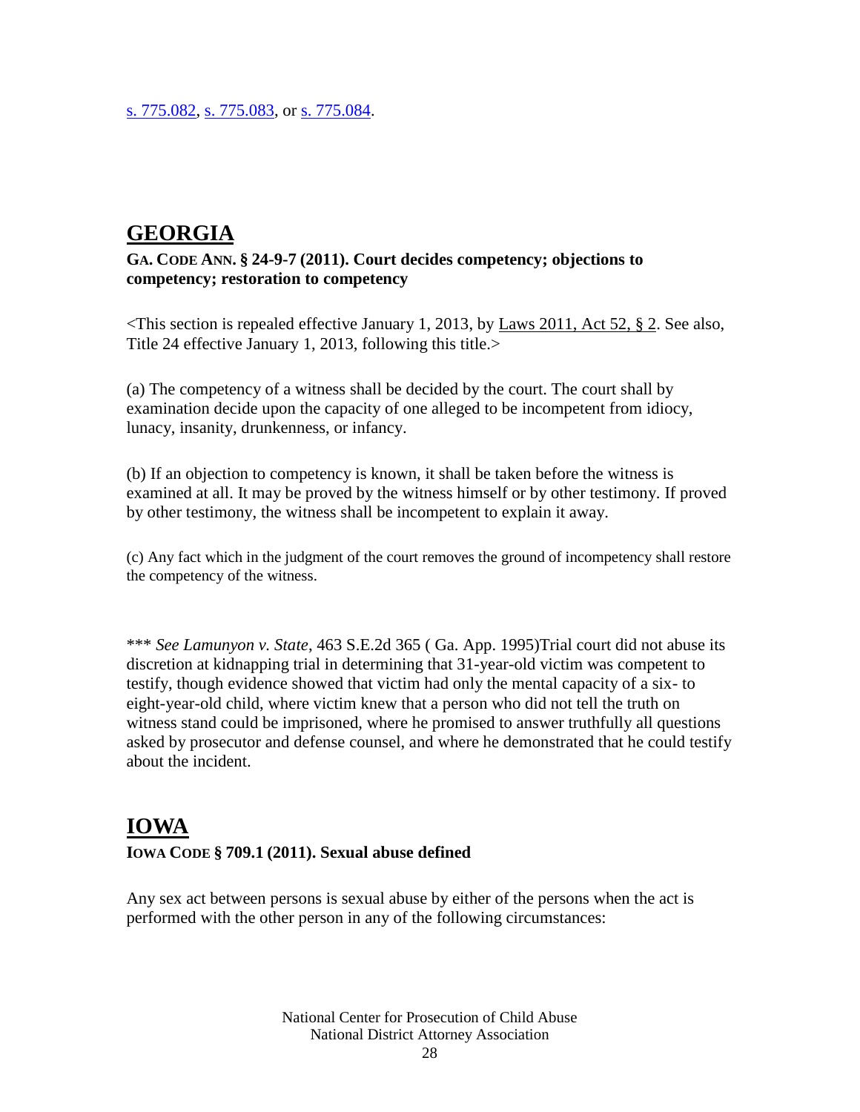s. 775.082, s. 775.083, or s. 775.084.

# <span id="page-27-0"></span>**GEORGIA**

#### <span id="page-27-1"></span>**GA. CODE ANN. § 24-9-7 (2011). Court decides competency; objections to competency; restoration to competency**

<This section is repealed effective January 1, 2013, by Laws 2011, Act 52, § 2. See also, Title 24 effective January 1, 2013, following this title.>

(a) The competency of a witness shall be decided by the court. The court shall by examination decide upon the capacity of one alleged to be incompetent from idiocy, lunacy, insanity, drunkenness, or infancy.

(b) If an objection to competency is known, it shall be taken before the witness is examined at all. It may be proved by the witness himself or by other testimony. If proved by other testimony, the witness shall be incompetent to explain it away.

(c) Any fact which in the judgment of the court removes the ground of incompetency shall restore the competency of the witness.

\*\*\* *See Lamunyon v. State*, 463 S.E.2d 365 ( Ga. App. 1995)Trial court did not abuse its discretion at kidnapping trial in determining that 31-year-old victim was competent to testify, though evidence showed that victim had only the mental capacity of a six- to eight-year-old child, where victim knew that a person who did not tell the truth on witness stand could be imprisoned, where he promised to answer truthfully all questions asked by prosecutor and defense counsel, and where he demonstrated that he could testify about the incident.

### <span id="page-27-3"></span><span id="page-27-2"></span>**IOWA IOWA CODE § 709.1 (2011). Sexual abuse defined**

Any sex act between persons is sexual abuse by either of the persons when the act is performed with the other person in any of the following circumstances: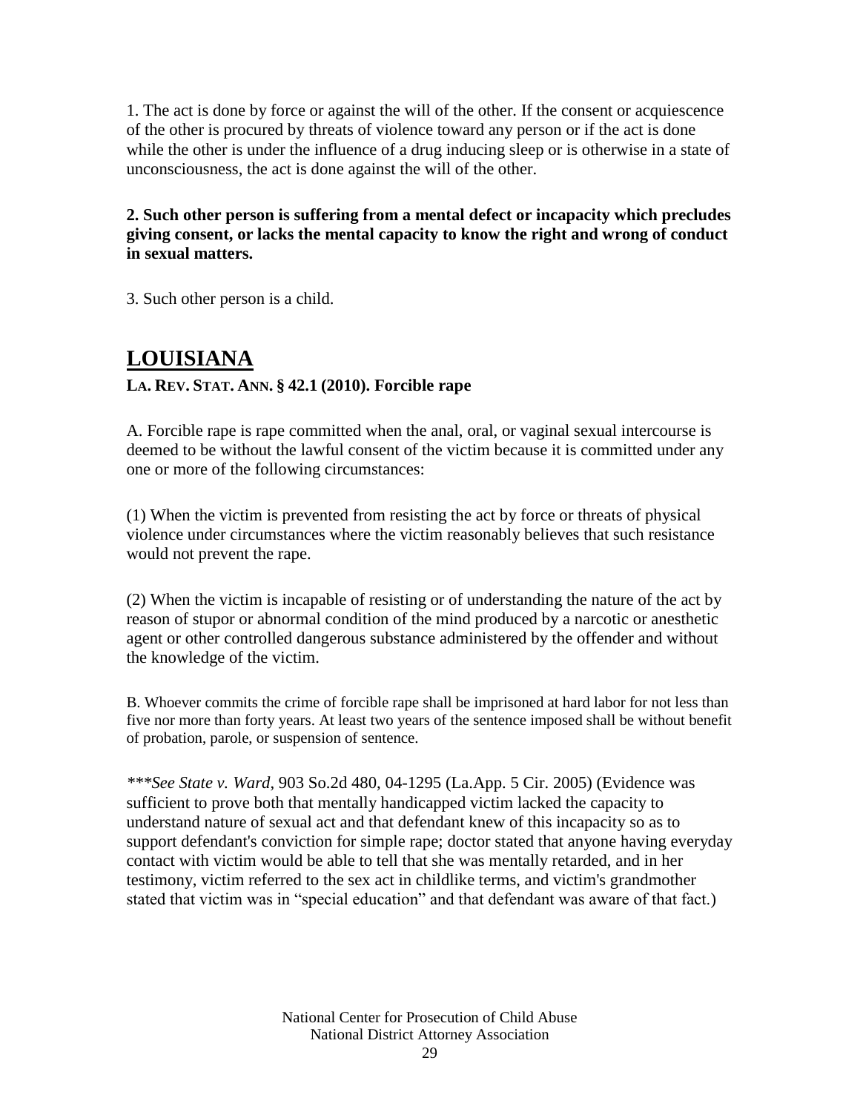1. The act is done by force or against the will of the other. If the consent or acquiescence of the other is procured by threats of violence toward any person or if the act is done while the other is under the influence of a drug inducing sleep or is otherwise in a state of unconsciousness, the act is done against the will of the other.

#### **2. Such other person is suffering from a mental defect or incapacity which precludes giving consent, or lacks the mental capacity to know the right and wrong of conduct in sexual matters.**

3. Such other person is a child.

# <span id="page-28-0"></span>**LOUISIANA**

#### <span id="page-28-1"></span>**LA. REV. STAT. ANN. § 42.1 (2010). Forcible rape**

A. Forcible rape is rape committed when the anal, oral, or vaginal sexual intercourse is deemed to be without the lawful consent of the victim because it is committed under any one or more of the following circumstances:

(1) When the victim is prevented from resisting the act by force or threats of physical violence under circumstances where the victim reasonably believes that such resistance would not prevent the rape.

(2) When the victim is incapable of resisting or of understanding the nature of the act by reason of stupor or abnormal condition of the mind produced by a narcotic or anesthetic agent or other controlled dangerous substance administered by the offender and without the knowledge of the victim.

B. Whoever commits the crime of forcible rape shall be imprisoned at hard labor for not less than five nor more than forty years. At least two years of the sentence imposed shall be without benefit of probation, parole, or suspension of sentence.

*\*\*\*See State v. Ward*, 903 So.2d 480, 04-1295 (La.App. 5 Cir. 2005) (Evidence was sufficient to prove both that mentally handicapped victim lacked the capacity to understand nature of sexual act and that defendant knew of this incapacity so as to support defendant's conviction for simple rape; doctor stated that anyone having everyday contact with victim would be able to tell that she was mentally retarded, and in her testimony, victim referred to the sex act in childlike terms, and victim's grandmother stated that victim was in "special education" and that defendant was aware of that fact.)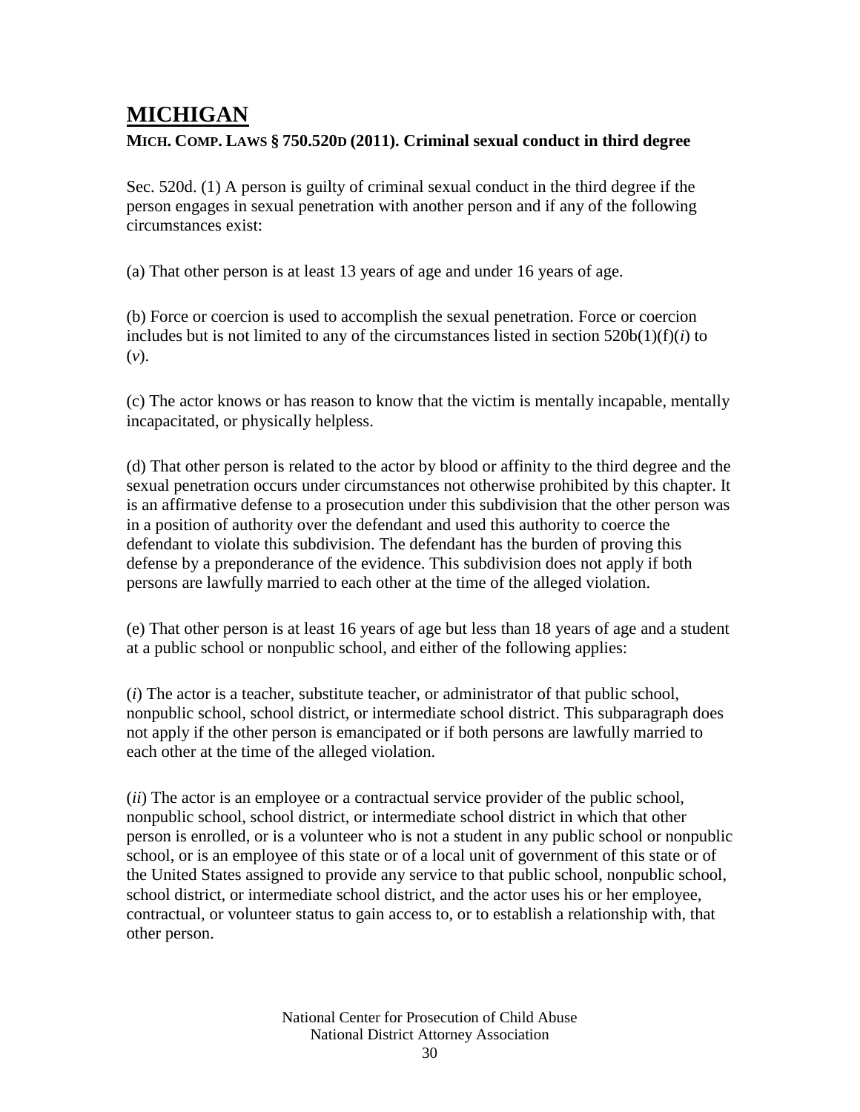# <span id="page-29-0"></span>**MICHIGAN**

#### <span id="page-29-1"></span>**MICH. COMP. LAWS § 750.520D (2011). Criminal sexual conduct in third degree**

Sec. 520d. (1) A person is guilty of criminal sexual conduct in the third degree if the person engages in sexual penetration with another person and if any of the following circumstances exist:

(a) That other person is at least 13 years of age and under 16 years of age.

(b) Force or coercion is used to accomplish the sexual penetration. Force or coercion includes but is not limited to any of the circumstances listed in section  $520b(1)(f)(i)$  to (*v*).

(c) The actor knows or has reason to know that the victim is mentally incapable, mentally incapacitated, or physically helpless.

(d) That other person is related to the actor by blood or affinity to the third degree and the sexual penetration occurs under circumstances not otherwise prohibited by this chapter. It is an affirmative defense to a prosecution under this subdivision that the other person was in a position of authority over the defendant and used this authority to coerce the defendant to violate this subdivision. The defendant has the burden of proving this defense by a preponderance of the evidence. This subdivision does not apply if both persons are lawfully married to each other at the time of the alleged violation.

(e) That other person is at least 16 years of age but less than 18 years of age and a student at a public school or nonpublic school, and either of the following applies:

(*i*) The actor is a teacher, substitute teacher, or administrator of that public school, nonpublic school, school district, or intermediate school district. This subparagraph does not apply if the other person is emancipated or if both persons are lawfully married to each other at the time of the alleged violation.

(*ii*) The actor is an employee or a contractual service provider of the public school, nonpublic school, school district, or intermediate school district in which that other person is enrolled, or is a volunteer who is not a student in any public school or nonpublic school, or is an employee of this state or of a local unit of government of this state or of the United States assigned to provide any service to that public school, nonpublic school, school district, or intermediate school district, and the actor uses his or her employee, contractual, or volunteer status to gain access to, or to establish a relationship with, that other person.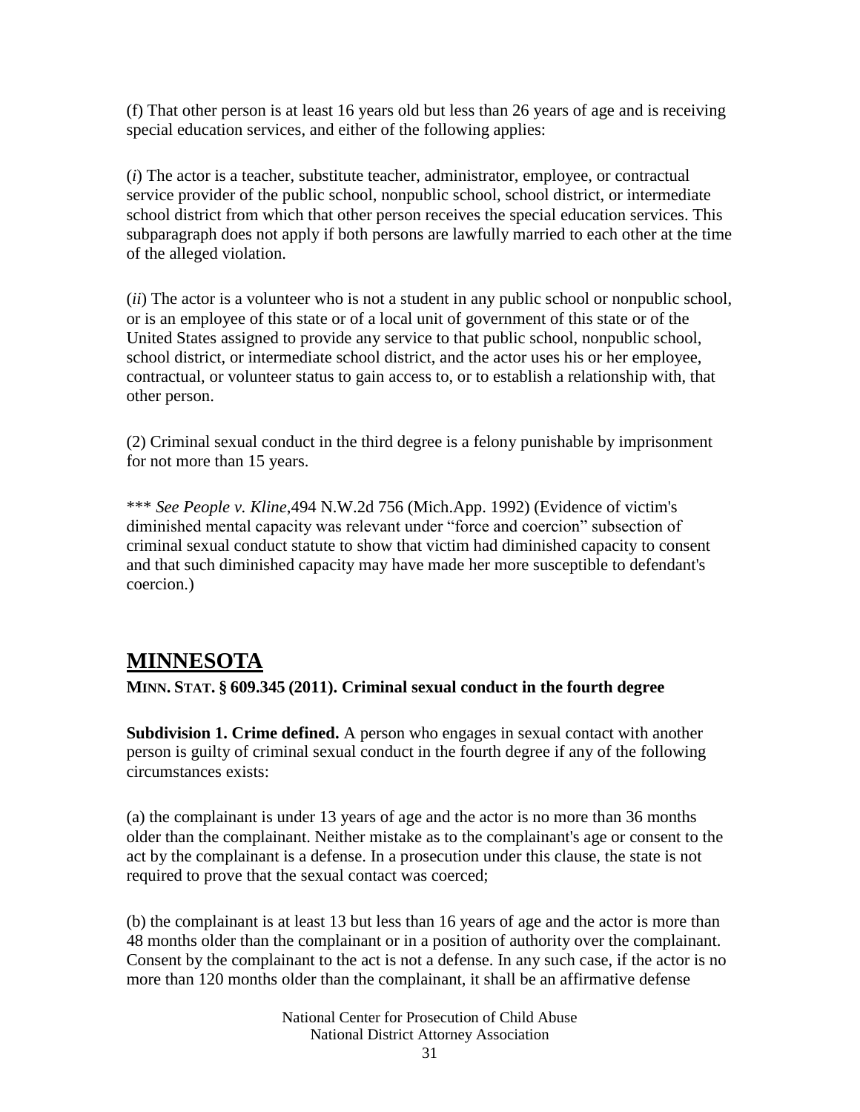(f) That other person is at least 16 years old but less than 26 years of age and is receiving special education services, and either of the following applies:

(*i*) The actor is a teacher, substitute teacher, administrator, employee, or contractual service provider of the public school, nonpublic school, school district, or intermediate school district from which that other person receives the special education services. This subparagraph does not apply if both persons are lawfully married to each other at the time of the alleged violation.

(*ii*) The actor is a volunteer who is not a student in any public school or nonpublic school, or is an employee of this state or of a local unit of government of this state or of the United States assigned to provide any service to that public school, nonpublic school, school district, or intermediate school district, and the actor uses his or her employee, contractual, or volunteer status to gain access to, or to establish a relationship with, that other person.

(2) Criminal sexual conduct in the third degree is a felony punishable by imprisonment for not more than 15 years.

\*\*\* *See People v. Kline*,494 N.W.2d 756 (Mich.App. 1992) (Evidence of victim's diminished mental capacity was relevant under "force and coercion" subsection of criminal sexual conduct statute to show that victim had diminished capacity to consent and that such diminished capacity may have made her more susceptible to defendant's coercion.)

# <span id="page-30-0"></span>**MINNESOTA**

<span id="page-30-1"></span>**MINN. STAT. § 609.345 (2011). Criminal sexual conduct in the fourth degree**

**Subdivision 1. Crime defined.** A person who engages in sexual contact with another person is guilty of criminal sexual conduct in the fourth degree if any of the following circumstances exists:

(a) the complainant is under 13 years of age and the actor is no more than 36 months older than the complainant. Neither mistake as to the complainant's age or consent to the act by the complainant is a defense. In a prosecution under this clause, the state is not required to prove that the sexual contact was coerced;

(b) the complainant is at least 13 but less than 16 years of age and the actor is more than 48 months older than the complainant or in a position of authority over the complainant. Consent by the complainant to the act is not a defense. In any such case, if the actor is no more than 120 months older than the complainant, it shall be an affirmative defense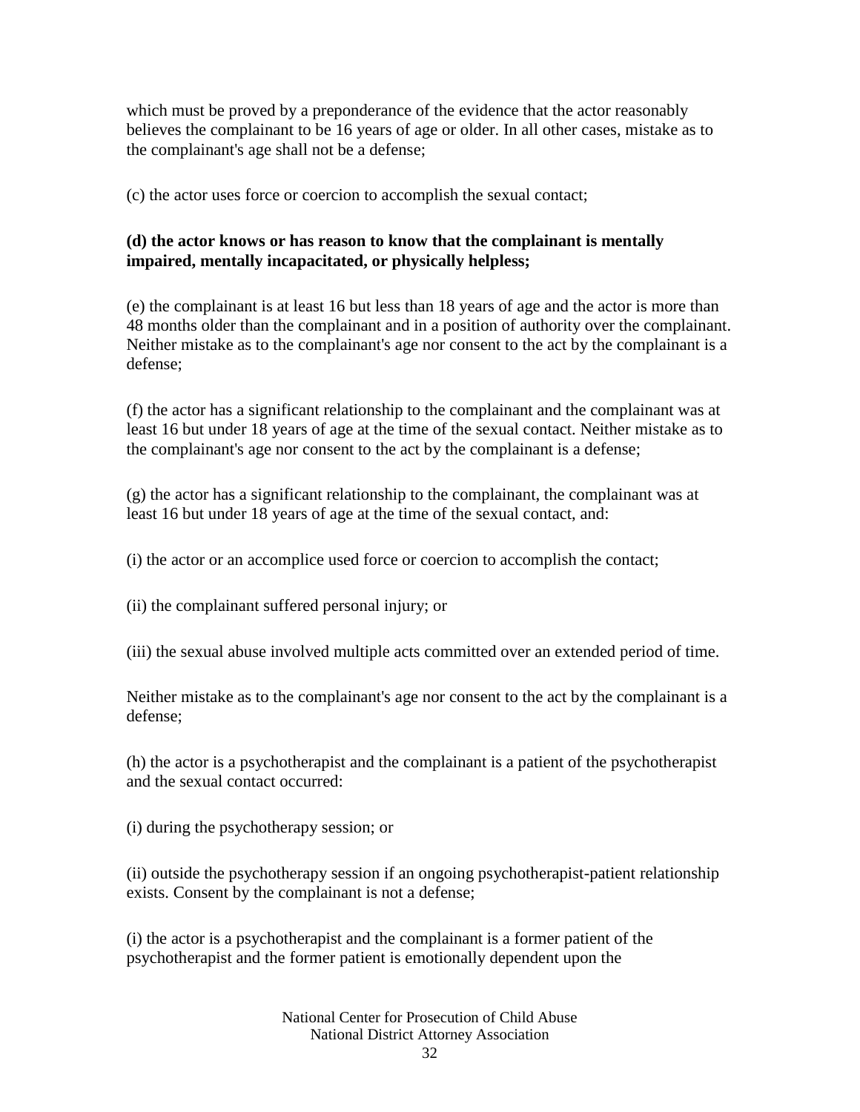which must be proved by a preponderance of the evidence that the actor reasonably believes the complainant to be 16 years of age or older. In all other cases, mistake as to the complainant's age shall not be a defense;

(c) the actor uses force or coercion to accomplish the sexual contact;

#### **(d) the actor knows or has reason to know that the complainant is mentally impaired, mentally incapacitated, or physically helpless;**

(e) the complainant is at least 16 but less than 18 years of age and the actor is more than 48 months older than the complainant and in a position of authority over the complainant. Neither mistake as to the complainant's age nor consent to the act by the complainant is a defense;

(f) the actor has a significant relationship to the complainant and the complainant was at least 16 but under 18 years of age at the time of the sexual contact. Neither mistake as to the complainant's age nor consent to the act by the complainant is a defense;

(g) the actor has a significant relationship to the complainant, the complainant was at least 16 but under 18 years of age at the time of the sexual contact, and:

- (i) the actor or an accomplice used force or coercion to accomplish the contact;
- (ii) the complainant suffered personal injury; or
- (iii) the sexual abuse involved multiple acts committed over an extended period of time.

Neither mistake as to the complainant's age nor consent to the act by the complainant is a defense;

(h) the actor is a psychotherapist and the complainant is a patient of the psychotherapist and the sexual contact occurred:

(i) during the psychotherapy session; or

(ii) outside the psychotherapy session if an ongoing psychotherapist-patient relationship exists. Consent by the complainant is not a defense;

(i) the actor is a psychotherapist and the complainant is a former patient of the psychotherapist and the former patient is emotionally dependent upon the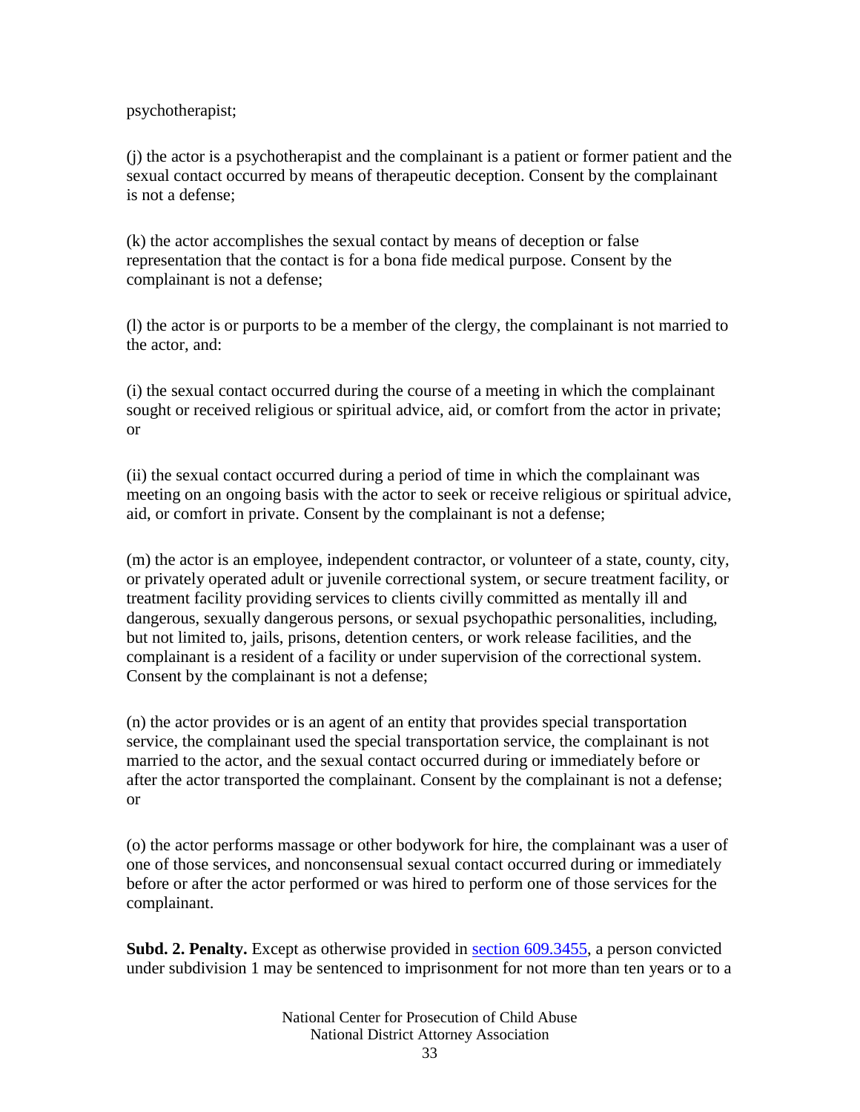psychotherapist;

(j) the actor is a psychotherapist and the complainant is a patient or former patient and the sexual contact occurred by means of therapeutic deception. Consent by the complainant is not a defense;

(k) the actor accomplishes the sexual contact by means of deception or false representation that the contact is for a bona fide medical purpose. Consent by the complainant is not a defense;

(l) the actor is or purports to be a member of the clergy, the complainant is not married to the actor, and:

(i) the sexual contact occurred during the course of a meeting in which the complainant sought or received religious or spiritual advice, aid, or comfort from the actor in private; or

(ii) the sexual contact occurred during a period of time in which the complainant was meeting on an ongoing basis with the actor to seek or receive religious or spiritual advice, aid, or comfort in private. Consent by the complainant is not a defense;

(m) the actor is an employee, independent contractor, or volunteer of a state, county, city, or privately operated adult or juvenile correctional system, or secure treatment facility, or treatment facility providing services to clients civilly committed as mentally ill and dangerous, sexually dangerous persons, or sexual psychopathic personalities, including, but not limited to, jails, prisons, detention centers, or work release facilities, and the complainant is a resident of a facility or under supervision of the correctional system. Consent by the complainant is not a defense;

(n) the actor provides or is an agent of an entity that provides special transportation service, the complainant used the special transportation service, the complainant is not married to the actor, and the sexual contact occurred during or immediately before or after the actor transported the complainant. Consent by the complainant is not a defense; or

(o) the actor performs massage or other bodywork for hire, the complainant was a user of one of those services, and nonconsensual sexual contact occurred during or immediately before or after the actor performed or was hired to perform one of those services for the complainant.

**Subd. 2. Penalty.** Except as otherwise provided in **section 609.3455**, a person convicted under subdivision 1 may be sentenced to imprisonment for not more than ten years or to a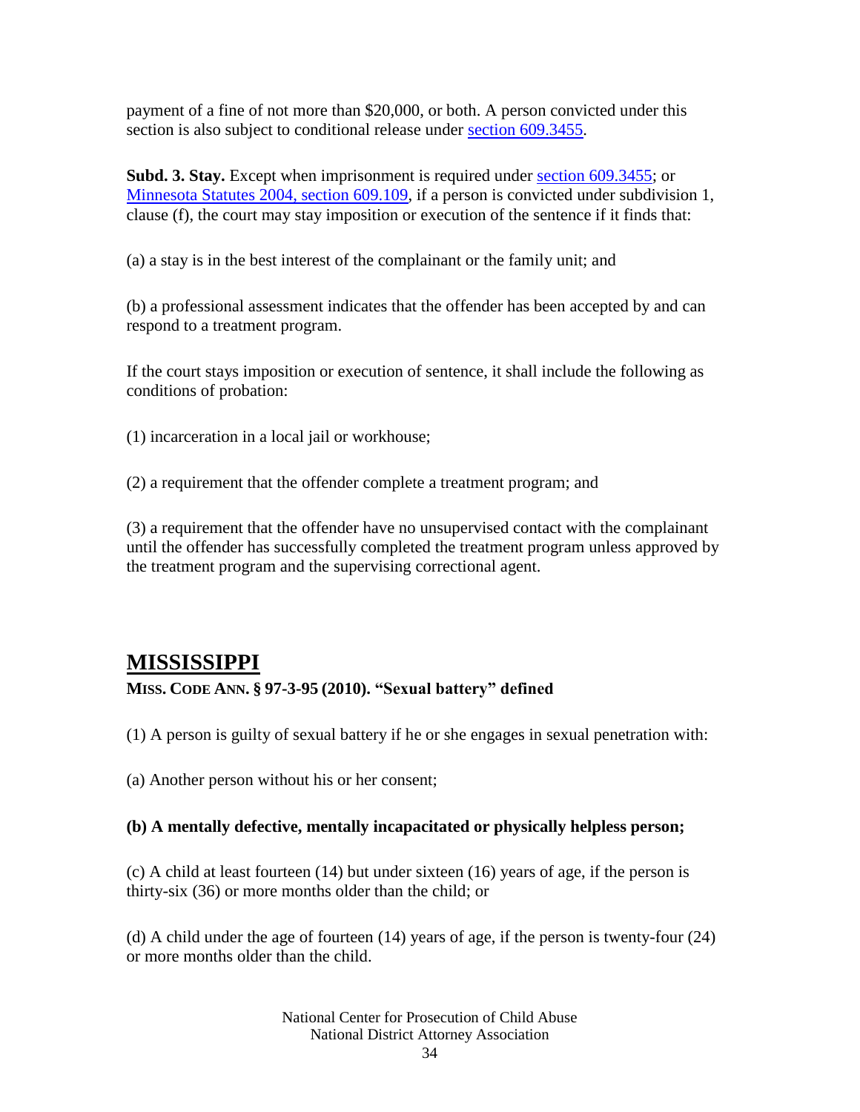payment of a fine of not more than \$20,000, or both. A person convicted under this section is also subject to conditional release under section 609.3455.

**Subd. 3. Stay.** Except when imprisonment is required under section 609.3455; or Minnesota Statutes 2004, section 609.109, if a person is convicted under subdivision 1, clause (f), the court may stay imposition or execution of the sentence if it finds that:

(a) a stay is in the best interest of the complainant or the family unit; and

(b) a professional assessment indicates that the offender has been accepted by and can respond to a treatment program.

If the court stays imposition or execution of sentence, it shall include the following as conditions of probation:

(1) incarceration in a local jail or workhouse;

(2) a requirement that the offender complete a treatment program; and

(3) a requirement that the offender have no unsupervised contact with the complainant until the offender has successfully completed the treatment program unless approved by the treatment program and the supervising correctional agent.

# <span id="page-33-0"></span>**MISSISSIPPI**

#### <span id="page-33-1"></span>**MISS. CODE ANN. § 97-3-95 (2010). "Sexual battery" defined**

(1) A person is guilty of sexual battery if he or she engages in sexual penetration with:

(a) Another person without his or her consent;

#### **(b) A mentally defective, mentally incapacitated or physically helpless person;**

(c) A child at least fourteen (14) but under sixteen (16) years of age, if the person is thirty-six (36) or more months older than the child; or

(d) A child under the age of fourteen (14) years of age, if the person is twenty-four (24) or more months older than the child.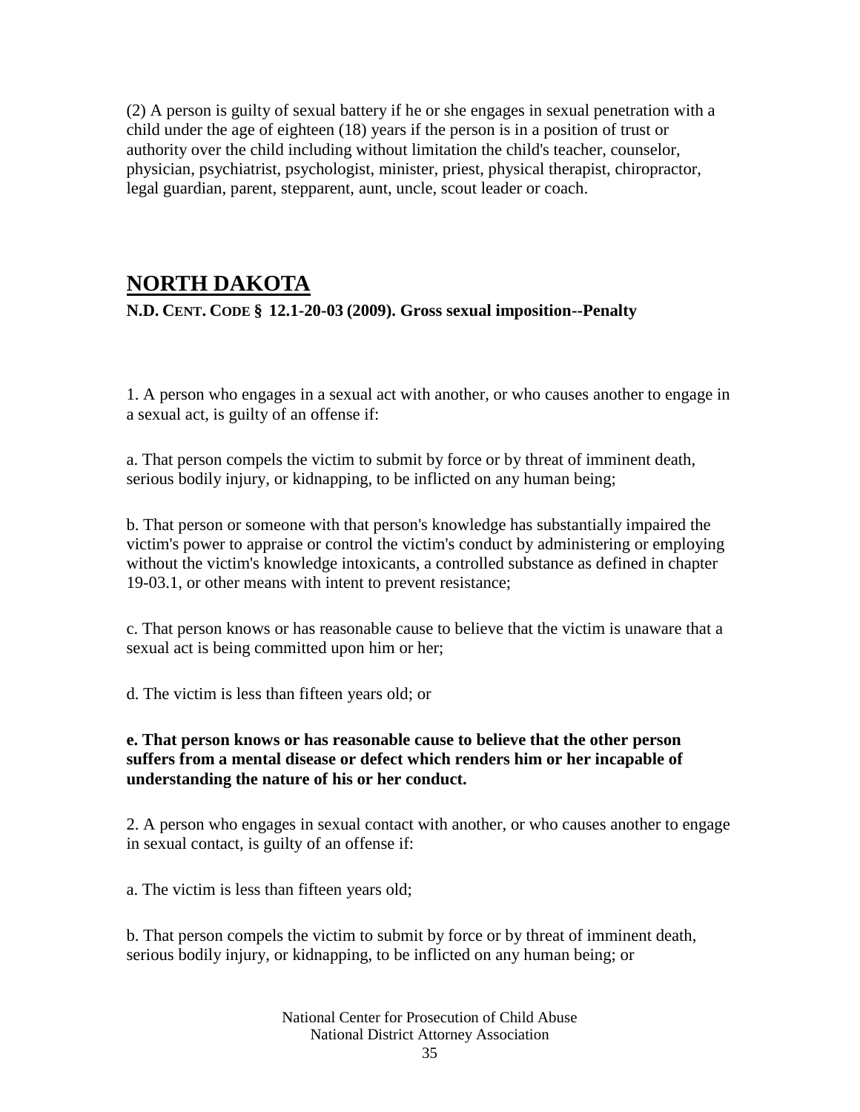(2) A person is guilty of sexual battery if he or she engages in sexual penetration with a child under the age of eighteen (18) years if the person is in a position of trust or authority over the child including without limitation the child's teacher, counselor, physician, psychiatrist, psychologist, minister, priest, physical therapist, chiropractor, legal guardian, parent, stepparent, aunt, uncle, scout leader or coach.

# <span id="page-34-0"></span>**NORTH DAKOTA**

<span id="page-34-1"></span>**N.D. CENT. CODE § 12.1-20-03 (2009). Gross sexual imposition--Penalty**

1. A person who engages in a sexual act with another, or who causes another to engage in a sexual act, is guilty of an offense if:

a. That person compels the victim to submit by force or by threat of imminent death, serious bodily injury, or kidnapping, to be inflicted on any human being;

b. That person or someone with that person's knowledge has substantially impaired the victim's power to appraise or control the victim's conduct by administering or employing without the victim's knowledge intoxicants, a controlled substance as defined in chapter 19-03.1, or other means with intent to prevent resistance;

c. That person knows or has reasonable cause to believe that the victim is unaware that a sexual act is being committed upon him or her;

d. The victim is less than fifteen years old; or

#### **e. That person knows or has reasonable cause to believe that the other person suffers from a mental disease or defect which renders him or her incapable of understanding the nature of his or her conduct.**

2. A person who engages in sexual contact with another, or who causes another to engage in sexual contact, is guilty of an offense if:

a. The victim is less than fifteen years old;

b. That person compels the victim to submit by force or by threat of imminent death, serious bodily injury, or kidnapping, to be inflicted on any human being; or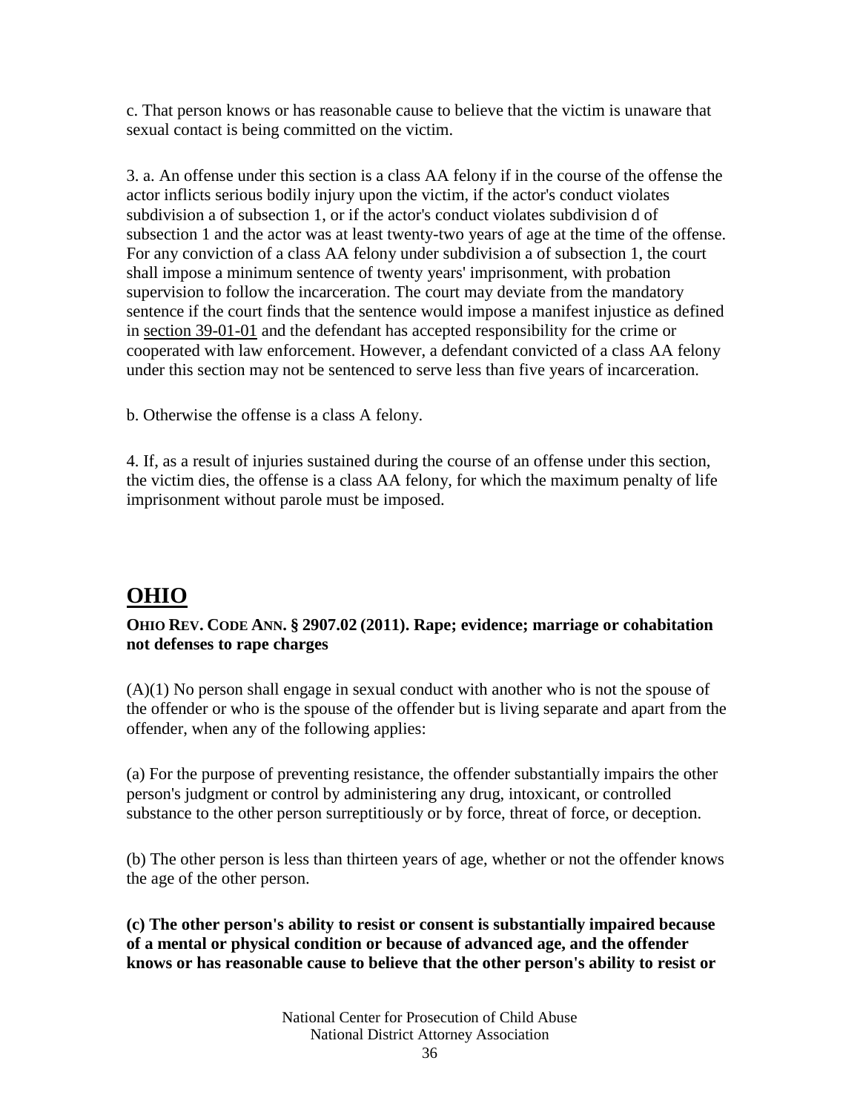c. That person knows or has reasonable cause to believe that the victim is unaware that sexual contact is being committed on the victim.

3. a. An offense under this section is a class AA felony if in the course of the offense the actor inflicts serious bodily injury upon the victim, if the actor's conduct violates subdivision a of subsection 1, or if the actor's conduct violates subdivision d of subsection 1 and the actor was at least twenty-two years of age at the time of the offense. For any conviction of a class AA felony under subdivision a of subsection 1, the court shall impose a minimum sentence of twenty years' imprisonment, with probation supervision to follow the incarceration. The court may deviate from the mandatory sentence if the court finds that the sentence would impose a manifest injustice as defined in section 39-01-01 and the defendant has accepted responsibility for the crime or cooperated with law enforcement. However, a defendant convicted of a class AA felony under this section may not be sentenced to serve less than five years of incarceration.

b. Otherwise the offense is a class A felony.

4. If, as a result of injuries sustained during the course of an offense under this section, the victim dies, the offense is a class AA felony, for which the maximum penalty of life imprisonment without parole must be imposed.

# <span id="page-35-0"></span>**OHIO**

#### <span id="page-35-1"></span>**OHIO REV. CODE ANN. § 2907.02 (2011). Rape; evidence; marriage or cohabitation not defenses to rape charges**

(A)(1) No person shall engage in sexual conduct with another who is not the spouse of the offender or who is the spouse of the offender but is living separate and apart from the offender, when any of the following applies:

(a) For the purpose of preventing resistance, the offender substantially impairs the other person's judgment or control by administering any drug, intoxicant, or controlled substance to the other person surreptitiously or by force, threat of force, or deception.

(b) The other person is less than thirteen years of age, whether or not the offender knows the age of the other person.

**(c) The other person's ability to resist or consent is substantially impaired because of a mental or physical condition or because of advanced age, and the offender knows or has reasonable cause to believe that the other person's ability to resist or**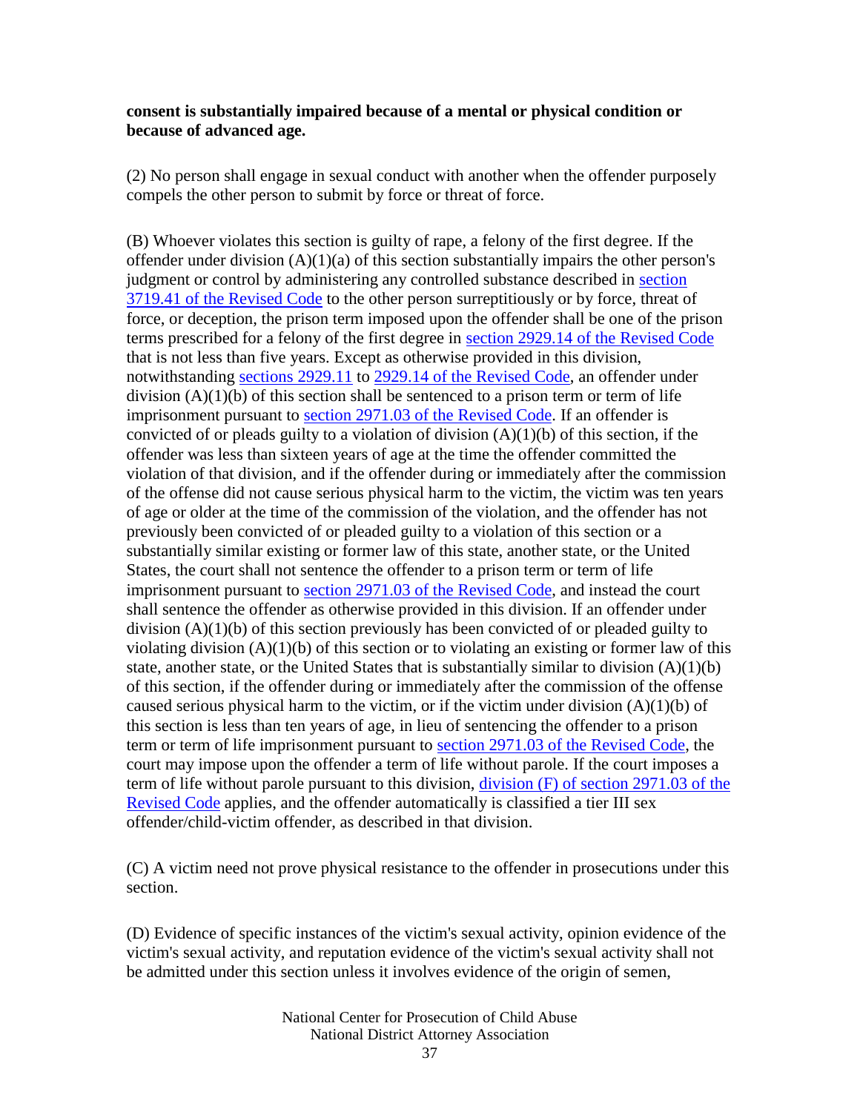#### **consent is substantially impaired because of a mental or physical condition or because of advanced age.**

(2) No person shall engage in sexual conduct with another when the offender purposely compels the other person to submit by force or threat of force.

(B) Whoever violates this section is guilty of rape, a felony of the first degree. If the offender under division  $(A)(1)(a)$  of this section substantially impairs the other person's judgment or control by administering any controlled substance described in section 3719.41 of the Revised Code to the other person surreptitiously or by force, threat of force, or deception, the prison term imposed upon the offender shall be one of the prison terms prescribed for a felony of the first degree in section 2929.14 of the Revised Code that is not less than five years. Except as otherwise provided in this division, notwithstanding sections 2929.11 to 2929.14 of the Revised Code, an offender under division  $(A)(1)(b)$  of this section shall be sentenced to a prison term or term of life imprisonment pursuant to section 2971.03 of the Revised Code. If an offender is convicted of or pleads guilty to a violation of division  $(A)(1)(b)$  of this section, if the offender was less than sixteen years of age at the time the offender committed the violation of that division, and if the offender during or immediately after the commission of the offense did not cause serious physical harm to the victim, the victim was ten years of age or older at the time of the commission of the violation, and the offender has not previously been convicted of or pleaded guilty to a violation of this section or a substantially similar existing or former law of this state, another state, or the United States, the court shall not sentence the offender to a prison term or term of life imprisonment pursuant to section 2971.03 of the Revised Code, and instead the court shall sentence the offender as otherwise provided in this division. If an offender under division (A)(1)(b) of this section previously has been convicted of or pleaded guilty to violating division (A)(1)(b) of this section or to violating an existing or former law of this state, another state, or the United States that is substantially similar to division  $(A)(1)(b)$ of this section, if the offender during or immediately after the commission of the offense caused serious physical harm to the victim, or if the victim under division  $(A)(1)(b)$  of this section is less than ten years of age, in lieu of sentencing the offender to a prison term or term of life imprisonment pursuant to section 2971.03 of the Revised Code, the court may impose upon the offender a term of life without parole. If the court imposes a term of life without parole pursuant to this division, division (F) of section 2971.03 of the Revised Code applies, and the offender automatically is classified a tier III sex offender/child-victim offender, as described in that division.

(C) A victim need not prove physical resistance to the offender in prosecutions under this section.

(D) Evidence of specific instances of the victim's sexual activity, opinion evidence of the victim's sexual activity, and reputation evidence of the victim's sexual activity shall not be admitted under this section unless it involves evidence of the origin of semen,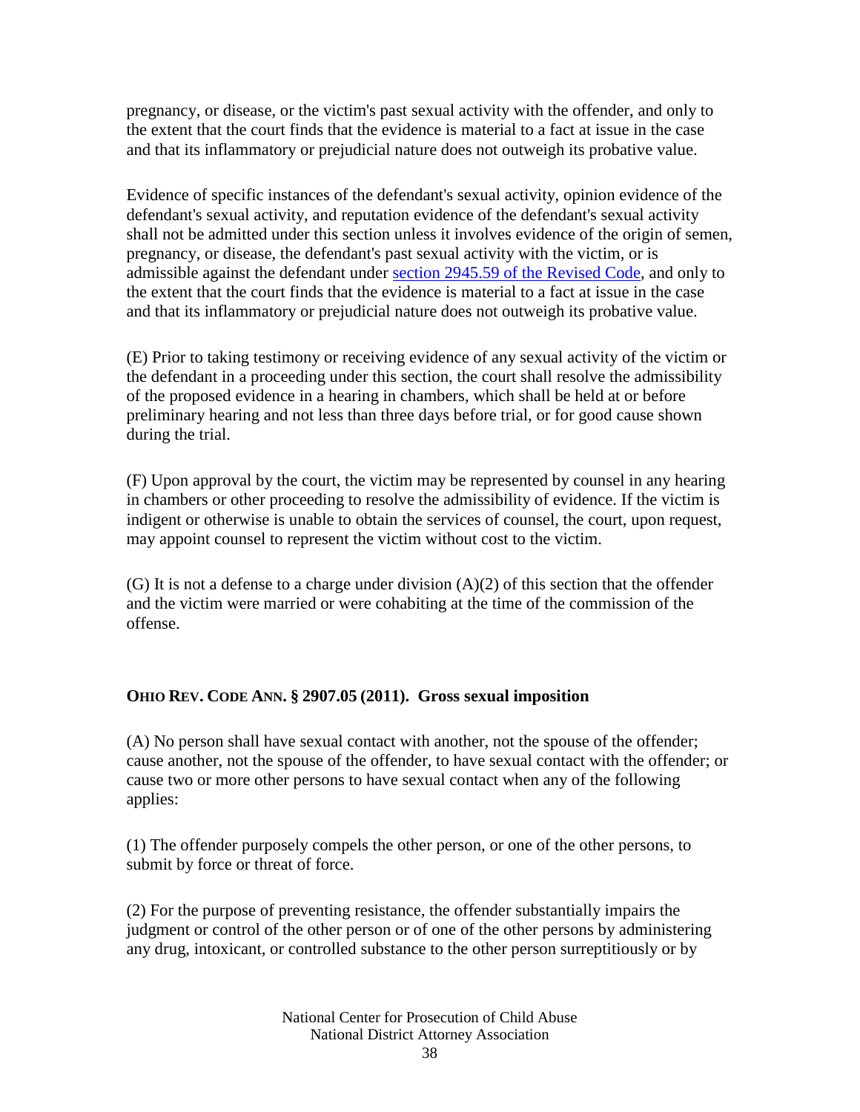pregnancy, or disease, or the victim's past sexual activity with the offender, and only to the extent that the court finds that the evidence is material to a fact at issue in the case and that its inflammatory or prejudicial nature does not outweigh its probative value.

Evidence of specific instances of the defendant's sexual activity, opinion evidence of the defendant's sexual activity, and reputation evidence of the defendant's sexual activity shall not be admitted under this section unless it involves evidence of the origin of semen, pregnancy, or disease, the defendant's past sexual activity with the victim, or is admissible against the defendant under section 2945.59 of the Revised Code, and only to the extent that the court finds that the evidence is material to a fact at issue in the case and that its inflammatory or prejudicial nature does not outweigh its probative value.

(E) Prior to taking testimony or receiving evidence of any sexual activity of the victim or the defendant in a proceeding under this section, the court shall resolve the admissibility of the proposed evidence in a hearing in chambers, which shall be held at or before preliminary hearing and not less than three days before trial, or for good cause shown during the trial.

(F) Upon approval by the court, the victim may be represented by counsel in any hearing in chambers or other proceeding to resolve the admissibility of evidence. If the victim is indigent or otherwise is unable to obtain the services of counsel, the court, upon request, may appoint counsel to represent the victim without cost to the victim.

(G) It is not a defense to a charge under division (A)(2) of this section that the offender and the victim were married or were cohabiting at the time of the commission of the offense.

#### <span id="page-37-0"></span>**OHIO REV. CODE ANN. § 2907.05 (2011). Gross sexual imposition**

(A) No person shall have sexual contact with another, not the spouse of the offender; cause another, not the spouse of the offender, to have sexual contact with the offender; or cause two or more other persons to have sexual contact when any of the following applies:

(1) The offender purposely compels the other person, or one of the other persons, to submit by force or threat of force.

(2) For the purpose of preventing resistance, the offender substantially impairs the judgment or control of the other person or of one of the other persons by administering any drug, intoxicant, or controlled substance to the other person surreptitiously or by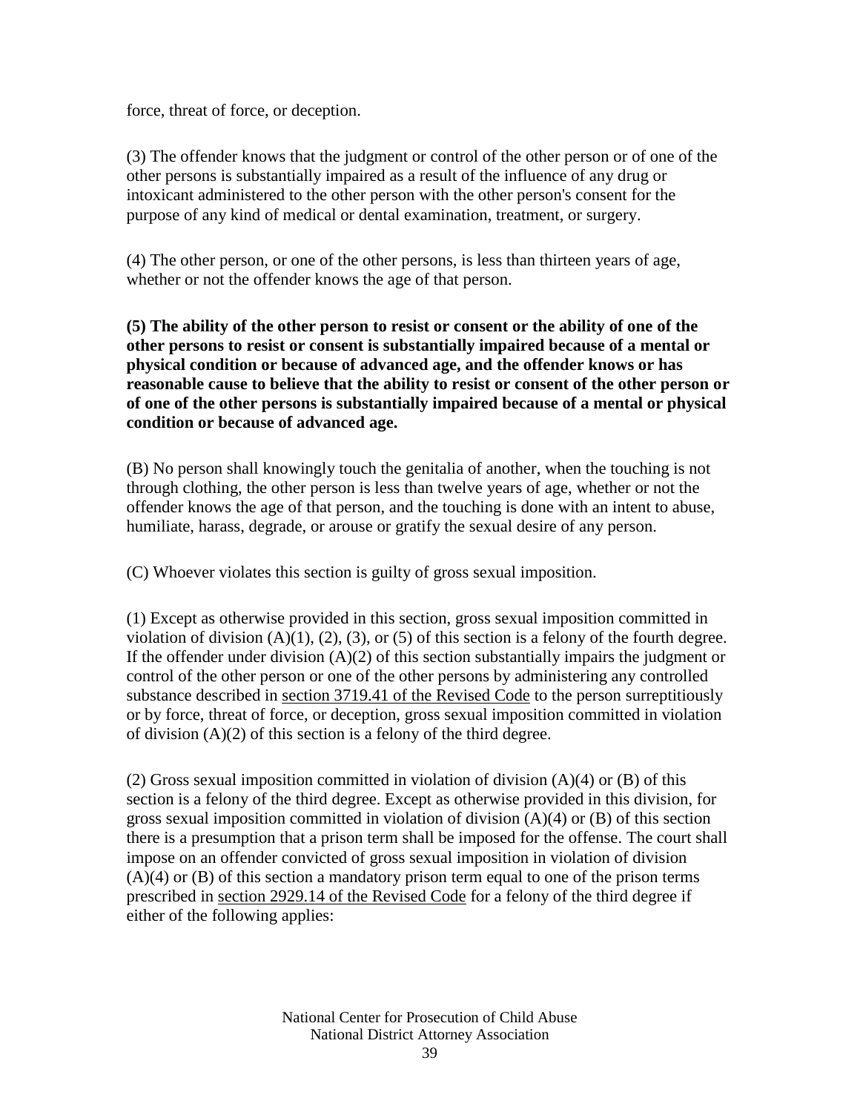force, threat of force, or deception.

(3) The offender knows that the judgment or control of the other person or of one of the other persons is substantially impaired as a result of the influence of any drug or intoxicant administered to the other person with the other person's consent for the purpose of any kind of medical or dental examination, treatment, or surgery.

(4) The other person, or one of the other persons, is less than thirteen years of age, whether or not the offender knows the age of that person.

**(5) The ability of the other person to resist or consent or the ability of one of the other persons to resist or consent is substantially impaired because of a mental or physical condition or because of advanced age, and the offender knows or has reasonable cause to believe that the ability to resist or consent of the other person or of one of the other persons is substantially impaired because of a mental or physical condition or because of advanced age.**

(B) No person shall knowingly touch the genitalia of another, when the touching is not through clothing, the other person is less than twelve years of age, whether or not the offender knows the age of that person, and the touching is done with an intent to abuse, humiliate, harass, degrade, or arouse or gratify the sexual desire of any person.

(C) Whoever violates this section is guilty of gross sexual imposition.

(1) Except as otherwise provided in this section, gross sexual imposition committed in violation of division  $(A)(1)$ ,  $(2)$ ,  $(3)$ , or  $(5)$  of this section is a felony of the fourth degree. If the offender under division  $(A)(2)$  of this section substantially impairs the judgment or control of the other person or one of the other persons by administering any controlled substance described in section 3719.41 of the Revised Code to the person surreptitiously or by force, threat of force, or deception, gross sexual imposition committed in violation of division  $(A)(2)$  of this section is a felony of the third degree.

(2) Gross sexual imposition committed in violation of division  $(A)(4)$  or  $(B)$  of this section is a felony of the third degree. Except as otherwise provided in this division, for gross sexual imposition committed in violation of division (A)(4) or (B) of this section there is a presumption that a prison term shall be imposed for the offense. The court shall impose on an offender convicted of gross sexual imposition in violation of division  $(A)(4)$  or  $(B)$  of this section a mandatory prison term equal to one of the prison terms prescribed in section 2929.14 of the Revised Code for a felony of the third degree if either of the following applies: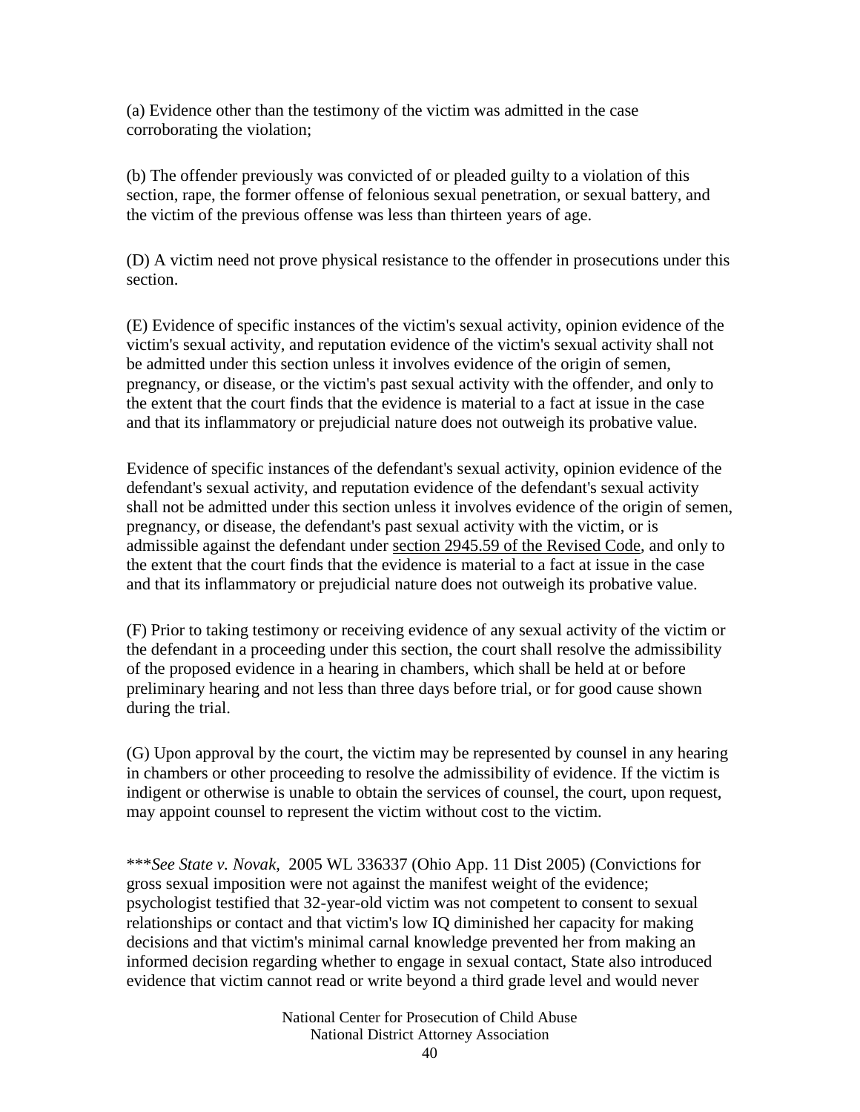(a) Evidence other than the testimony of the victim was admitted in the case corroborating the violation;

(b) The offender previously was convicted of or pleaded guilty to a violation of this section, rape, the former offense of felonious sexual penetration, or sexual battery, and the victim of the previous offense was less than thirteen years of age.

(D) A victim need not prove physical resistance to the offender in prosecutions under this section.

(E) Evidence of specific instances of the victim's sexual activity, opinion evidence of the victim's sexual activity, and reputation evidence of the victim's sexual activity shall not be admitted under this section unless it involves evidence of the origin of semen, pregnancy, or disease, or the victim's past sexual activity with the offender, and only to the extent that the court finds that the evidence is material to a fact at issue in the case and that its inflammatory or prejudicial nature does not outweigh its probative value.

Evidence of specific instances of the defendant's sexual activity, opinion evidence of the defendant's sexual activity, and reputation evidence of the defendant's sexual activity shall not be admitted under this section unless it involves evidence of the origin of semen, pregnancy, or disease, the defendant's past sexual activity with the victim, or is admissible against the defendant under section 2945.59 of the Revised Code, and only to the extent that the court finds that the evidence is material to a fact at issue in the case and that its inflammatory or prejudicial nature does not outweigh its probative value.

(F) Prior to taking testimony or receiving evidence of any sexual activity of the victim or the defendant in a proceeding under this section, the court shall resolve the admissibility of the proposed evidence in a hearing in chambers, which shall be held at or before preliminary hearing and not less than three days before trial, or for good cause shown during the trial.

(G) Upon approval by the court, the victim may be represented by counsel in any hearing in chambers or other proceeding to resolve the admissibility of evidence. If the victim is indigent or otherwise is unable to obtain the services of counsel, the court, upon request, may appoint counsel to represent the victim without cost to the victim.

\*\*\**See State v. Novak*, 2005 WL 336337 (Ohio App. 11 Dist 2005) (Convictions for gross sexual imposition were not against the manifest weight of the evidence; psychologist testified that 32-year-old victim was not competent to consent to sexual relationships or contact and that victim's low IQ diminished her capacity for making decisions and that victim's minimal carnal knowledge prevented her from making an informed decision regarding whether to engage in sexual contact, State also introduced evidence that victim cannot read or write beyond a third grade level and would never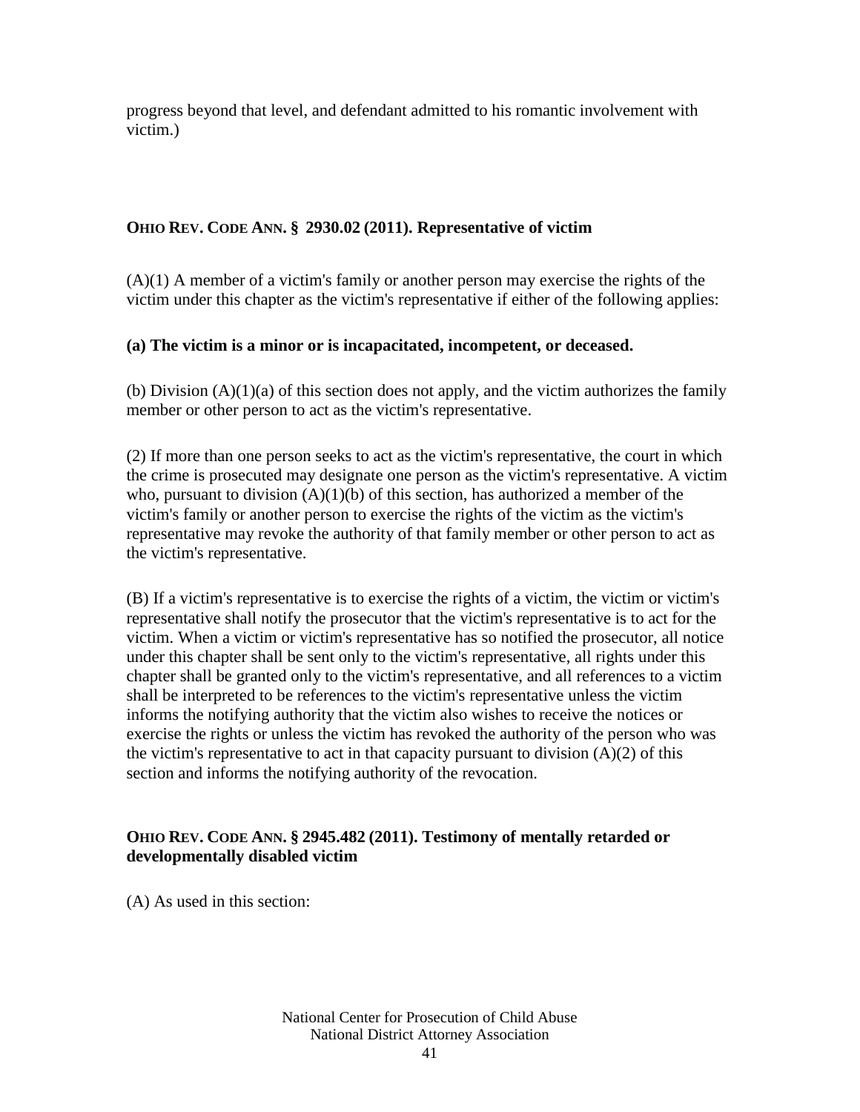progress beyond that level, and defendant admitted to his romantic involvement with victim.)

#### <span id="page-40-0"></span>**OHIO REV. CODE ANN. § 2930.02 (2011). Representative of victim**

(A)(1) A member of a victim's family or another person may exercise the rights of the victim under this chapter as the victim's representative if either of the following applies:

#### **(a) The victim is a minor or is incapacitated, incompetent, or deceased.**

(b) Division  $(A)(1)(a)$  of this section does not apply, and the victim authorizes the family member or other person to act as the victim's representative.

(2) If more than one person seeks to act as the victim's representative, the court in which the crime is prosecuted may designate one person as the victim's representative. A victim who, pursuant to division  $(A)(1)(b)$  of this section, has authorized a member of the victim's family or another person to exercise the rights of the victim as the victim's representative may revoke the authority of that family member or other person to act as the victim's representative.

(B) If a victim's representative is to exercise the rights of a victim, the victim or victim's representative shall notify the prosecutor that the victim's representative is to act for the victim. When a victim or victim's representative has so notified the prosecutor, all notice under this chapter shall be sent only to the victim's representative, all rights under this chapter shall be granted only to the victim's representative, and all references to a victim shall be interpreted to be references to the victim's representative unless the victim informs the notifying authority that the victim also wishes to receive the notices or exercise the rights or unless the victim has revoked the authority of the person who was the victim's representative to act in that capacity pursuant to division  $(A)(2)$  of this section and informs the notifying authority of the revocation.

#### <span id="page-40-1"></span>**OHIO REV. CODE ANN. § 2945.482 (2011). Testimony of mentally retarded or developmentally disabled victim**

(A) As used in this section: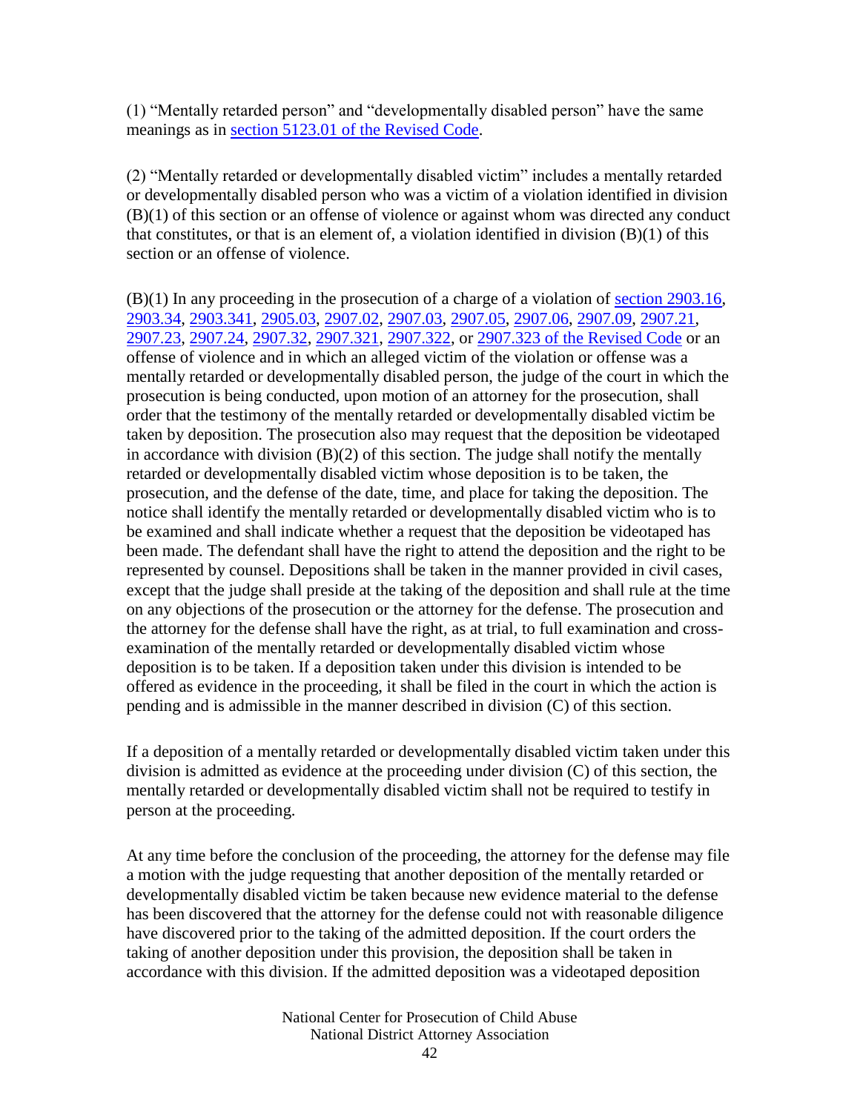(1) "Mentally retarded person" and "developmentally disabled person" have the same meanings as in section 5123.01 of the Revised Code.

(2) "Mentally retarded or developmentally disabled victim" includes a mentally retarded or developmentally disabled person who was a victim of a violation identified in division (B)(1) of this section or an offense of violence or against whom was directed any conduct that constitutes, or that is an element of, a violation identified in division (B)(1) of this section or an offense of violence.

(B)(1) In any proceeding in the prosecution of a charge of a violation of section 2903.16, 2903.34, 2903.341, 2905.03, 2907.02, 2907.03, 2907.05, 2907.06, 2907.09, 2907.21, 2907.23, 2907.24, 2907.32, 2907.321, 2907.322, or 2907.323 of the Revised Code or an offense of violence and in which an alleged victim of the violation or offense was a mentally retarded or developmentally disabled person, the judge of the court in which the prosecution is being conducted, upon motion of an attorney for the prosecution, shall order that the testimony of the mentally retarded or developmentally disabled victim be taken by deposition. The prosecution also may request that the deposition be videotaped in accordance with division (B)(2) of this section. The judge shall notify the mentally retarded or developmentally disabled victim whose deposition is to be taken, the prosecution, and the defense of the date, time, and place for taking the deposition. The notice shall identify the mentally retarded or developmentally disabled victim who is to be examined and shall indicate whether a request that the deposition be videotaped has been made. The defendant shall have the right to attend the deposition and the right to be represented by counsel. Depositions shall be taken in the manner provided in civil cases, except that the judge shall preside at the taking of the deposition and shall rule at the time on any objections of the prosecution or the attorney for the defense. The prosecution and the attorney for the defense shall have the right, as at trial, to full examination and crossexamination of the mentally retarded or developmentally disabled victim whose deposition is to be taken. If a deposition taken under this division is intended to be offered as evidence in the proceeding, it shall be filed in the court in which the action is pending and is admissible in the manner described in division (C) of this section.

If a deposition of a mentally retarded or developmentally disabled victim taken under this division is admitted as evidence at the proceeding under division (C) of this section, the mentally retarded or developmentally disabled victim shall not be required to testify in person at the proceeding.

At any time before the conclusion of the proceeding, the attorney for the defense may file a motion with the judge requesting that another deposition of the mentally retarded or developmentally disabled victim be taken because new evidence material to the defense has been discovered that the attorney for the defense could not with reasonable diligence have discovered prior to the taking of the admitted deposition. If the court orders the taking of another deposition under this provision, the deposition shall be taken in accordance with this division. If the admitted deposition was a videotaped deposition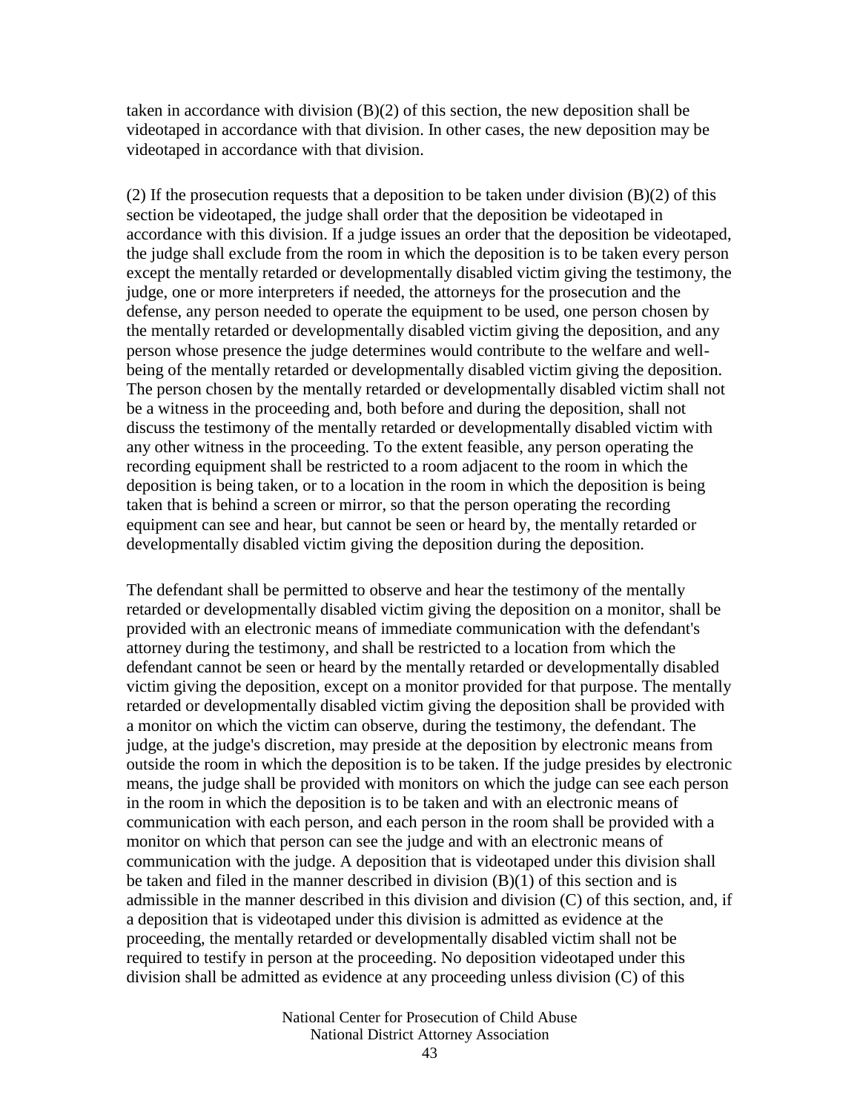taken in accordance with division (B)(2) of this section, the new deposition shall be videotaped in accordance with that division. In other cases, the new deposition may be videotaped in accordance with that division.

(2) If the prosecution requests that a deposition to be taken under division  $(B)(2)$  of this section be videotaped, the judge shall order that the deposition be videotaped in accordance with this division. If a judge issues an order that the deposition be videotaped, the judge shall exclude from the room in which the deposition is to be taken every person except the mentally retarded or developmentally disabled victim giving the testimony, the judge, one or more interpreters if needed, the attorneys for the prosecution and the defense, any person needed to operate the equipment to be used, one person chosen by the mentally retarded or developmentally disabled victim giving the deposition, and any person whose presence the judge determines would contribute to the welfare and wellbeing of the mentally retarded or developmentally disabled victim giving the deposition. The person chosen by the mentally retarded or developmentally disabled victim shall not be a witness in the proceeding and, both before and during the deposition, shall not discuss the testimony of the mentally retarded or developmentally disabled victim with any other witness in the proceeding. To the extent feasible, any person operating the recording equipment shall be restricted to a room adjacent to the room in which the deposition is being taken, or to a location in the room in which the deposition is being taken that is behind a screen or mirror, so that the person operating the recording equipment can see and hear, but cannot be seen or heard by, the mentally retarded or developmentally disabled victim giving the deposition during the deposition.

The defendant shall be permitted to observe and hear the testimony of the mentally retarded or developmentally disabled victim giving the deposition on a monitor, shall be provided with an electronic means of immediate communication with the defendant's attorney during the testimony, and shall be restricted to a location from which the defendant cannot be seen or heard by the mentally retarded or developmentally disabled victim giving the deposition, except on a monitor provided for that purpose. The mentally retarded or developmentally disabled victim giving the deposition shall be provided with a monitor on which the victim can observe, during the testimony, the defendant. The judge, at the judge's discretion, may preside at the deposition by electronic means from outside the room in which the deposition is to be taken. If the judge presides by electronic means, the judge shall be provided with monitors on which the judge can see each person in the room in which the deposition is to be taken and with an electronic means of communication with each person, and each person in the room shall be provided with a monitor on which that person can see the judge and with an electronic means of communication with the judge. A deposition that is videotaped under this division shall be taken and filed in the manner described in division (B)(1) of this section and is admissible in the manner described in this division and division (C) of this section, and, if a deposition that is videotaped under this division is admitted as evidence at the proceeding, the mentally retarded or developmentally disabled victim shall not be required to testify in person at the proceeding. No deposition videotaped under this division shall be admitted as evidence at any proceeding unless division (C) of this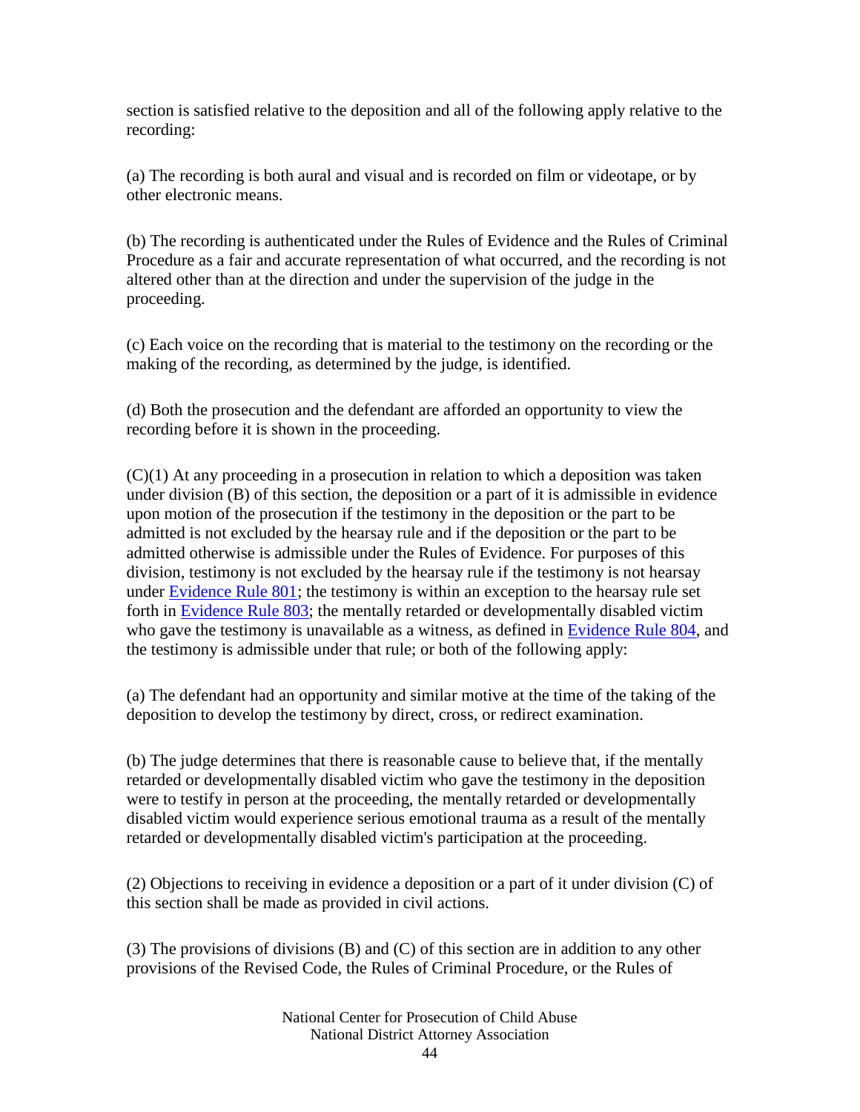section is satisfied relative to the deposition and all of the following apply relative to the recording:

(a) The recording is both aural and visual and is recorded on film or videotape, or by other electronic means.

(b) The recording is authenticated under the Rules of Evidence and the Rules of Criminal Procedure as a fair and accurate representation of what occurred, and the recording is not altered other than at the direction and under the supervision of the judge in the proceeding.

(c) Each voice on the recording that is material to the testimony on the recording or the making of the recording, as determined by the judge, is identified.

(d) Both the prosecution and the defendant are afforded an opportunity to view the recording before it is shown in the proceeding.

 $(C)(1)$  At any proceeding in a prosecution in relation to which a deposition was taken under division (B) of this section, the deposition or a part of it is admissible in evidence upon motion of the prosecution if the testimony in the deposition or the part to be admitted is not excluded by the hearsay rule and if the deposition or the part to be admitted otherwise is admissible under the Rules of Evidence. For purposes of this division, testimony is not excluded by the hearsay rule if the testimony is not hearsay under Evidence Rule 801; the testimony is within an exception to the hearsay rule set forth in Evidence Rule 803; the mentally retarded or developmentally disabled victim who gave the testimony is unavailable as a witness, as defined in Evidence Rule 804, and the testimony is admissible under that rule; or both of the following apply:

(a) The defendant had an opportunity and similar motive at the time of the taking of the deposition to develop the testimony by direct, cross, or redirect examination.

(b) The judge determines that there is reasonable cause to believe that, if the mentally retarded or developmentally disabled victim who gave the testimony in the deposition were to testify in person at the proceeding, the mentally retarded or developmentally disabled victim would experience serious emotional trauma as a result of the mentally retarded or developmentally disabled victim's participation at the proceeding.

(2) Objections to receiving in evidence a deposition or a part of it under division (C) of this section shall be made as provided in civil actions.

(3) The provisions of divisions (B) and (C) of this section are in addition to any other provisions of the Revised Code, the Rules of Criminal Procedure, or the Rules of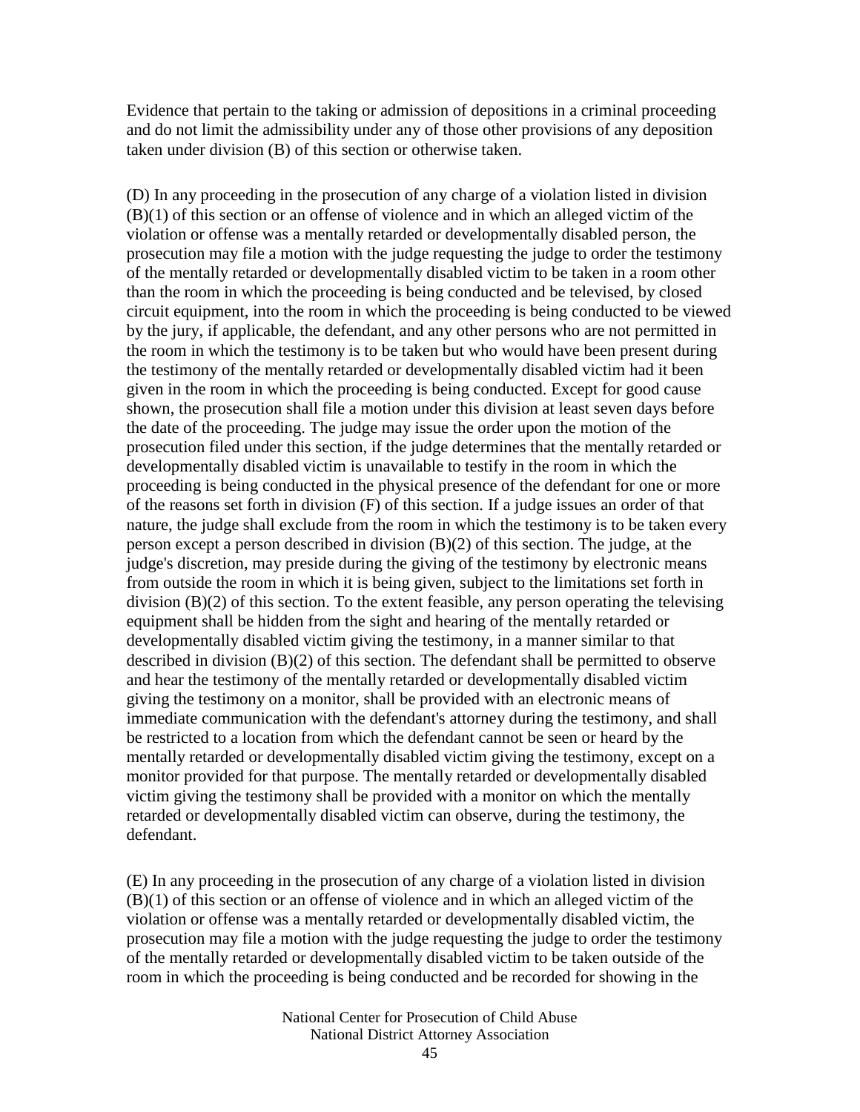Evidence that pertain to the taking or admission of depositions in a criminal proceeding and do not limit the admissibility under any of those other provisions of any deposition taken under division (B) of this section or otherwise taken.

(D) In any proceeding in the prosecution of any charge of a violation listed in division (B)(1) of this section or an offense of violence and in which an alleged victim of the violation or offense was a mentally retarded or developmentally disabled person, the prosecution may file a motion with the judge requesting the judge to order the testimony of the mentally retarded or developmentally disabled victim to be taken in a room other than the room in which the proceeding is being conducted and be televised, by closed circuit equipment, into the room in which the proceeding is being conducted to be viewed by the jury, if applicable, the defendant, and any other persons who are not permitted in the room in which the testimony is to be taken but who would have been present during the testimony of the mentally retarded or developmentally disabled victim had it been given in the room in which the proceeding is being conducted. Except for good cause shown, the prosecution shall file a motion under this division at least seven days before the date of the proceeding. The judge may issue the order upon the motion of the prosecution filed under this section, if the judge determines that the mentally retarded or developmentally disabled victim is unavailable to testify in the room in which the proceeding is being conducted in the physical presence of the defendant for one or more of the reasons set forth in division (F) of this section. If a judge issues an order of that nature, the judge shall exclude from the room in which the testimony is to be taken every person except a person described in division (B)(2) of this section. The judge, at the judge's discretion, may preside during the giving of the testimony by electronic means from outside the room in which it is being given, subject to the limitations set forth in division (B)(2) of this section. To the extent feasible, any person operating the televising equipment shall be hidden from the sight and hearing of the mentally retarded or developmentally disabled victim giving the testimony, in a manner similar to that described in division (B)(2) of this section. The defendant shall be permitted to observe and hear the testimony of the mentally retarded or developmentally disabled victim giving the testimony on a monitor, shall be provided with an electronic means of immediate communication with the defendant's attorney during the testimony, and shall be restricted to a location from which the defendant cannot be seen or heard by the mentally retarded or developmentally disabled victim giving the testimony, except on a monitor provided for that purpose. The mentally retarded or developmentally disabled victim giving the testimony shall be provided with a monitor on which the mentally retarded or developmentally disabled victim can observe, during the testimony, the defendant.

(E) In any proceeding in the prosecution of any charge of a violation listed in division (B)(1) of this section or an offense of violence and in which an alleged victim of the violation or offense was a mentally retarded or developmentally disabled victim, the prosecution may file a motion with the judge requesting the judge to order the testimony of the mentally retarded or developmentally disabled victim to be taken outside of the room in which the proceeding is being conducted and be recorded for showing in the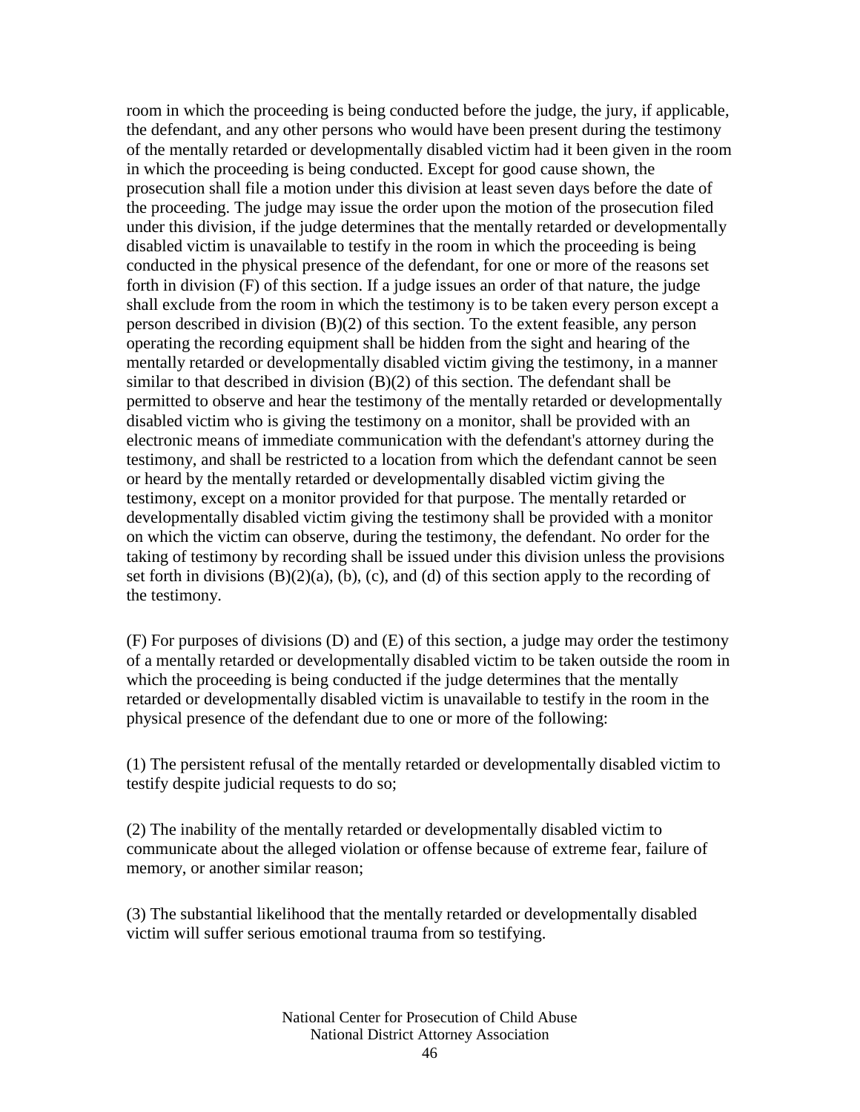room in which the proceeding is being conducted before the judge, the jury, if applicable, the defendant, and any other persons who would have been present during the testimony of the mentally retarded or developmentally disabled victim had it been given in the room in which the proceeding is being conducted. Except for good cause shown, the prosecution shall file a motion under this division at least seven days before the date of the proceeding. The judge may issue the order upon the motion of the prosecution filed under this division, if the judge determines that the mentally retarded or developmentally disabled victim is unavailable to testify in the room in which the proceeding is being conducted in the physical presence of the defendant, for one or more of the reasons set forth in division (F) of this section. If a judge issues an order of that nature, the judge shall exclude from the room in which the testimony is to be taken every person except a person described in division (B)(2) of this section. To the extent feasible, any person operating the recording equipment shall be hidden from the sight and hearing of the mentally retarded or developmentally disabled victim giving the testimony, in a manner similar to that described in division (B)(2) of this section. The defendant shall be permitted to observe and hear the testimony of the mentally retarded or developmentally disabled victim who is giving the testimony on a monitor, shall be provided with an electronic means of immediate communication with the defendant's attorney during the testimony, and shall be restricted to a location from which the defendant cannot be seen or heard by the mentally retarded or developmentally disabled victim giving the testimony, except on a monitor provided for that purpose. The mentally retarded or developmentally disabled victim giving the testimony shall be provided with a monitor on which the victim can observe, during the testimony, the defendant. No order for the taking of testimony by recording shall be issued under this division unless the provisions set forth in divisions  $(B)(2)(a)$ ,  $(b)$ ,  $(c)$ , and  $(d)$  of this section apply to the recording of the testimony.

(F) For purposes of divisions (D) and (E) of this section, a judge may order the testimony of a mentally retarded or developmentally disabled victim to be taken outside the room in which the proceeding is being conducted if the judge determines that the mentally retarded or developmentally disabled victim is unavailable to testify in the room in the physical presence of the defendant due to one or more of the following:

(1) The persistent refusal of the mentally retarded or developmentally disabled victim to testify despite judicial requests to do so;

(2) The inability of the mentally retarded or developmentally disabled victim to communicate about the alleged violation or offense because of extreme fear, failure of memory, or another similar reason;

(3) The substantial likelihood that the mentally retarded or developmentally disabled victim will suffer serious emotional trauma from so testifying.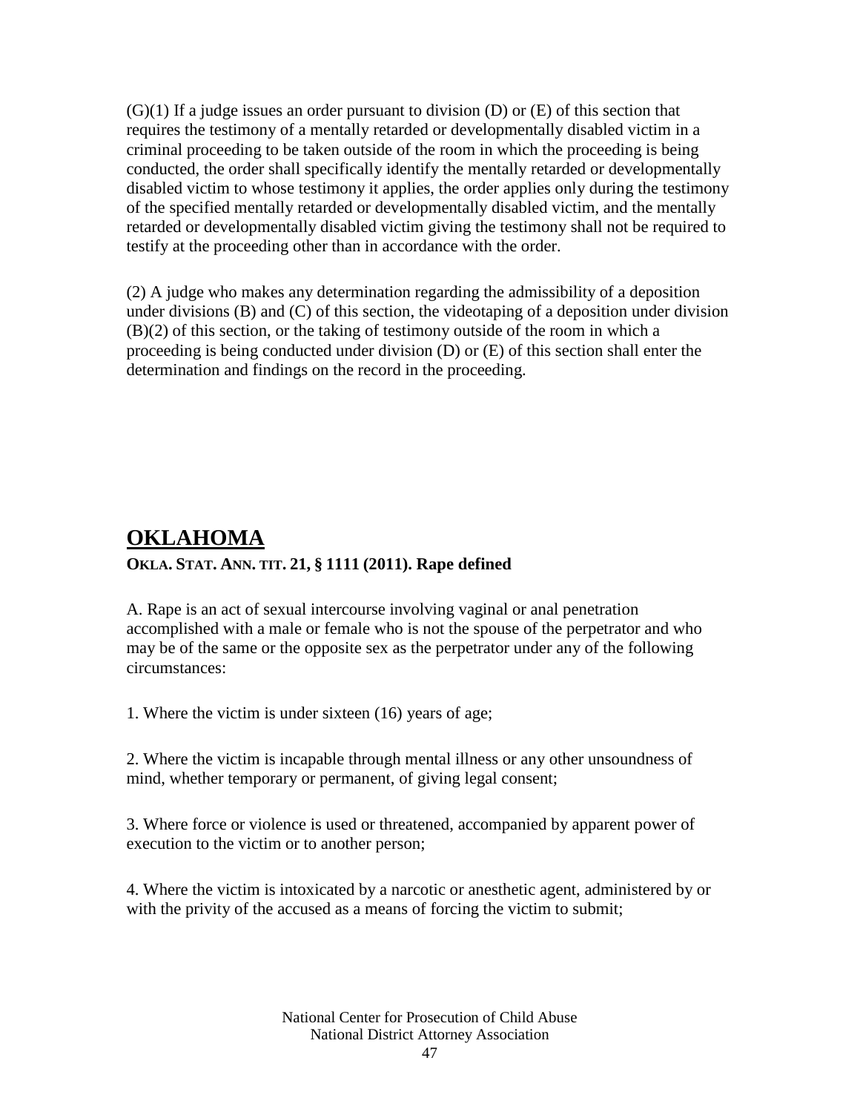$(G)(1)$  If a judge issues an order pursuant to division  $(D)$  or  $(E)$  of this section that requires the testimony of a mentally retarded or developmentally disabled victim in a criminal proceeding to be taken outside of the room in which the proceeding is being conducted, the order shall specifically identify the mentally retarded or developmentally disabled victim to whose testimony it applies, the order applies only during the testimony of the specified mentally retarded or developmentally disabled victim, and the mentally retarded or developmentally disabled victim giving the testimony shall not be required to testify at the proceeding other than in accordance with the order.

(2) A judge who makes any determination regarding the admissibility of a deposition under divisions (B) and (C) of this section, the videotaping of a deposition under division (B)(2) of this section, or the taking of testimony outside of the room in which a proceeding is being conducted under division (D) or (E) of this section shall enter the determination and findings on the record in the proceeding.

# <span id="page-46-1"></span><span id="page-46-0"></span>**OKLAHOMA OKLA. STAT. ANN. TIT. 21, § 1111 (2011). Rape defined**

A. Rape is an act of sexual intercourse involving vaginal or anal penetration accomplished with a male or female who is not the spouse of the perpetrator and who may be of the same or the opposite sex as the perpetrator under any of the following circumstances:

1. Where the victim is under sixteen (16) years of age;

2. Where the victim is incapable through mental illness or any other unsoundness of mind, whether temporary or permanent, of giving legal consent;

3. Where force or violence is used or threatened, accompanied by apparent power of execution to the victim or to another person;

4. Where the victim is intoxicated by a narcotic or anesthetic agent, administered by or with the privity of the accused as a means of forcing the victim to submit;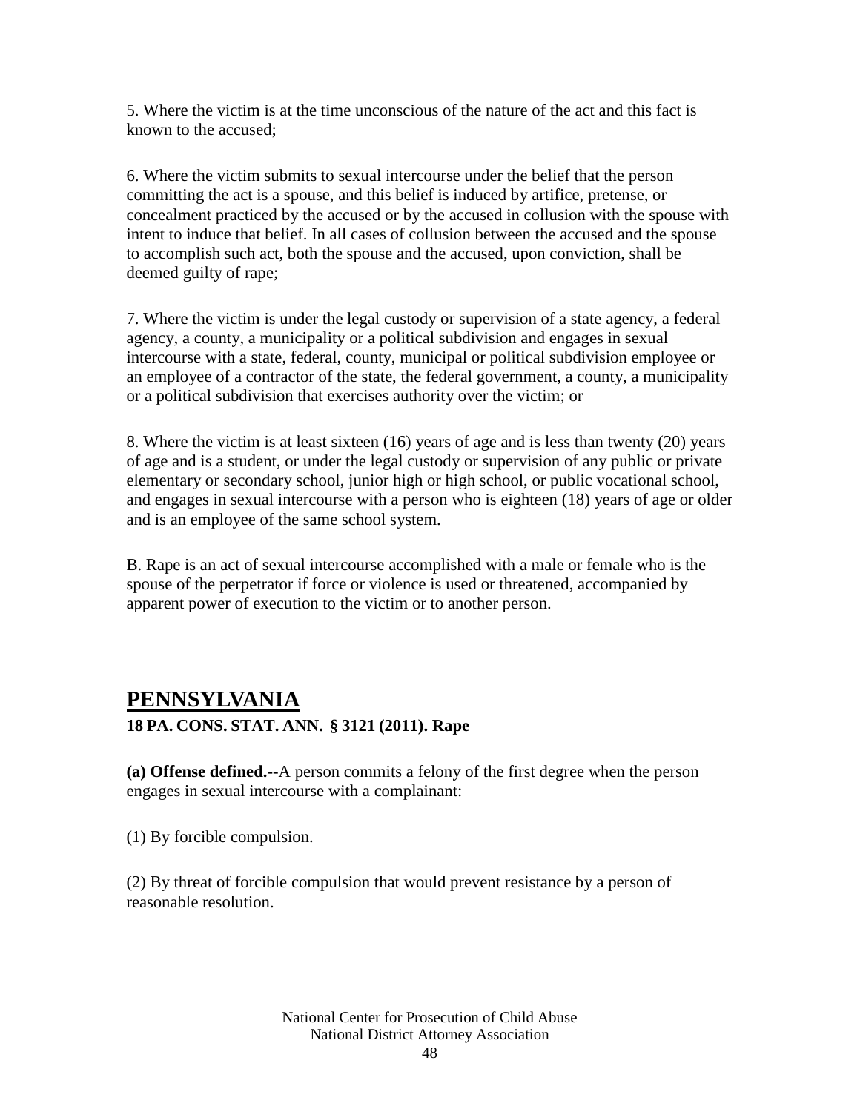5. Where the victim is at the time unconscious of the nature of the act and this fact is known to the accused;

6. Where the victim submits to sexual intercourse under the belief that the person committing the act is a spouse, and this belief is induced by artifice, pretense, or concealment practiced by the accused or by the accused in collusion with the spouse with intent to induce that belief. In all cases of collusion between the accused and the spouse to accomplish such act, both the spouse and the accused, upon conviction, shall be deemed guilty of rape;

7. Where the victim is under the legal custody or supervision of a state agency, a federal agency, a county, a municipality or a political subdivision and engages in sexual intercourse with a state, federal, county, municipal or political subdivision employee or an employee of a contractor of the state, the federal government, a county, a municipality or a political subdivision that exercises authority over the victim; or

8. Where the victim is at least sixteen (16) years of age and is less than twenty (20) years of age and is a student, or under the legal custody or supervision of any public or private elementary or secondary school, junior high or high school, or public vocational school, and engages in sexual intercourse with a person who is eighteen (18) years of age or older and is an employee of the same school system.

B. Rape is an act of sexual intercourse accomplished with a male or female who is the spouse of the perpetrator if force or violence is used or threatened, accompanied by apparent power of execution to the victim or to another person.

## <span id="page-47-0"></span>**PENNSYLVANIA**

#### <span id="page-47-1"></span>**18 PA. CONS. STAT. ANN. § 3121 (2011). Rape**

**(a) Offense defined.--**A person commits a felony of the first degree when the person engages in sexual intercourse with a complainant:

(1) By forcible compulsion.

(2) By threat of forcible compulsion that would prevent resistance by a person of reasonable resolution.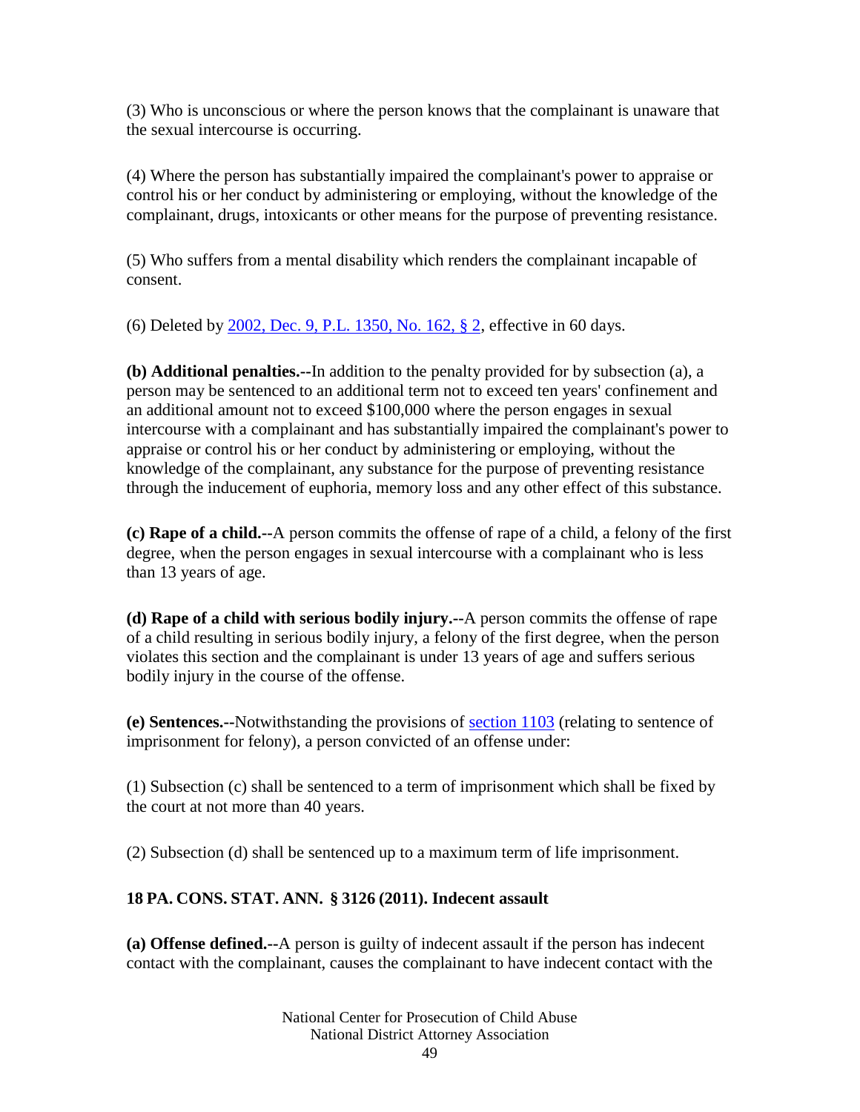(3) Who is unconscious or where the person knows that the complainant is unaware that the sexual intercourse is occurring.

(4) Where the person has substantially impaired the complainant's power to appraise or control his or her conduct by administering or employing, without the knowledge of the complainant, drugs, intoxicants or other means for the purpose of preventing resistance.

(5) Who suffers from a mental disability which renders the complainant incapable of consent.

(6) Deleted by 2002, Dec. 9, P.L. 1350, No. 162, § 2, effective in 60 days.

**(b) Additional penalties.--**In addition to the penalty provided for by subsection (a), a person may be sentenced to an additional term not to exceed ten years' confinement and an additional amount not to exceed \$100,000 where the person engages in sexual intercourse with a complainant and has substantially impaired the complainant's power to appraise or control his or her conduct by administering or employing, without the knowledge of the complainant, any substance for the purpose of preventing resistance through the inducement of euphoria, memory loss and any other effect of this substance.

**(c) Rape of a child.--**A person commits the offense of rape of a child, a felony of the first degree, when the person engages in sexual intercourse with a complainant who is less than 13 years of age.

**(d) Rape of a child with serious bodily injury.--**A person commits the offense of rape of a child resulting in serious bodily injury, a felony of the first degree, when the person violates this section and the complainant is under 13 years of age and suffers serious bodily injury in the course of the offense.

**(e) Sentences.--**Notwithstanding the provisions of section 1103 (relating to sentence of imprisonment for felony), a person convicted of an offense under:

(1) Subsection (c) shall be sentenced to a term of imprisonment which shall be fixed by the court at not more than 40 years.

(2) Subsection (d) shall be sentenced up to a maximum term of life imprisonment.

#### <span id="page-48-0"></span>**18 PA. CONS. STAT. ANN. § 3126 (2011). Indecent assault**

**(a) Offense defined.--**A person is guilty of indecent assault if the person has indecent contact with the complainant, causes the complainant to have indecent contact with the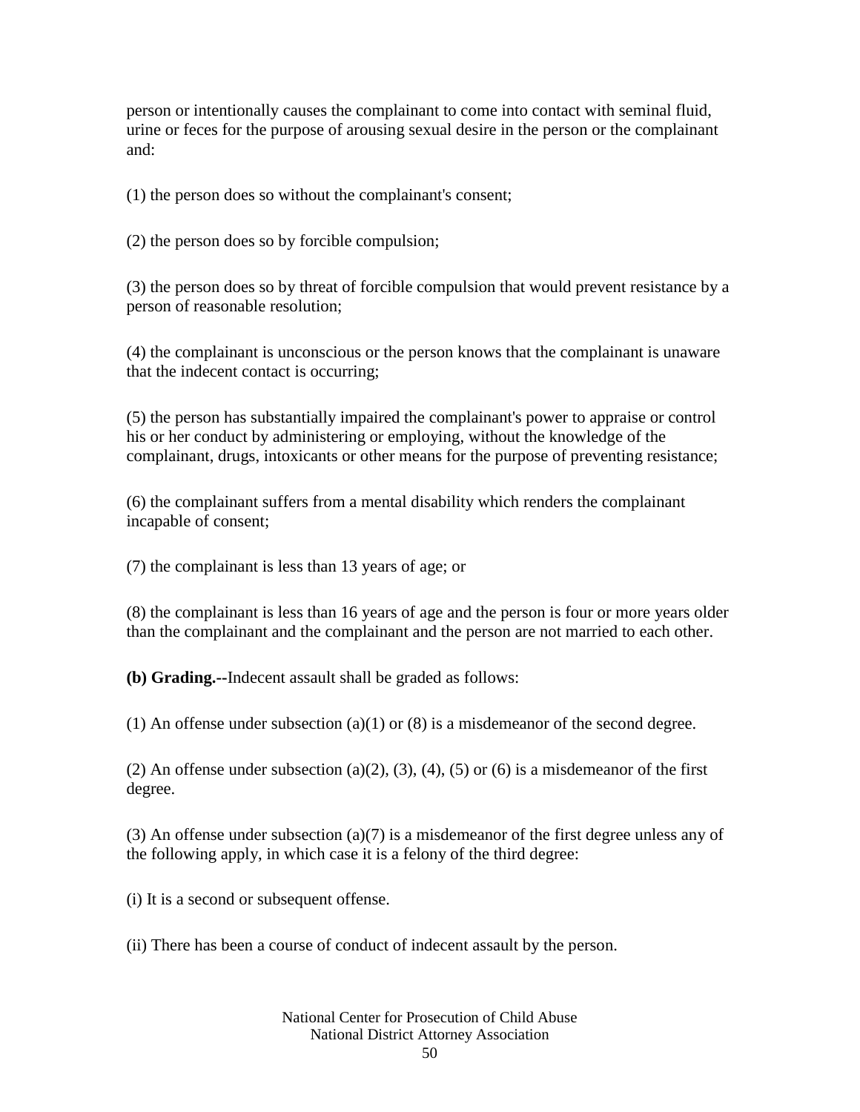person or intentionally causes the complainant to come into contact with seminal fluid, urine or feces for the purpose of arousing sexual desire in the person or the complainant and:

(1) the person does so without the complainant's consent;

(2) the person does so by forcible compulsion;

(3) the person does so by threat of forcible compulsion that would prevent resistance by a person of reasonable resolution;

(4) the complainant is unconscious or the person knows that the complainant is unaware that the indecent contact is occurring;

(5) the person has substantially impaired the complainant's power to appraise or control his or her conduct by administering or employing, without the knowledge of the complainant, drugs, intoxicants or other means for the purpose of preventing resistance;

(6) the complainant suffers from a mental disability which renders the complainant incapable of consent;

(7) the complainant is less than 13 years of age; or

(8) the complainant is less than 16 years of age and the person is four or more years older than the complainant and the complainant and the person are not married to each other.

**(b) Grading.--**Indecent assault shall be graded as follows:

(1) An offense under subsection (a)(1) or (8) is a misdemeanor of the second degree.

(2) An offense under subsection (a)(2), (3), (4), (5) or (6) is a misdemeanor of the first degree.

(3) An offense under subsection (a)(7) is a misdemeanor of the first degree unless any of the following apply, in which case it is a felony of the third degree:

(i) It is a second or subsequent offense.

(ii) There has been a course of conduct of indecent assault by the person.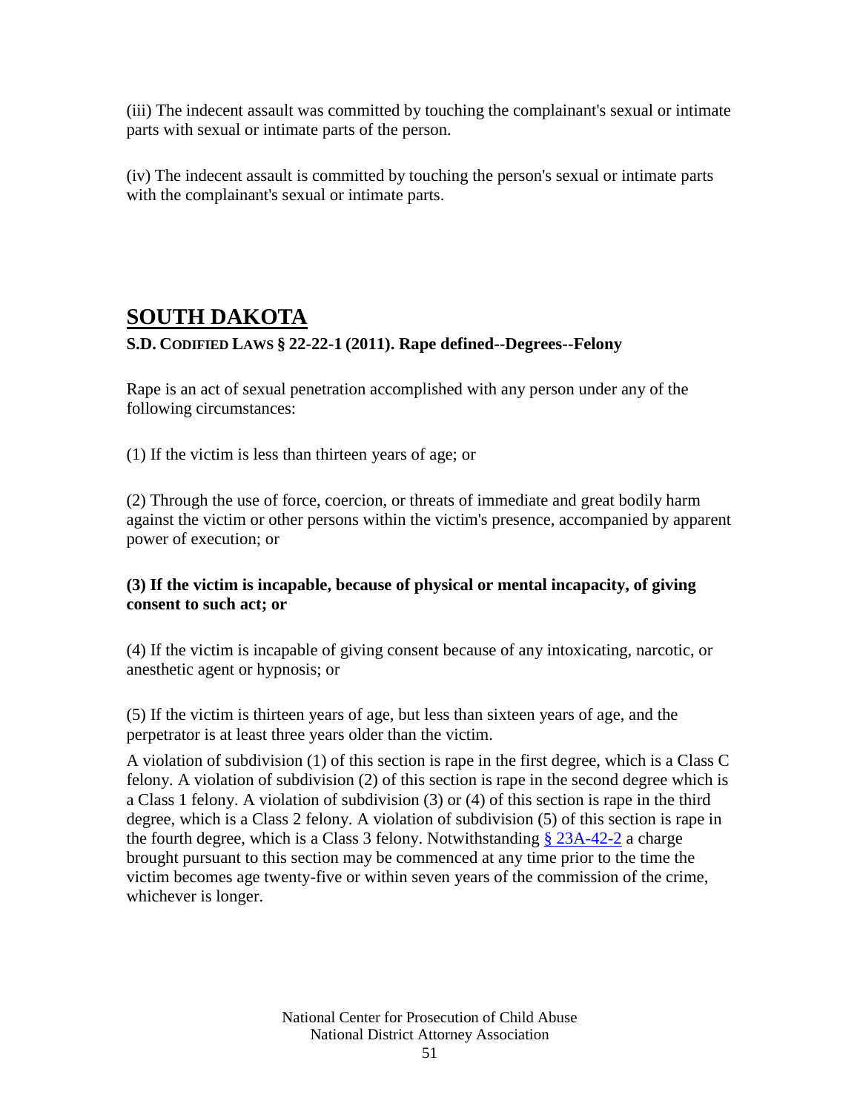(iii) The indecent assault was committed by touching the complainant's sexual or intimate parts with sexual or intimate parts of the person.

(iv) The indecent assault is committed by touching the person's sexual or intimate parts with the complainant's sexual or intimate parts.

# <span id="page-50-0"></span>**SOUTH DAKOTA**

#### <span id="page-50-1"></span>**S.D. CODIFIED LAWS § 22-22-1 (2011). Rape defined--Degrees--Felony**

Rape is an act of sexual penetration accomplished with any person under any of the following circumstances:

(1) If the victim is less than thirteen years of age; or

(2) Through the use of force, coercion, or threats of immediate and great bodily harm against the victim or other persons within the victim's presence, accompanied by apparent power of execution; or

#### **(3) If the victim is incapable, because of physical or mental incapacity, of giving consent to such act; or**

(4) If the victim is incapable of giving consent because of any intoxicating, narcotic, or anesthetic agent or hypnosis; or

(5) If the victim is thirteen years of age, but less than sixteen years of age, and the perpetrator is at least three years older than the victim.

A violation of subdivision (1) of this section is rape in the first degree, which is a Class C felony. A violation of subdivision (2) of this section is rape in the second degree which is a Class 1 felony. A violation of subdivision (3) or (4) of this section is rape in the third degree, which is a Class 2 felony. A violation of subdivision (5) of this section is rape in the fourth degree, which is a Class 3 felony. Notwithstanding  $\S$  23A-42-2 a charge brought pursuant to this section may be commenced at any time prior to the time the victim becomes age twenty-five or within seven years of the commission of the crime, whichever is longer.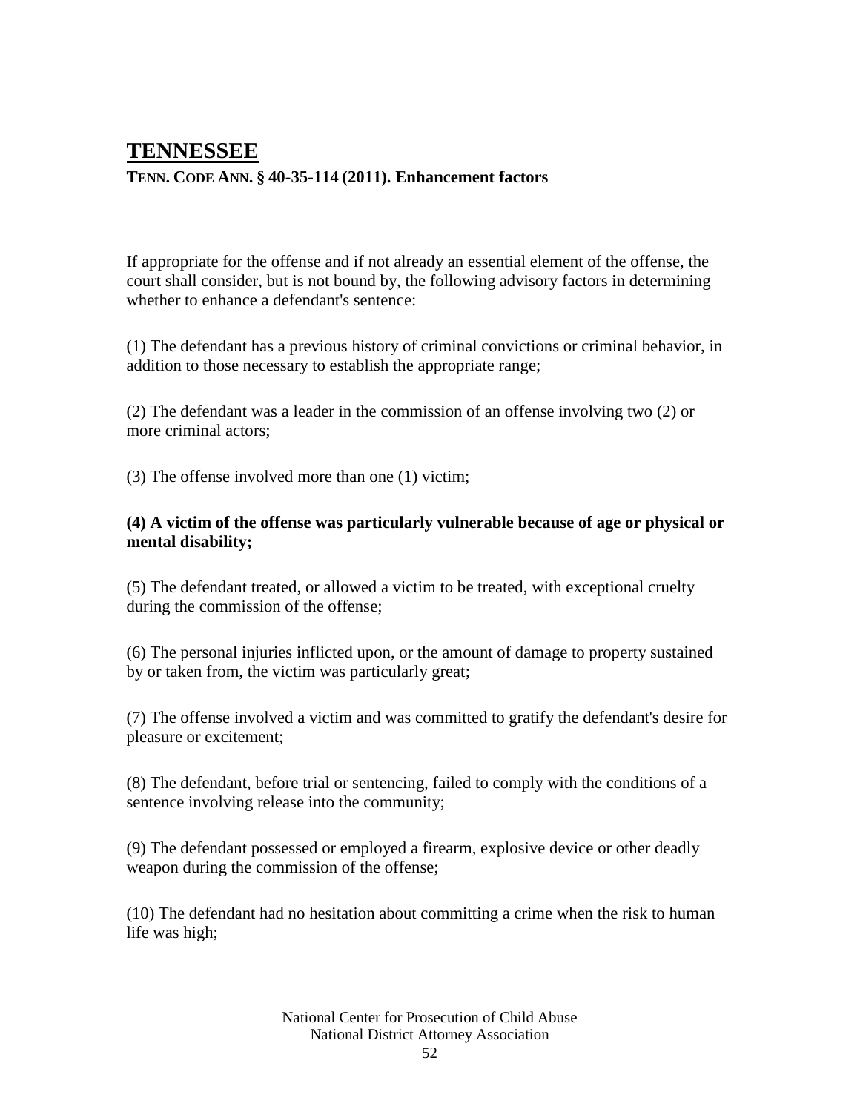### <span id="page-51-0"></span>**TENNESSEE**

#### <span id="page-51-1"></span>**TENN. CODE ANN. § 40-35-114 (2011). Enhancement factors**

If appropriate for the offense and if not already an essential element of the offense, the court shall consider, but is not bound by, the following advisory factors in determining whether to enhance a defendant's sentence:

(1) The defendant has a previous history of criminal convictions or criminal behavior, in addition to those necessary to establish the appropriate range;

(2) The defendant was a leader in the commission of an offense involving two (2) or more criminal actors;

(3) The offense involved more than one (1) victim;

#### **(4) A victim of the offense was particularly vulnerable because of age or physical or mental disability;**

(5) The defendant treated, or allowed a victim to be treated, with exceptional cruelty during the commission of the offense;

(6) The personal injuries inflicted upon, or the amount of damage to property sustained by or taken from, the victim was particularly great;

(7) The offense involved a victim and was committed to gratify the defendant's desire for pleasure or excitement;

(8) The defendant, before trial or sentencing, failed to comply with the conditions of a sentence involving release into the community;

(9) The defendant possessed or employed a firearm, explosive device or other deadly weapon during the commission of the offense;

(10) The defendant had no hesitation about committing a crime when the risk to human life was high;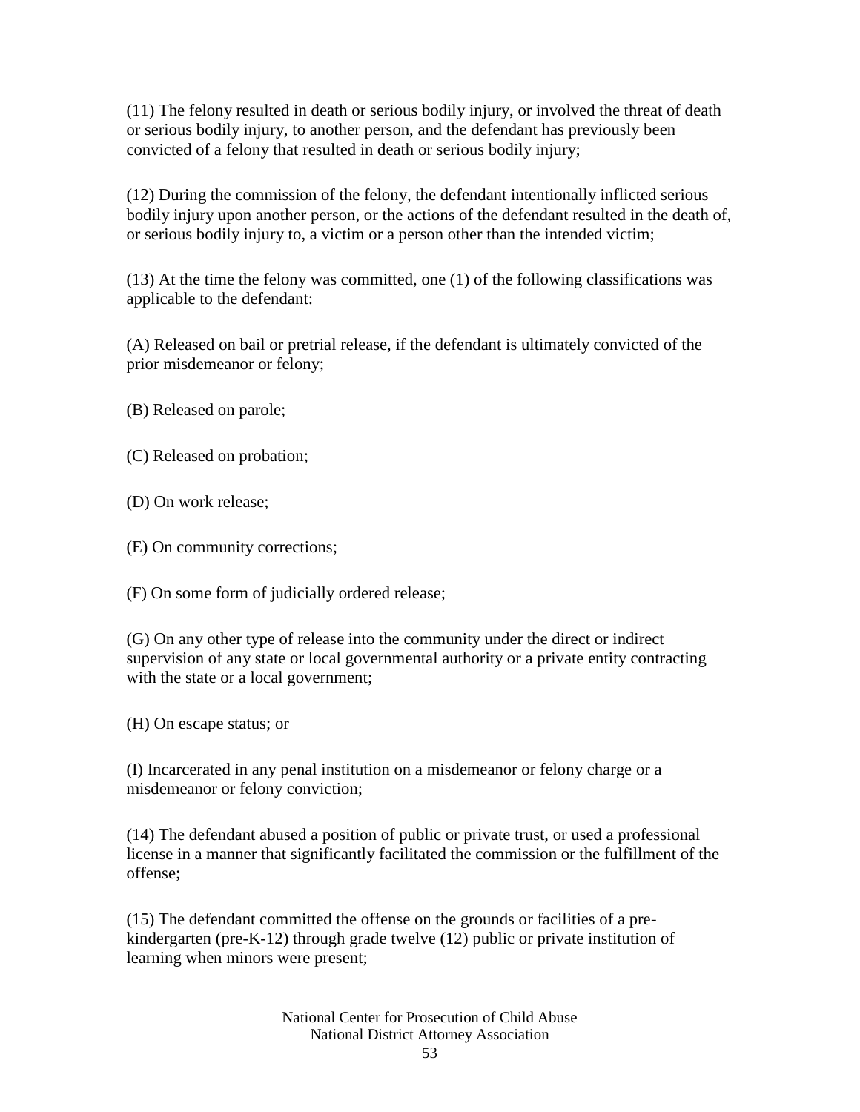(11) The felony resulted in death or serious bodily injury, or involved the threat of death or serious bodily injury, to another person, and the defendant has previously been convicted of a felony that resulted in death or serious bodily injury;

(12) During the commission of the felony, the defendant intentionally inflicted serious bodily injury upon another person, or the actions of the defendant resulted in the death of, or serious bodily injury to, a victim or a person other than the intended victim;

(13) At the time the felony was committed, one (1) of the following classifications was applicable to the defendant:

(A) Released on bail or pretrial release, if the defendant is ultimately convicted of the prior misdemeanor or felony;

- (B) Released on parole;
- (C) Released on probation;
- (D) On work release;
- (E) On community corrections;
- (F) On some form of judicially ordered release;

(G) On any other type of release into the community under the direct or indirect supervision of any state or local governmental authority or a private entity contracting with the state or a local government;

(H) On escape status; or

(I) Incarcerated in any penal institution on a misdemeanor or felony charge or a misdemeanor or felony conviction;

(14) The defendant abused a position of public or private trust, or used a professional license in a manner that significantly facilitated the commission or the fulfillment of the offense;

(15) The defendant committed the offense on the grounds or facilities of a prekindergarten (pre-K-12) through grade twelve (12) public or private institution of learning when minors were present;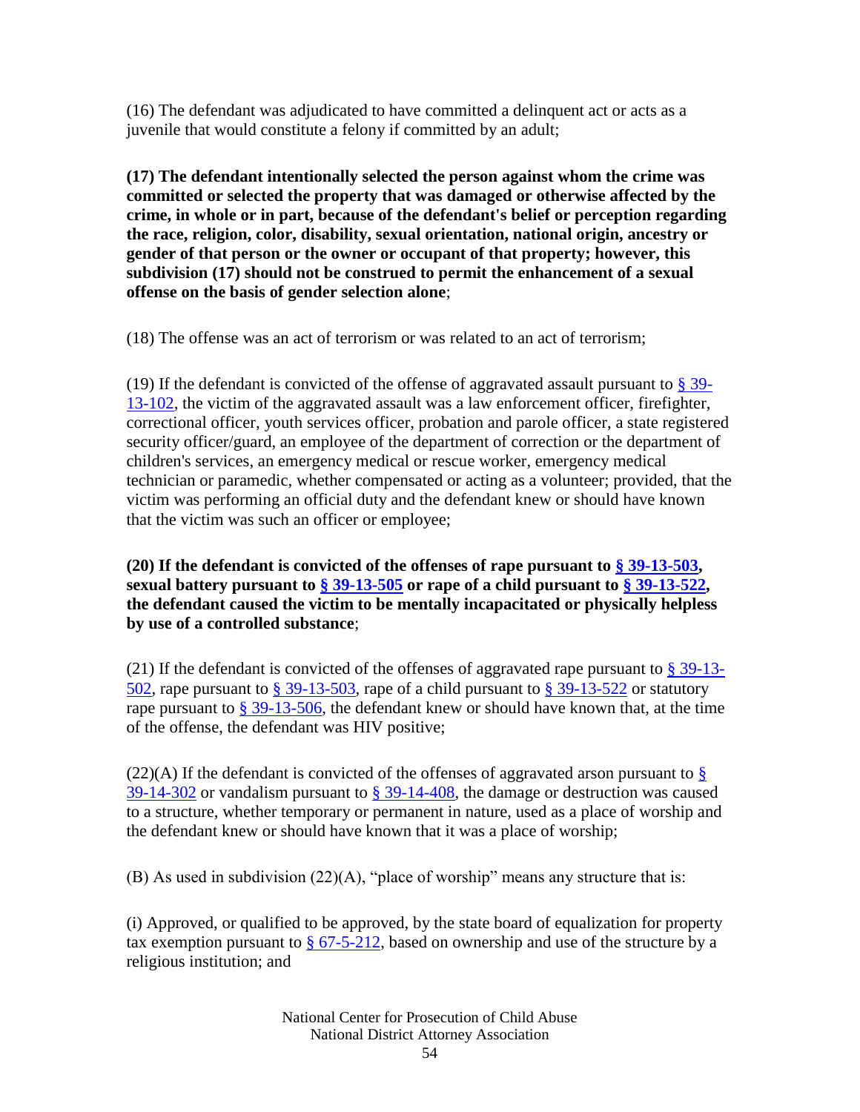(16) The defendant was adjudicated to have committed a delinquent act or acts as a juvenile that would constitute a felony if committed by an adult;

**(17) The defendant intentionally selected the person against whom the crime was committed or selected the property that was damaged or otherwise affected by the crime, in whole or in part, because of the defendant's belief or perception regarding the race, religion, color, disability, sexual orientation, national origin, ancestry or gender of that person or the owner or occupant of that property; however, this subdivision (17) should not be construed to permit the enhancement of a sexual offense on the basis of gender selection alone**;

(18) The offense was an act of terrorism or was related to an act of terrorism;

(19) If the defendant is convicted of the offense of aggravated assault pursuant to  $\S$  39-13-102, the victim of the aggravated assault was a law enforcement officer, firefighter, correctional officer, youth services officer, probation and parole officer, a state registered security officer/guard, an employee of the department of correction or the department of children's services, an emergency medical or rescue worker, emergency medical technician or paramedic, whether compensated or acting as a volunteer; provided, that the victim was performing an official duty and the defendant knew or should have known that the victim was such an officer or employee;

**(20) If the defendant is convicted of the offenses of rape pursuant to § 39-13-503, sexual battery pursuant to § 39-13-505 or rape of a child pursuant to § 39-13-522, the defendant caused the victim to be mentally incapacitated or physically helpless by use of a controlled substance**;

(21) If the defendant is convicted of the offenses of aggravated rape pursuant to  $\S$  39-13-502, rape pursuant to  $\S$  39-13-503, rape of a child pursuant to  $\S$  39-13-522 or statutory rape pursuant to  $\S$  39-13-506, the defendant knew or should have known that, at the time of the offense, the defendant was HIV positive;

(22)(A) If the defendant is convicted of the offenses of aggravated arson pursuant to  $\S$ 39-14-302 or vandalism pursuant to § 39-14-408, the damage or destruction was caused to a structure, whether temporary or permanent in nature, used as a place of worship and the defendant knew or should have known that it was a place of worship;

(B) As used in subdivision  $(22)(A)$ , "place of worship" means any structure that is:

(i) Approved, or qualified to be approved, by the state board of equalization for property tax exemption pursuant to  $\frac{8}{9}$  67-5-212, based on ownership and use of the structure by a religious institution; and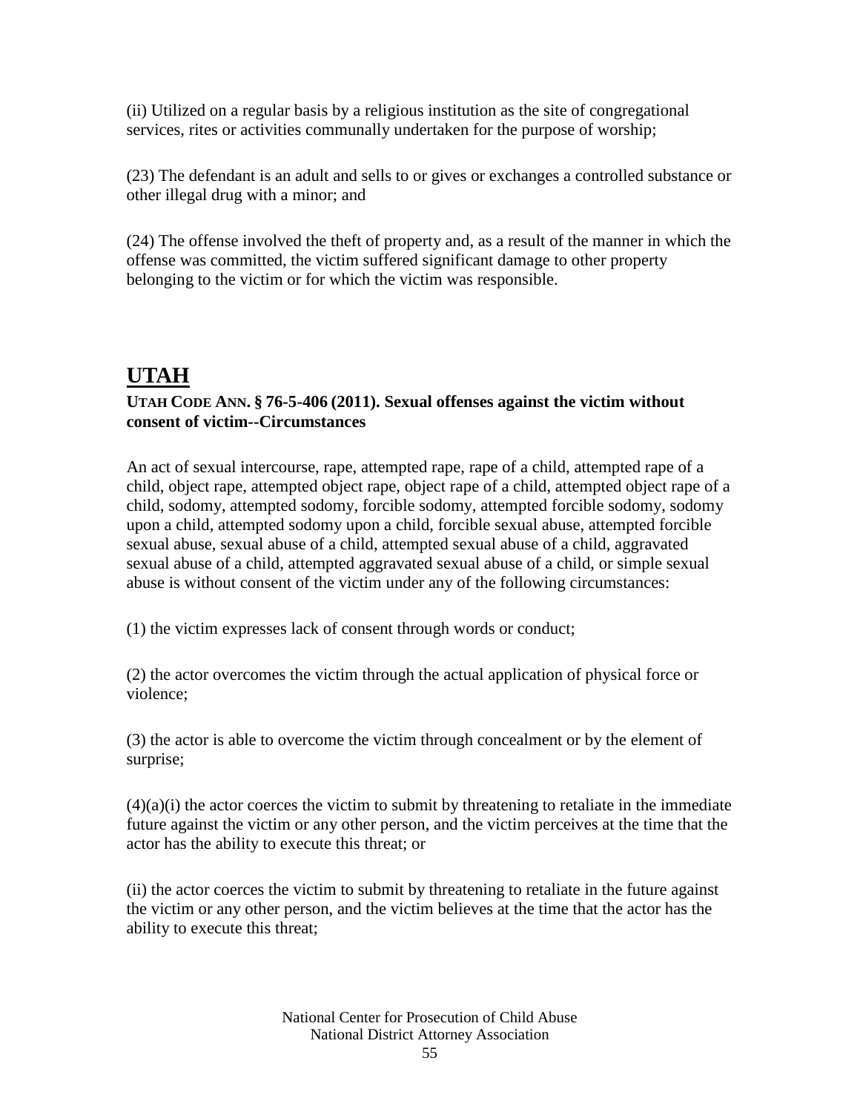(ii) Utilized on a regular basis by a religious institution as the site of congregational services, rites or activities communally undertaken for the purpose of worship;

(23) The defendant is an adult and sells to or gives or exchanges a controlled substance or other illegal drug with a minor; and

(24) The offense involved the theft of property and, as a result of the manner in which the offense was committed, the victim suffered significant damage to other property belonging to the victim or for which the victim was responsible.

# <span id="page-54-0"></span>**UTAH**

#### <span id="page-54-1"></span>**UTAH CODE ANN. § 76-5-406 (2011). Sexual offenses against the victim without consent of victim--Circumstances**

An act of sexual intercourse, rape, attempted rape, rape of a child, attempted rape of a child, object rape, attempted object rape, object rape of a child, attempted object rape of a child, sodomy, attempted sodomy, forcible sodomy, attempted forcible sodomy, sodomy upon a child, attempted sodomy upon a child, forcible sexual abuse, attempted forcible sexual abuse, sexual abuse of a child, attempted sexual abuse of a child, aggravated sexual abuse of a child, attempted aggravated sexual abuse of a child, or simple sexual abuse is without consent of the victim under any of the following circumstances:

(1) the victim expresses lack of consent through words or conduct;

(2) the actor overcomes the victim through the actual application of physical force or violence;

(3) the actor is able to overcome the victim through concealment or by the element of surprise;

 $(4)(a)(i)$  the actor coerces the victim to submit by threatening to retaliate in the immediate future against the victim or any other person, and the victim perceives at the time that the actor has the ability to execute this threat; or

(ii) the actor coerces the victim to submit by threatening to retaliate in the future against the victim or any other person, and the victim believes at the time that the actor has the ability to execute this threat;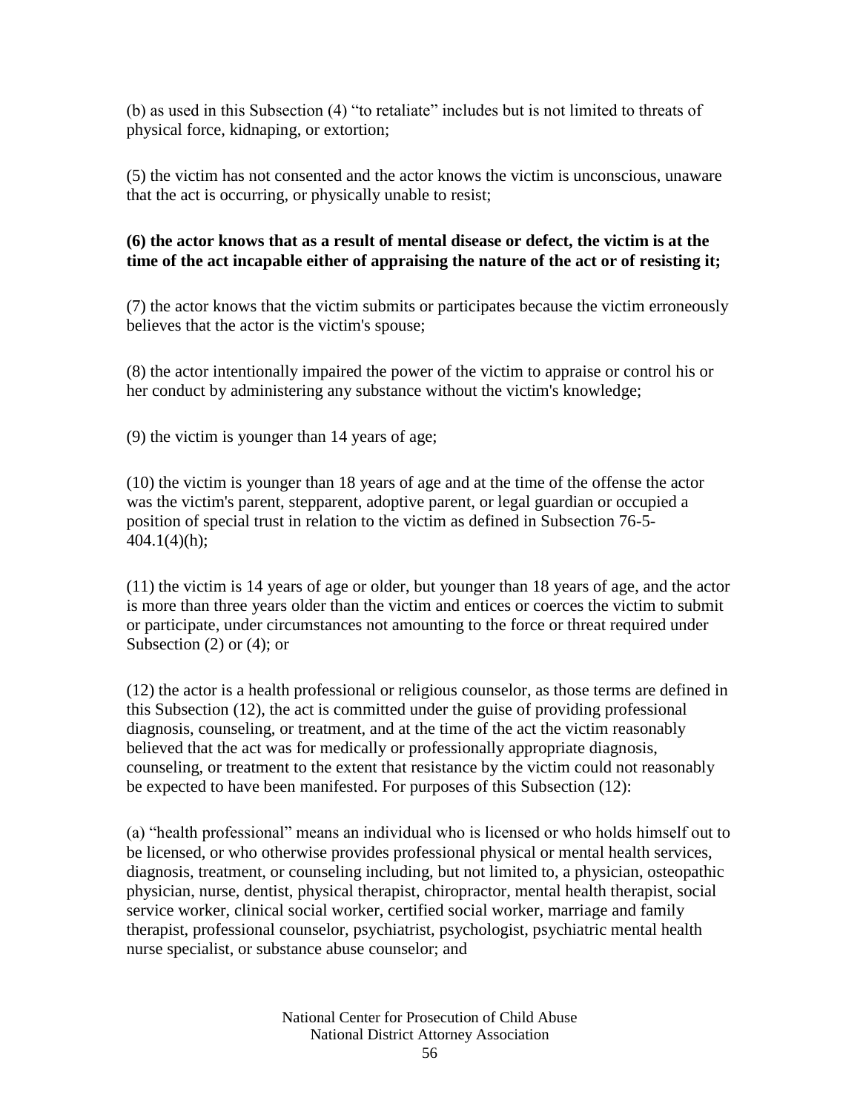(b) as used in this Subsection (4) "to retaliate" includes but is not limited to threats of physical force, kidnaping, or extortion;

(5) the victim has not consented and the actor knows the victim is unconscious, unaware that the act is occurring, or physically unable to resist;

#### **(6) the actor knows that as a result of mental disease or defect, the victim is at the time of the act incapable either of appraising the nature of the act or of resisting it;**

(7) the actor knows that the victim submits or participates because the victim erroneously believes that the actor is the victim's spouse;

(8) the actor intentionally impaired the power of the victim to appraise or control his or her conduct by administering any substance without the victim's knowledge;

(9) the victim is younger than 14 years of age;

(10) the victim is younger than 18 years of age and at the time of the offense the actor was the victim's parent, stepparent, adoptive parent, or legal guardian or occupied a position of special trust in relation to the victim as defined in Subsection 76-5-  $404.1(4)$ (h);

(11) the victim is 14 years of age or older, but younger than 18 years of age, and the actor is more than three years older than the victim and entices or coerces the victim to submit or participate, under circumstances not amounting to the force or threat required under Subsection  $(2)$  or  $(4)$ ; or

(12) the actor is a health professional or religious counselor, as those terms are defined in this Subsection (12), the act is committed under the guise of providing professional diagnosis, counseling, or treatment, and at the time of the act the victim reasonably believed that the act was for medically or professionally appropriate diagnosis, counseling, or treatment to the extent that resistance by the victim could not reasonably be expected to have been manifested. For purposes of this Subsection (12):

(a) "health professional" means an individual who is licensed or who holds himself out to be licensed, or who otherwise provides professional physical or mental health services, diagnosis, treatment, or counseling including, but not limited to, a physician, osteopathic physician, nurse, dentist, physical therapist, chiropractor, mental health therapist, social service worker, clinical social worker, certified social worker, marriage and family therapist, professional counselor, psychiatrist, psychologist, psychiatric mental health nurse specialist, or substance abuse counselor; and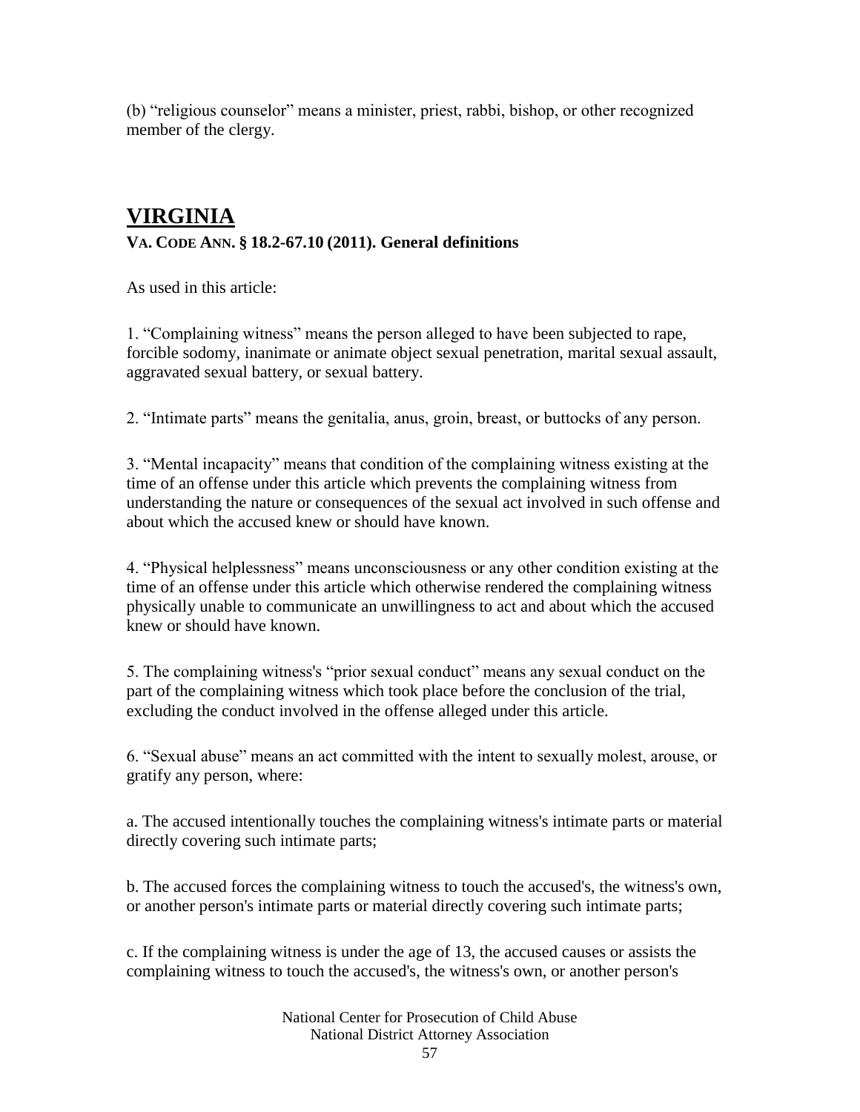(b) "religious counselor" means a minister, priest, rabbi, bishop, or other recognized member of the clergy.

# <span id="page-56-0"></span>**VIRGINIA**

#### <span id="page-56-1"></span>**VA. CODE ANN. § 18.2-67.10 (2011). General definitions**

As used in this article:

1. "Complaining witness" means the person alleged to have been subjected to rape, forcible sodomy, inanimate or animate object sexual penetration, marital sexual assault, aggravated sexual battery, or sexual battery.

2. "Intimate parts" means the genitalia, anus, groin, breast, or buttocks of any person.

3. "Mental incapacity" means that condition of the complaining witness existing at the time of an offense under this article which prevents the complaining witness from understanding the nature or consequences of the sexual act involved in such offense and about which the accused knew or should have known.

4. "Physical helplessness" means unconsciousness or any other condition existing at the time of an offense under this article which otherwise rendered the complaining witness physically unable to communicate an unwillingness to act and about which the accused knew or should have known.

5. The complaining witness's "prior sexual conduct" means any sexual conduct on the part of the complaining witness which took place before the conclusion of the trial, excluding the conduct involved in the offense alleged under this article.

6. "Sexual abuse" means an act committed with the intent to sexually molest, arouse, or gratify any person, where:

a. The accused intentionally touches the complaining witness's intimate parts or material directly covering such intimate parts;

b. The accused forces the complaining witness to touch the accused's, the witness's own, or another person's intimate parts or material directly covering such intimate parts;

c. If the complaining witness is under the age of 13, the accused causes or assists the complaining witness to touch the accused's, the witness's own, or another person's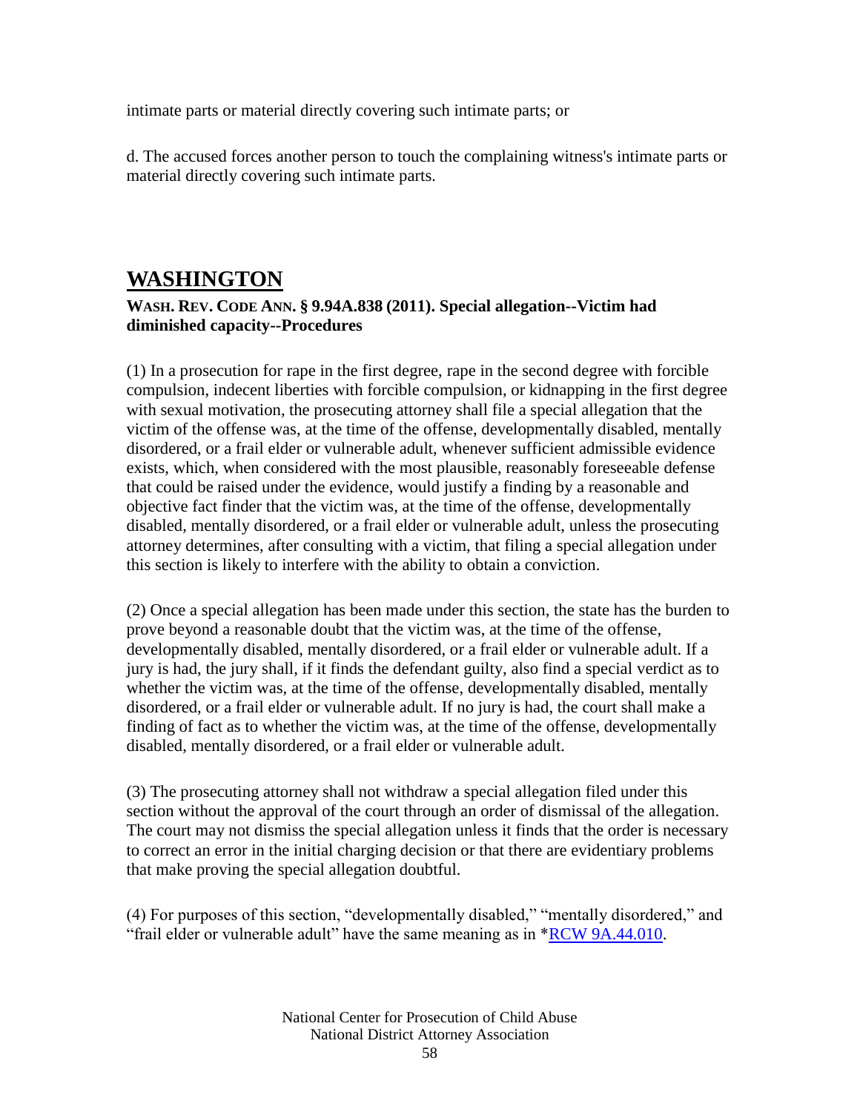intimate parts or material directly covering such intimate parts; or

d. The accused forces another person to touch the complaining witness's intimate parts or material directly covering such intimate parts.

# <span id="page-57-0"></span>**WASHINGTON**

#### <span id="page-57-1"></span>**WASH. REV. CODE ANN. § 9.94A.838 (2011). Special allegation--Victim had diminished capacity--Procedures**

(1) In a prosecution for rape in the first degree, rape in the second degree with forcible compulsion, indecent liberties with forcible compulsion, or kidnapping in the first degree with sexual motivation, the prosecuting attorney shall file a special allegation that the victim of the offense was, at the time of the offense, developmentally disabled, mentally disordered, or a frail elder or vulnerable adult, whenever sufficient admissible evidence exists, which, when considered with the most plausible, reasonably foreseeable defense that could be raised under the evidence, would justify a finding by a reasonable and objective fact finder that the victim was, at the time of the offense, developmentally disabled, mentally disordered, or a frail elder or vulnerable adult, unless the prosecuting attorney determines, after consulting with a victim, that filing a special allegation under this section is likely to interfere with the ability to obtain a conviction.

(2) Once a special allegation has been made under this section, the state has the burden to prove beyond a reasonable doubt that the victim was, at the time of the offense, developmentally disabled, mentally disordered, or a frail elder or vulnerable adult. If a jury is had, the jury shall, if it finds the defendant guilty, also find a special verdict as to whether the victim was, at the time of the offense, developmentally disabled, mentally disordered, or a frail elder or vulnerable adult. If no jury is had, the court shall make a finding of fact as to whether the victim was, at the time of the offense, developmentally disabled, mentally disordered, or a frail elder or vulnerable adult.

(3) The prosecuting attorney shall not withdraw a special allegation filed under this section without the approval of the court through an order of dismissal of the allegation. The court may not dismiss the special allegation unless it finds that the order is necessary to correct an error in the initial charging decision or that there are evidentiary problems that make proving the special allegation doubtful.

(4) For purposes of this section, "developmentally disabled," "mentally disordered," and "frail elder or vulnerable adult" have the same meaning as in \*RCW 9A.44.010.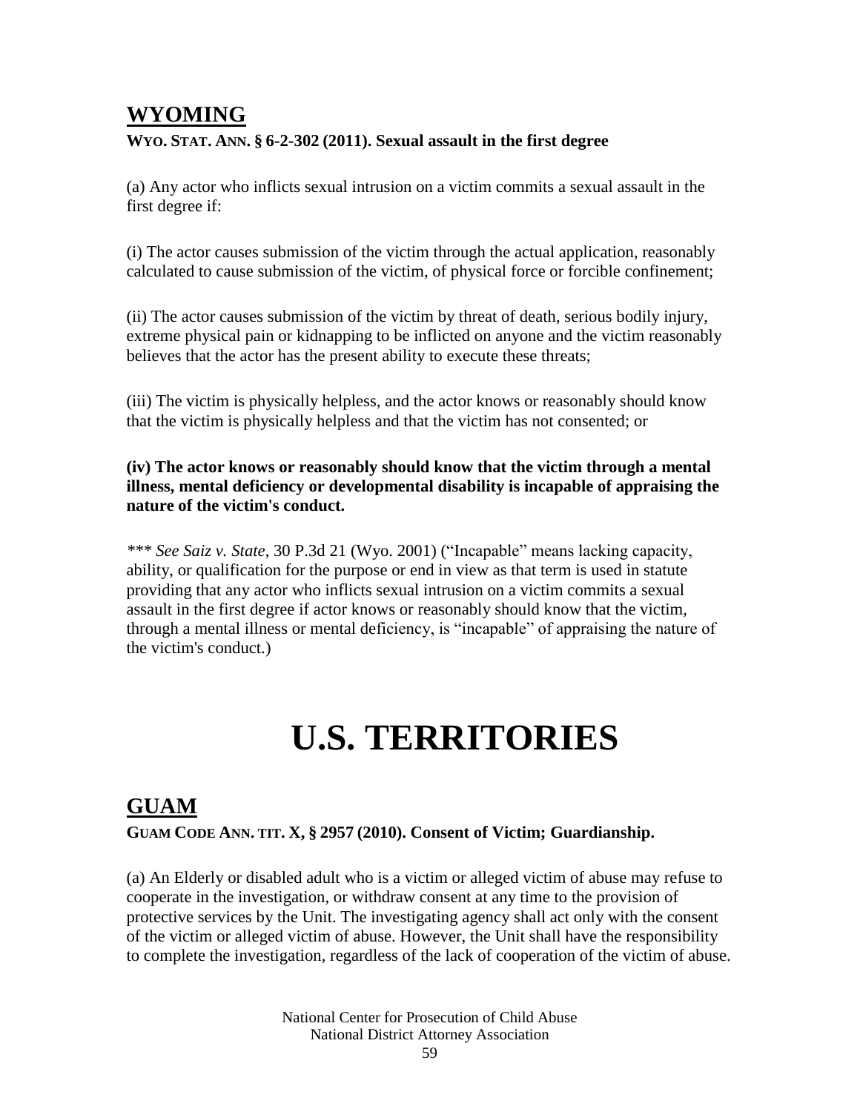### <span id="page-58-0"></span>**WYOMING**

#### <span id="page-58-1"></span>**WYO. STAT. ANN. § 6-2-302 (2011). Sexual assault in the first degree**

(a) Any actor who inflicts sexual intrusion on a victim commits a sexual assault in the first degree if:

(i) The actor causes submission of the victim through the actual application, reasonably calculated to cause submission of the victim, of physical force or forcible confinement;

(ii) The actor causes submission of the victim by threat of death, serious bodily injury, extreme physical pain or kidnapping to be inflicted on anyone and the victim reasonably believes that the actor has the present ability to execute these threats;

(iii) The victim is physically helpless, and the actor knows or reasonably should know that the victim is physically helpless and that the victim has not consented; or

**(iv) The actor knows or reasonably should know that the victim through a mental illness, mental deficiency or developmental disability is incapable of appraising the nature of the victim's conduct.** 

*\*\*\* See Saiz v. State*, 30 P.3d 21 (Wyo. 2001) ("Incapable" means lacking capacity, ability, or qualification for the purpose or end in view as that term is used in statute providing that any actor who inflicts sexual intrusion on a victim commits a sexual assault in the first degree if actor knows or reasonably should know that the victim, through a mental illness or mental deficiency, is "incapable" of appraising the nature of the victim's conduct.)

# **U.S. TERRITORIES**

### <span id="page-58-2"></span>**GUAM**

<span id="page-58-3"></span>**GUAM CODE ANN. TIT. X, § 2957 (2010). Consent of Victim; Guardianship.**

(a) An Elderly or disabled adult who is a victim or alleged victim of abuse may refuse to cooperate in the investigation, or withdraw consent at any time to the provision of protective services by the Unit. The investigating agency shall act only with the consent of the victim or alleged victim of abuse. However, the Unit shall have the responsibility to complete the investigation, regardless of the lack of cooperation of the victim of abuse.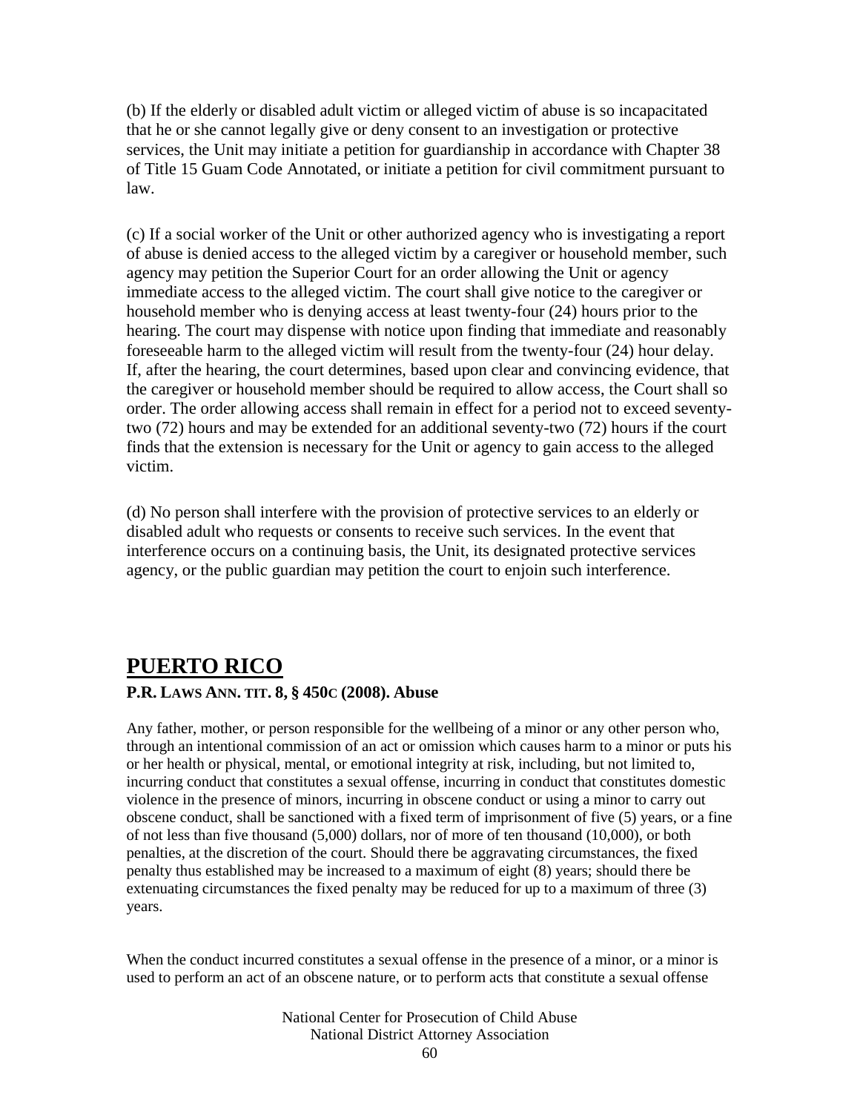(b) If the elderly or disabled adult victim or alleged victim of abuse is so incapacitated that he or she cannot legally give or deny consent to an investigation or protective services, the Unit may initiate a petition for guardianship in accordance with Chapter 38 of Title 15 Guam Code Annotated, or initiate a petition for civil commitment pursuant to law.

(c) If a social worker of the Unit or other authorized agency who is investigating a report of abuse is denied access to the alleged victim by a caregiver or household member, such agency may petition the Superior Court for an order allowing the Unit or agency immediate access to the alleged victim. The court shall give notice to the caregiver or household member who is denying access at least twenty-four (24) hours prior to the hearing. The court may dispense with notice upon finding that immediate and reasonably foreseeable harm to the alleged victim will result from the twenty-four (24) hour delay. If, after the hearing, the court determines, based upon clear and convincing evidence, that the caregiver or household member should be required to allow access, the Court shall so order. The order allowing access shall remain in effect for a period not to exceed seventytwo (72) hours and may be extended for an additional seventy-two (72) hours if the court finds that the extension is necessary for the Unit or agency to gain access to the alleged victim.

(d) No person shall interfere with the provision of protective services to an elderly or disabled adult who requests or consents to receive such services. In the event that interference occurs on a continuing basis, the Unit, its designated protective services agency, or the public guardian may petition the court to enjoin such interference.

# <span id="page-59-0"></span>**PUERTO RICO**

#### <span id="page-59-1"></span>**P.R. LAWS ANN. TIT. 8, § 450C (2008). Abuse**

Any father, mother, or person responsible for the wellbeing of a minor or any other person who, through an intentional commission of an act or omission which causes harm to a minor or puts his or her health or physical, mental, or emotional integrity at risk, including, but not limited to, incurring conduct that constitutes a sexual offense, incurring in conduct that constitutes domestic violence in the presence of minors, incurring in obscene conduct or using a minor to carry out obscene conduct, shall be sanctioned with a fixed term of imprisonment of five (5) years, or a fine of not less than five thousand (5,000) dollars, nor of more of ten thousand (10,000), or both penalties, at the discretion of the court. Should there be aggravating circumstances, the fixed penalty thus established may be increased to a maximum of eight (8) years; should there be extenuating circumstances the fixed penalty may be reduced for up to a maximum of three (3) years.

When the conduct incurred constitutes a sexual offense in the presence of a minor, or a minor is used to perform an act of an obscene nature, or to perform acts that constitute a sexual offense